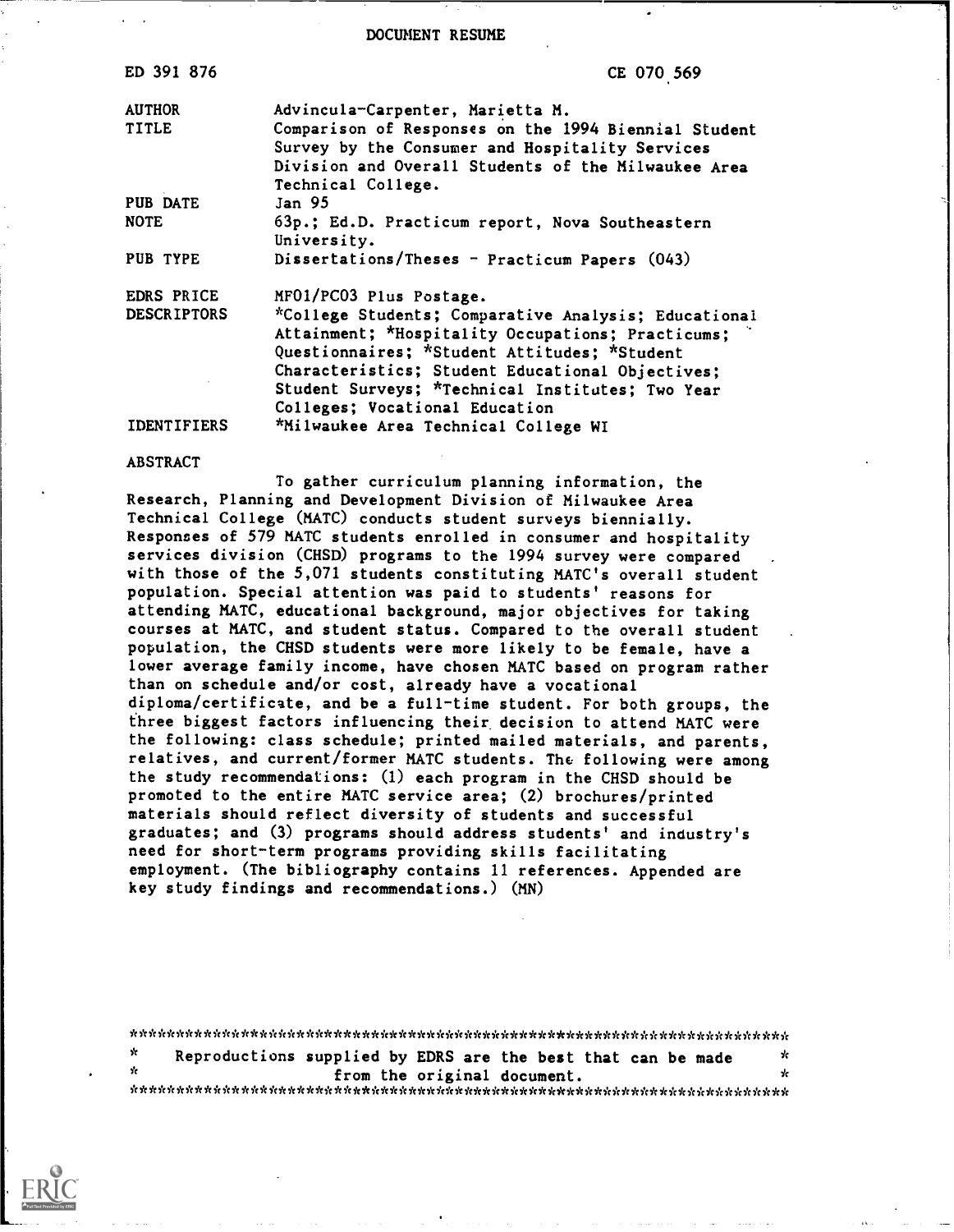DOCUMENT RESUME

| ED 391 876         | CE 070 569                                           |
|--------------------|------------------------------------------------------|
| <b>AUTHOR</b>      | Advincula-Carpenter, Marietta M.                     |
| <b>TITLE</b>       | Comparison of Responses on the 1994 Biennial Student |
|                    | Survey by the Consumer and Hospitality Services      |
|                    | Division and Overall Students of the Milwaukee Area  |
|                    | Technical College.                                   |
| PUB DATE           | Jan 95                                               |
| <b>NOTE</b>        | 63p.; Ed.D. Practicum report, Nova Southeastern      |
|                    | University.                                          |
| PUB TYPE           | Dissertations/Theses - Practicum Papers (043)        |
| <b>EDRS PRICE</b>  | MFO1/PC03 Plus Postage.                              |
| <b>DESCRIPTORS</b> | *College Students; Comparative Analysis; Educational |
|                    | Attainment; *Hospitality Occupations; Practicums;    |
|                    | Questionnaires; *Student Attitudes; *Student         |
|                    | Characteristics; Student Educational Objectives;     |
|                    | Student Surveys; *Technical Institutes; Two Year     |
|                    | Colleges; Vocational Education                       |
| <b>IDENTIFIERS</b> | *Milwaukee Area Technical College WI                 |
|                    |                                                      |

#### ABSTRACT

To gather curriculum planning information, the Research, Planning and Development Division of Milwaukee Area Technical College (MATC) conducts student surveys biennially. Responses of 579 MATC students enrolled in consumer and hospitality services division (CHSD) programs to the 1994 survey were compared with those of the 5,071 students constituting MATC's overall student population. Special attention was paid to students' reasons for attending MATC, educational background, major objectives for taking courses at MATC, and student status. Compared to the overall student population, the CHSD students were more likely to be female, have a lower average family income, have chosen MATC based on program rather than on schedule and/or cost, already have a vocational diploma/certificate, and be a full-time student. For both groups, the fhree biggest factors influencing their decision to attend MATC were the following: class schedule; printed mailed materials, and parents, relatives, and current/former MATC students. The following were among the study recommendations: (1) each program in the CHSD should be promoted to the entire MATC service area; (2) brochures/printed materials should reflect diversity of students and successful graduates; and (3) programs should address students' and industry's need for short-term programs providing skills facilitating employment. (The bibliography contains 11 references. Appended are key study findings and recommendations.) (MN)

| ×. | Reproductions supplied by EDRS are the best that can be made |  |                             |  | x  |
|----|--------------------------------------------------------------|--|-----------------------------|--|----|
| ÷. |                                                              |  | from the original document. |  | Y. |
|    |                                                              |  |                             |  |    |

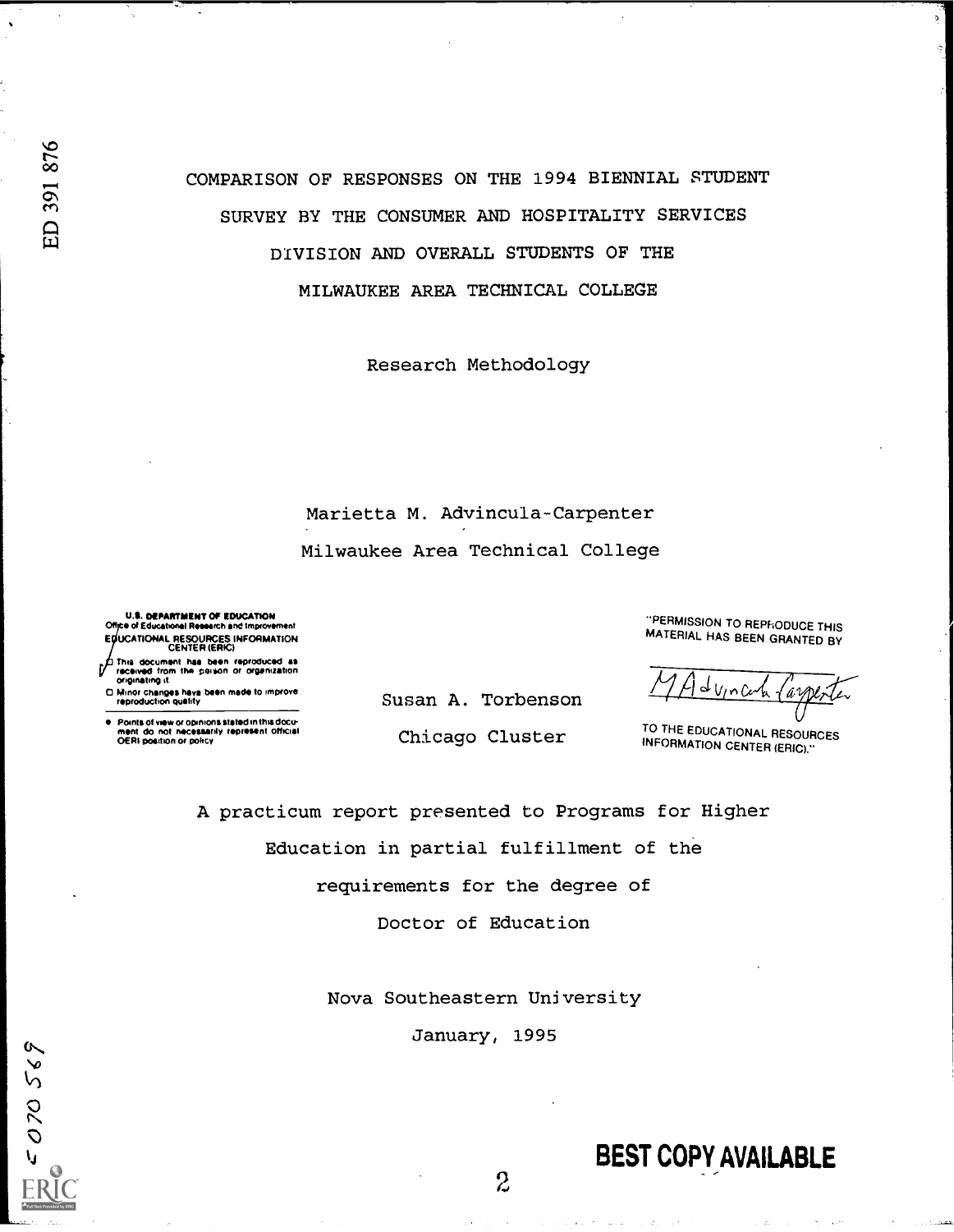070569

COMPARISON OF RESPONSES ON THE 1994 BIENNIAL STUDENT SURVEY BY THE CONSUMER AND HOSPITALITY SERVICES DIVISION AND OVERALL STUDENTS OF THE MILWAUKEE AREA TECHNICAL COLLEGE

Research Methodology

Marietta M. Advincula-Carpenter Milwaukee Area Technical College

U.S. DEPARTMENT OF EDUCATION<br>Office of Educational Research and Improvement E UCATIONAL RESOURCES INFORMATION CENTER (ERIC)

This document has been reproduced as<br>This document has been reproduced as<br>originating it. Onginating it.

 $\Box$  Minor changes hava been made to improve<br>reproduction quality

Points of view or opinions stated in this docu-<br>ment :do: not: necessarily: represent: official<br>OERI position or policy

Susan A. Torbenson

Chicago Cluster

"PERMISSION TO REPFIODUCE THIS MATERIAL HAS BEEN GRANTED BY

TO THE EDUCATIONAL RESOURCES INFORMATION CENTER (ERIC)."

A practicum report presented to Programs for Higher Education in partial fulfillment of the requirements for the degree of

Doctor of Education

Nova Southeastern University

January, 1995

 $\mathcal{Z}$ 

# BEST COPY AVAILABLE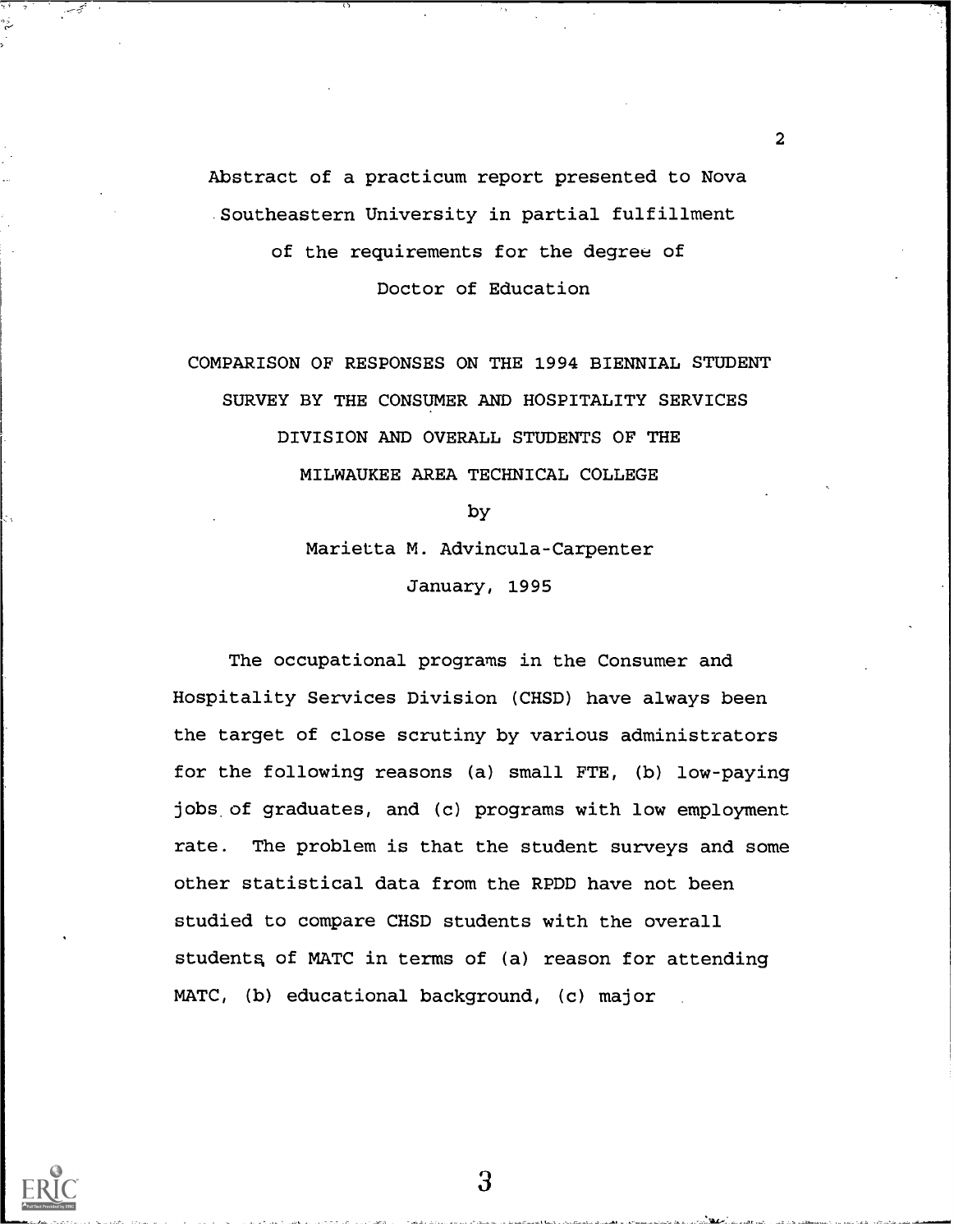Abstract of a practicum report presented to Nova Southeastern University in partial fulfillment of the requirements for the degree of Doctor of Education

2

COMPARISON OF RESPONSES ON THE 1994 BIENNIAL STUDENT SURVEY BY THE CONSUMER AND HOSPITALITY SERVICES DIVISION AND OVERALL STUDENTS OF THE MILWAUKEE AREA TECHNICAL COLLEGE

> by Marietta M. Advincula-Carpenter

> > January, 1995

The occupational programs in the Consumer and Hospitality Services Division (CHSD) have always been the target of close scrutiny by various administrators for the following reasons (a) small FTE, (b) low-paying jobs of graduates, and (c) programs with low employment rate. The problem is that the student surveys and some other statistical data from the RPDD have not been studied to compare CHSD students with the overall students of MATC in terms of (a) reason for attending MATC, (b) educational background, (c) major

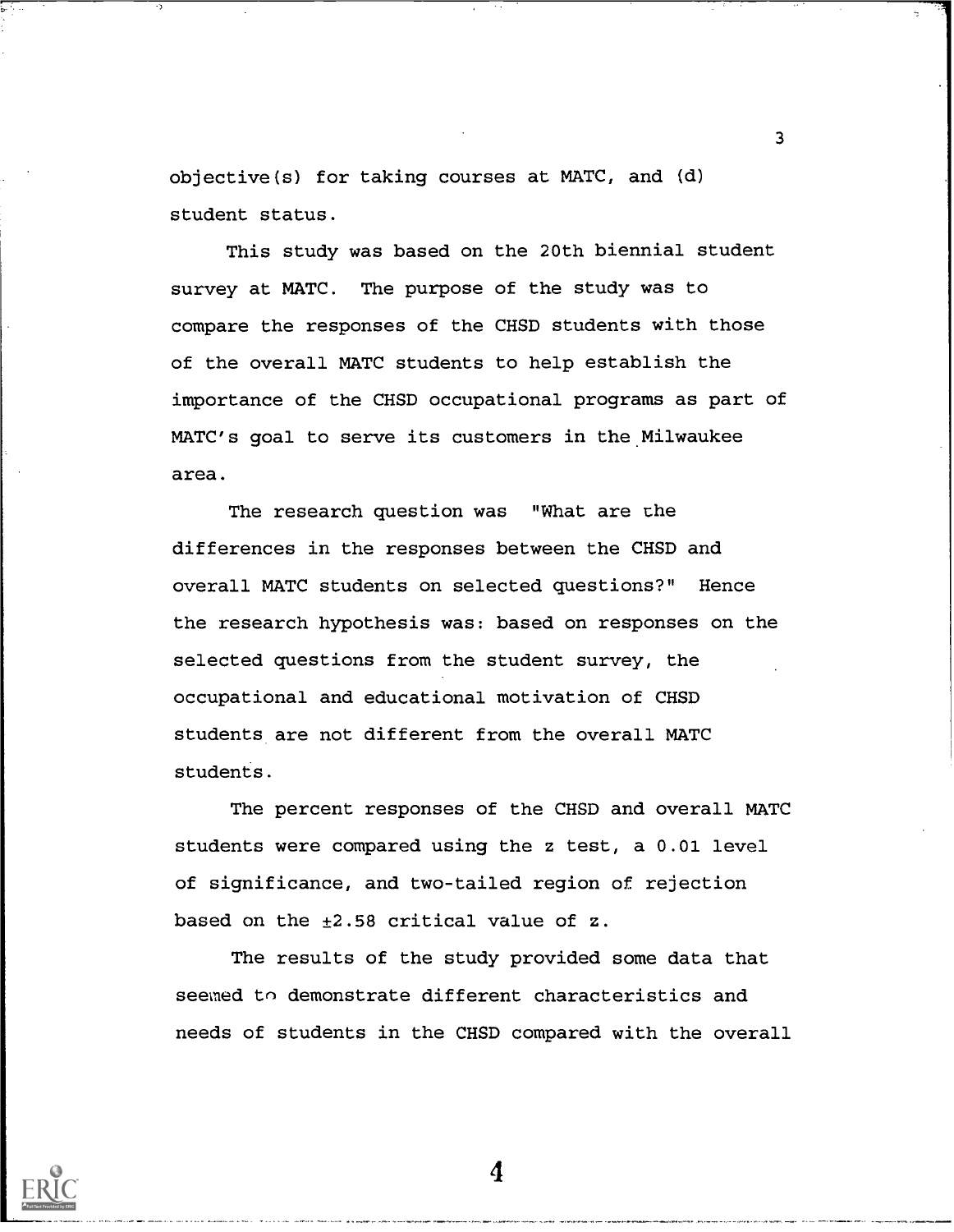objective(s) for taking courses at MATC, and (d) student status.

This study was based on the 20th biennial student survey at MATC. The purpose of the study was to compare the responses of the CHSD students with those of the overall MATC students to help establish the importance of the CHSD occupational programs as part of MATC's goal to serve its customers in the Milwaukee area.

3

The research question was "What are the differences in the responses between the CHSD and overall MATC students on selected questions?" Hence the research hypothesis was: based on responses on the selected questions from the student survey, the occupational and educational motivation of CHSD students are not different from the overall MATC students.

The percent responses of the CHSD and overall MATC students were compared using the z test, a 0.01 level of significance, and two-tailed region of rejection based on the  $\pm 2.58$  critical value of z.

The results of the study provided some data that seemed to demonstrate different characteristics and needs of students in the CHSD compared with the overall

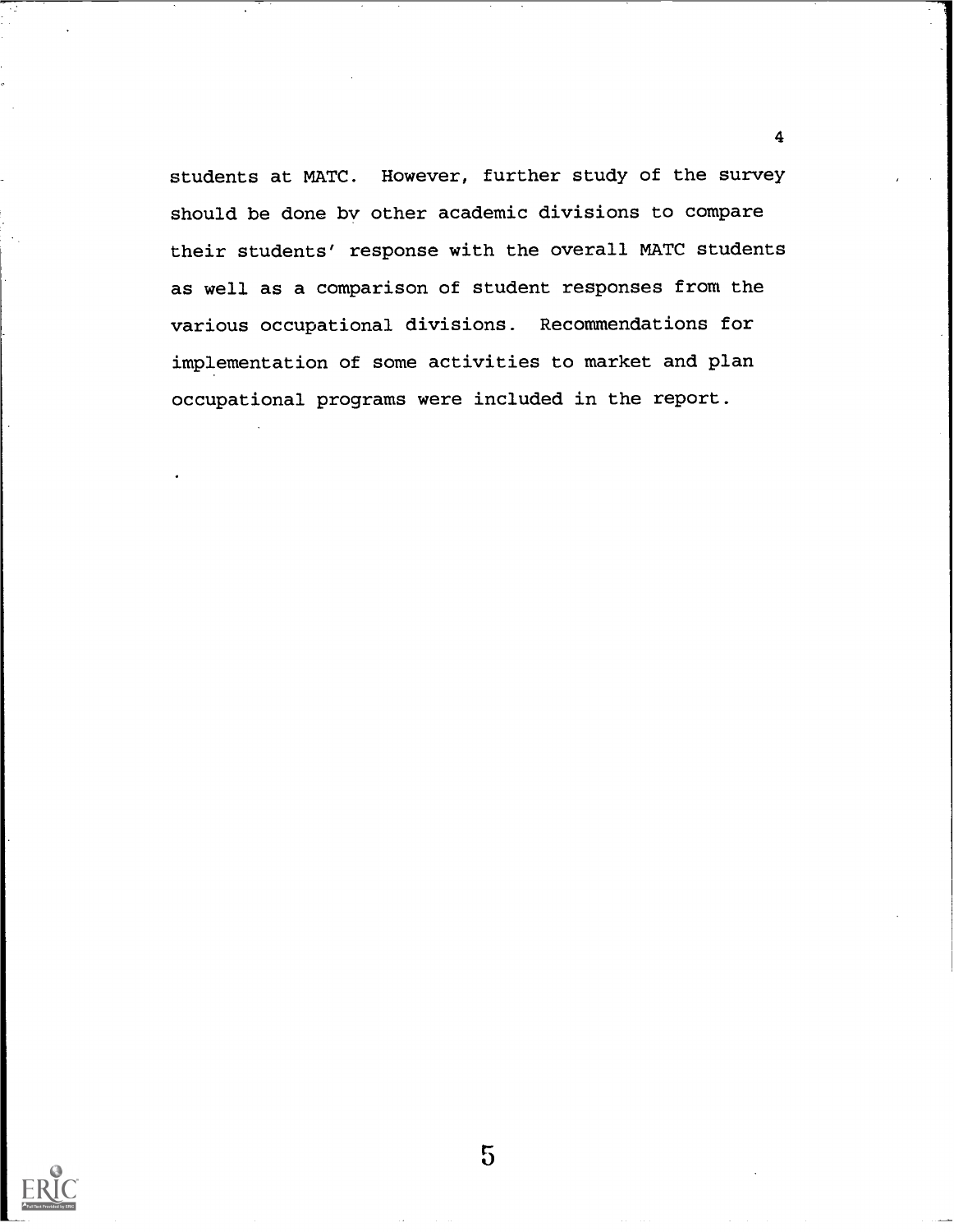students at MATC. However, further study of the survey should be done by other academic divisions to compare their students' response with the overall MATC students as well as a comparison of student responses from the various occupational divisions. Recommendations for implementation of some activities to market and plan occupational programs were included in the report.



5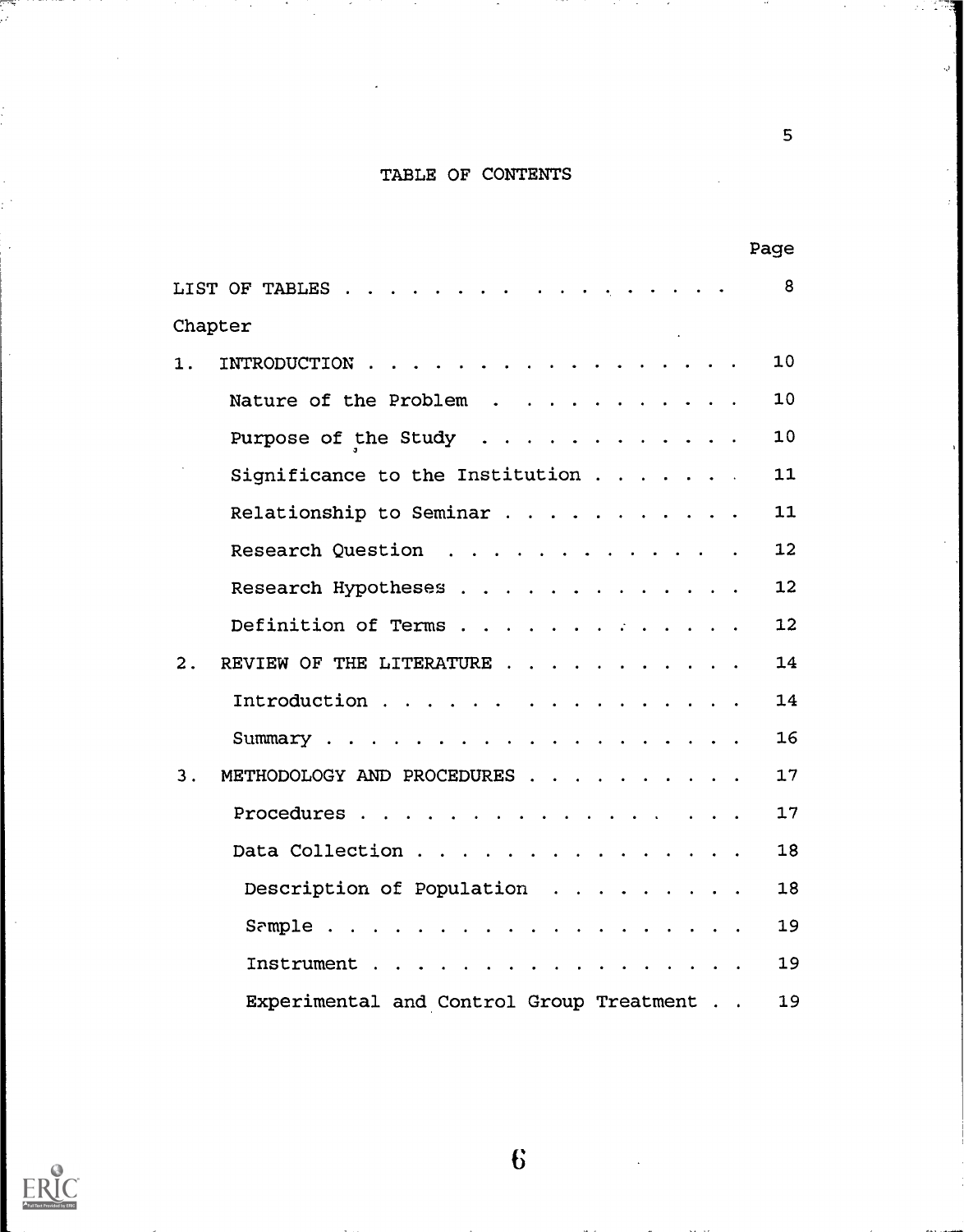## TABLE OF CONTENTS

|                                           | Page |    |
|-------------------------------------------|------|----|
| LIST OF TABLES                            |      | 8  |
| Chapter                                   |      |    |
| 1.<br>INTRODUCTION                        |      | 10 |
| Nature of the Problem                     |      | 10 |
| Purpose of the Study $\cdots$             |      | 10 |
| Significance to the Institution           |      | 11 |
| Relationship to Seminar                   |      | 11 |
| Research Question                         |      | 12 |
| Research Hypotheses                       |      | 12 |
| Definition of Terms                       |      | 12 |
| REVIEW OF THE LITERATURE<br>2.            |      | 14 |
| Introduction                              |      | 14 |
|                                           |      | 16 |
| 3.<br>METHODOLOGY AND PROCEDURES          |      | 17 |
| Procedures                                |      | 17 |
| Data Collection                           |      | 18 |
| Description of Population                 |      | 18 |
|                                           |      | 19 |
| Instrument                                |      | 19 |
| Experimental and Control Group Treatment. |      | 19 |



يسم<br>م

ä,

 $\mathcal{L}$ 

 $\bullet$ 

 $\bf{6}$ 

5

Ő,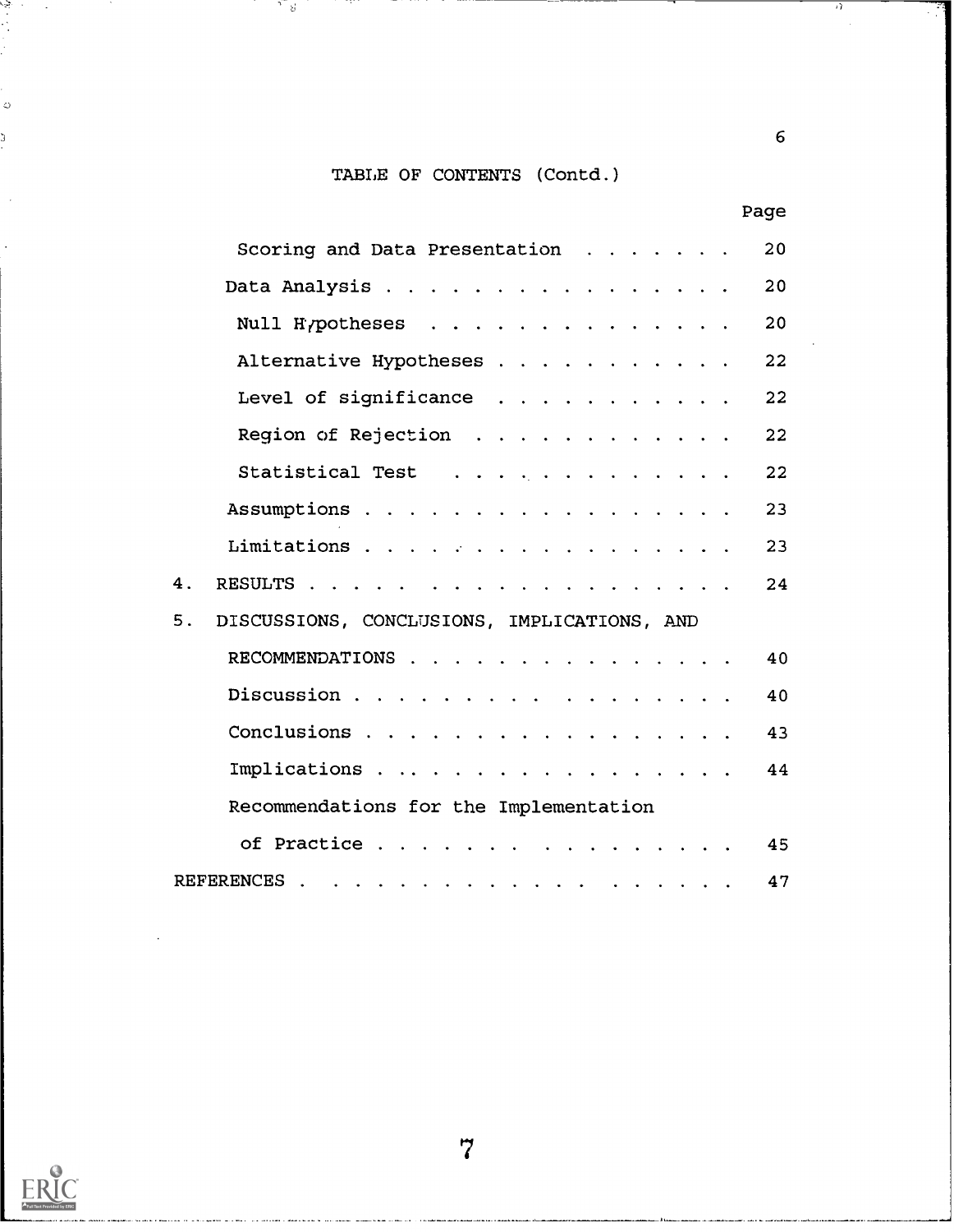## TABLE OF CONTENTS (Contd.)

ਾ ਪ

n sann

|    | Page                                                                         |  |
|----|------------------------------------------------------------------------------|--|
|    | Scoring and Data Presentation<br>20                                          |  |
|    | Data Analysis<br>20                                                          |  |
|    | Null Hypotheses<br>20                                                        |  |
|    | Alternative Hypotheses<br>22 <sub>2</sub>                                    |  |
|    | Level of significance<br>22                                                  |  |
|    | Region of Rejection<br>22                                                    |  |
|    | Statistical Test<br>22                                                       |  |
|    | Assumptions<br>23                                                            |  |
|    | Limitations<br>23                                                            |  |
| 4. | 24                                                                           |  |
| 5. | DISCUSSIONS, CONCLUSIONS, IMPLICATIONS, AND                                  |  |
|    | RECOMMENDATIONS<br>40                                                        |  |
|    | Discussion<br>40                                                             |  |
|    | Conclusions<br>43                                                            |  |
|    | Implications<br>44                                                           |  |
|    | Recommendations for the Implementation                                       |  |
|    | of Practice<br>45                                                            |  |
|    | REFERENCES.<br>47<br>المناقب فالقارف التقارف المناقب فالقارف والقارف والقارف |  |



 $\ddot{\ddot{\theta}}$ 

 $\bar{\phi}$ 

J

 $\sim$ 

متبدي والمستشفين

والمستوارين ومعتدل

 $6\overline{6}$ 

-7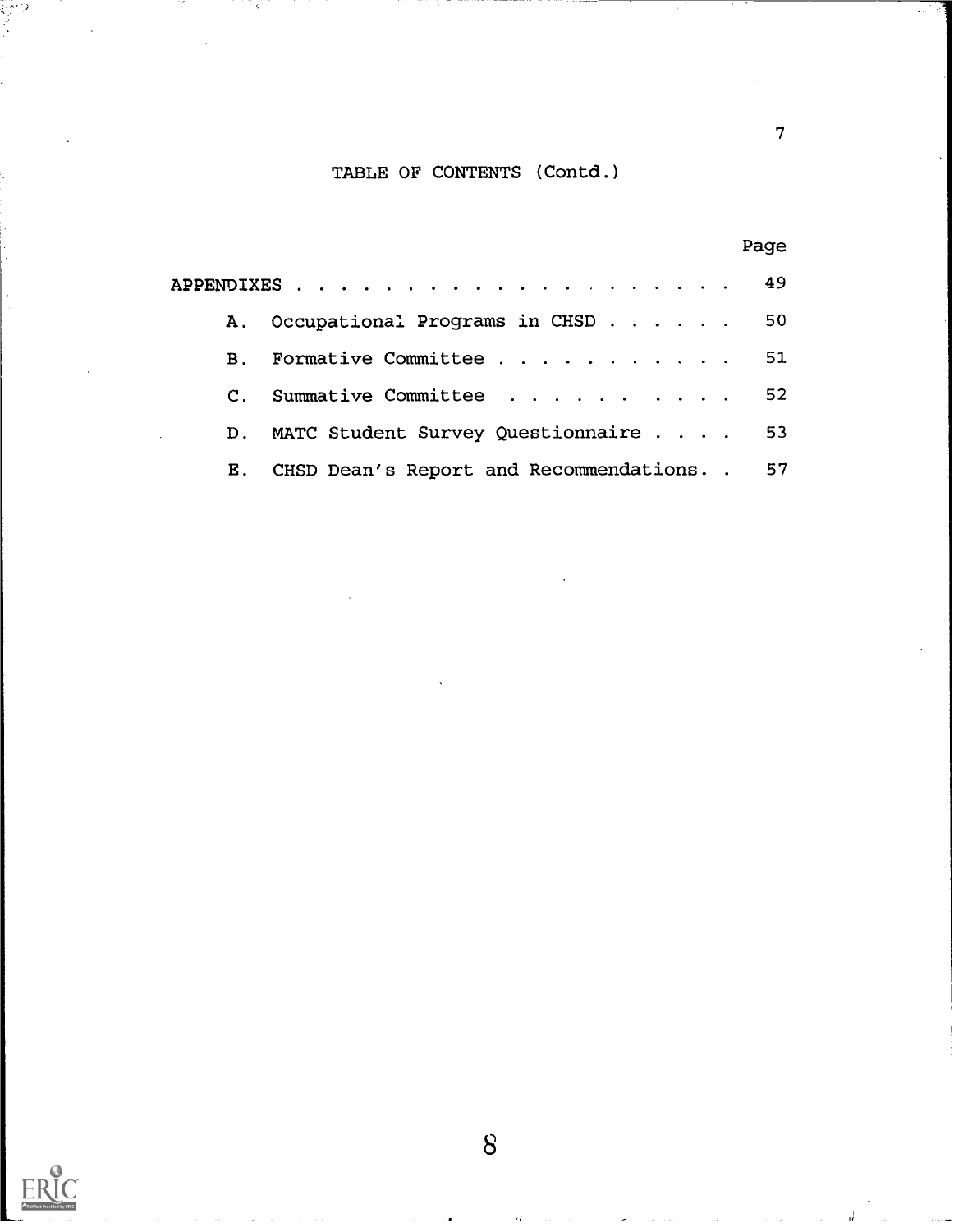## TABLE OF CONTENTS (Contd.)

7

|                |                                              | Page |
|----------------|----------------------------------------------|------|
|                |                                              |      |
|                | A. Occupational Programs in CHSD 50          |      |
| $\mathbf{B}$ . | Formative Committee 51                       |      |
|                | C. Summative Committee 52                    |      |
| D.             | MATC Student Survey Questionnaire 53         |      |
| $\mathbf{E}$ . | CHSD Dean's Report and Recommendations. . 57 |      |

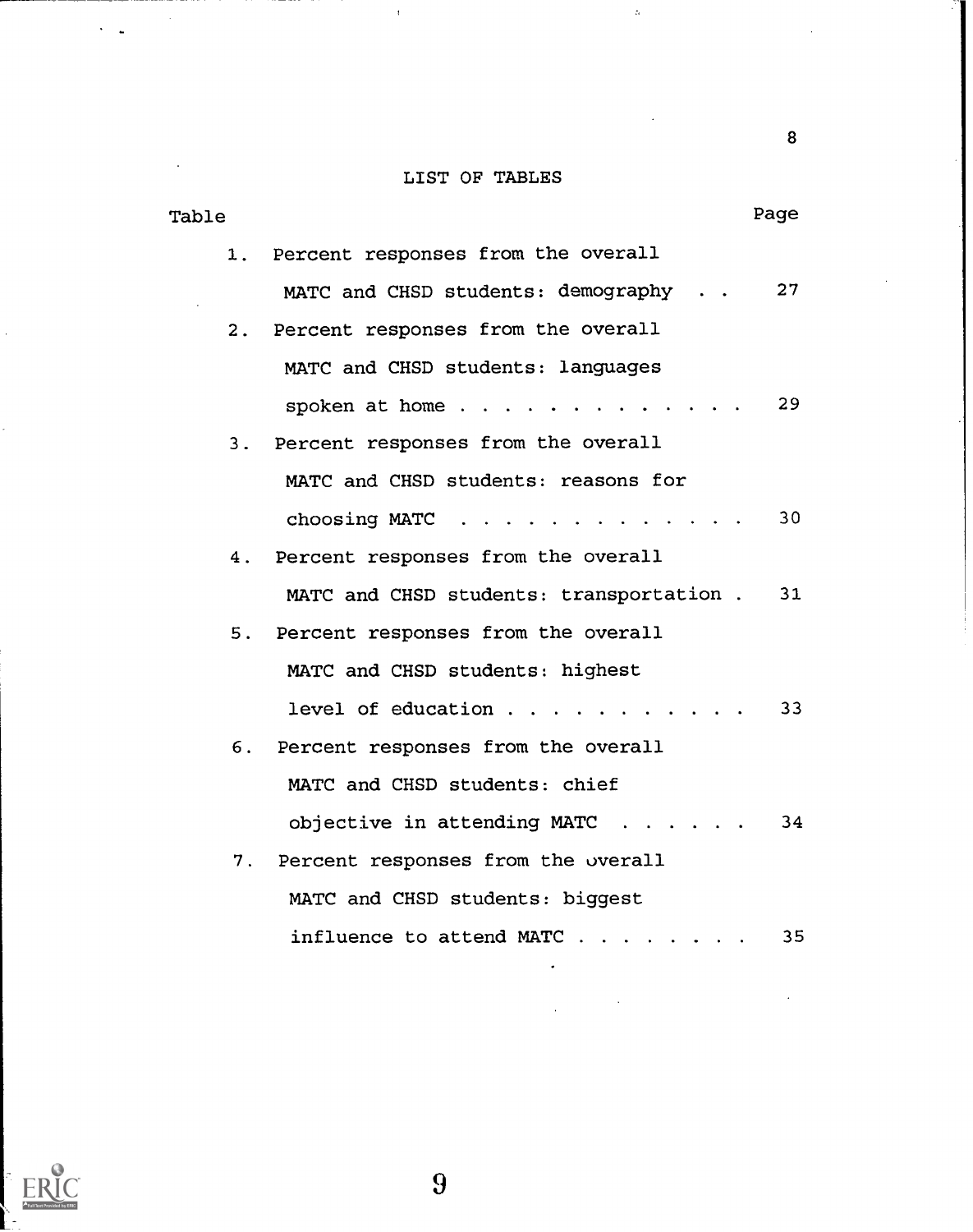## LIST OF TABLES

 $\bar{t}$ 

 $\bar{z}$ 

 $\ddot{\phantom{0}}$  $\overline{a}$ 

| Table                                       | Page |
|---------------------------------------------|------|
| 1. Percent responses from the overall       |      |
| MATC and CHSD students: demography 27       |      |
| 2. Percent responses from the overall       |      |
| MATC and CHSD students: languages           |      |
| spoken at home $29$                         |      |
| 3. Percent responses from the overall       |      |
| MATC and CHSD students: reasons for         |      |
| choosing MATC $\ldots$ ,  30                |      |
| Percent responses from the overall<br>4.    |      |
| MATC and CHSD students: transportation . 31 |      |
| 5. Percent responses from the overall       |      |
| MATC and CHSD students: highest             |      |
| level of education                          | 33   |
| 6. Percent responses from the overall       |      |
| MATC and CHSD students: chief               |      |
| objective in attending MATC 34              |      |
| 7. Percent responses from the overall       |      |
| MATC and CHSD students: biggest             |      |
| influence to attend $MATC$                  | 35   |



 $\overline{9}$ 

8

 $\hat{\mathbf{a}}$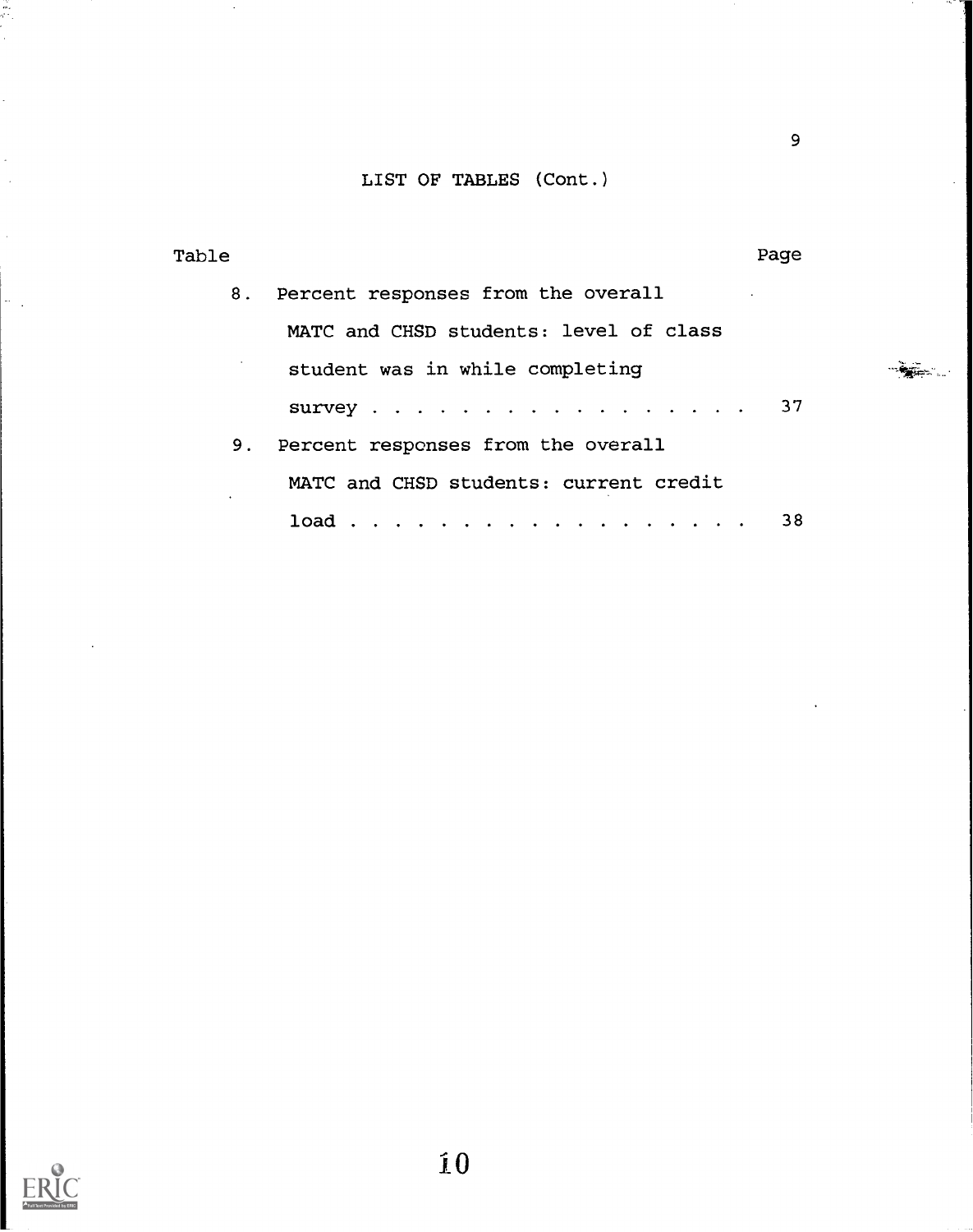## LIST OF TABLES (Cont.)

| Table |    | Page                                                                                                                |  |
|-------|----|---------------------------------------------------------------------------------------------------------------------|--|
|       | 8. | Percent responses from the overall                                                                                  |  |
|       |    | MATC and CHSD students: level of class                                                                              |  |
|       |    | student was in while completing                                                                                     |  |
|       |    | survey 37                                                                                                           |  |
|       |    | 9. Percent responses from the overall                                                                               |  |
|       |    | MATC and CHSD students: current credit                                                                              |  |
|       |    | $load \cdot \cdot \cdot \cdot \cdot \cdot \cdot \cdot \cdot \cdot \cdot \cdot \cdot \cdot \cdot \cdot \cdot$<br>-38 |  |

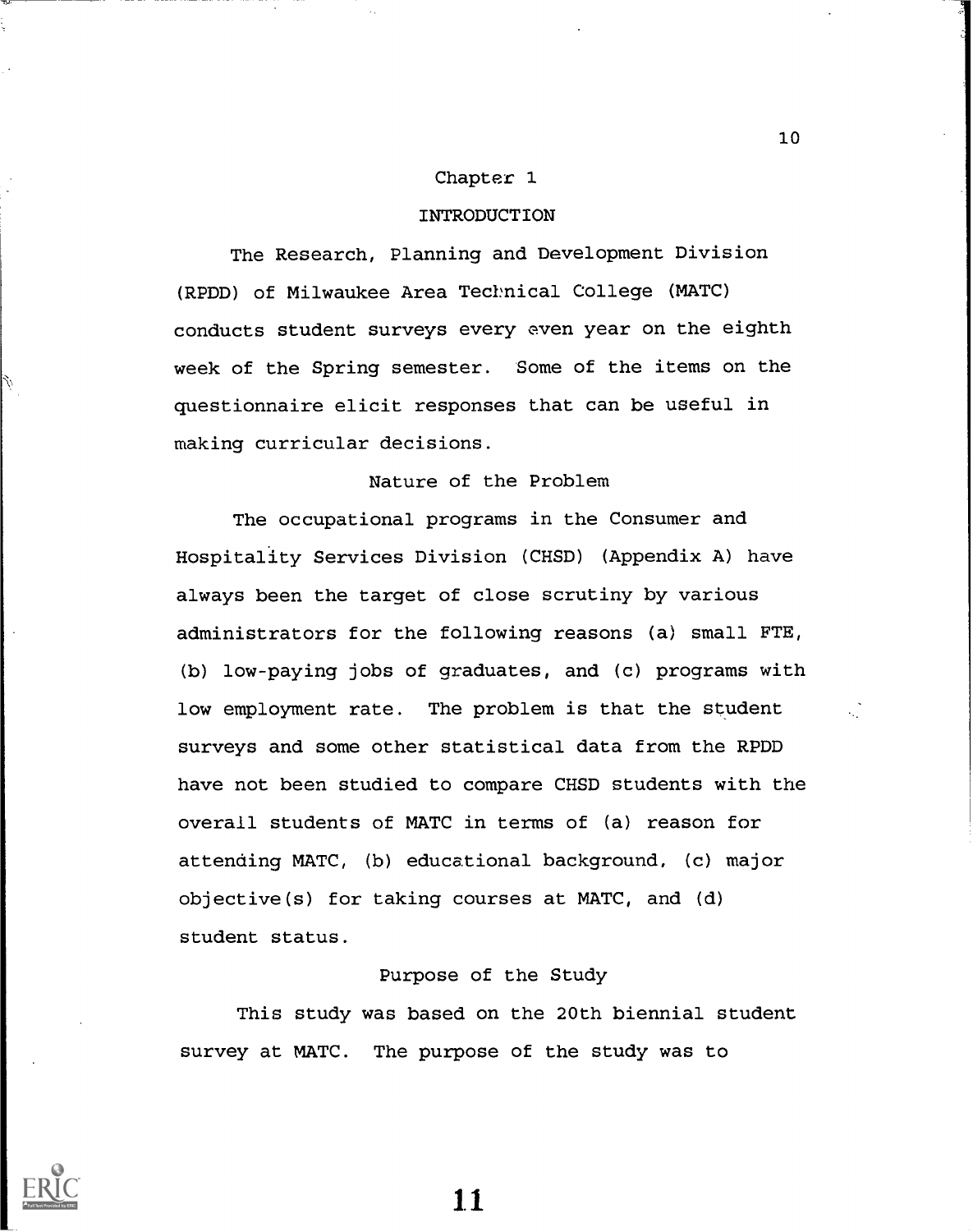#### Chapter 1

### INTRODUCTION

The Research, Planning and Development Division (RPDD) of Milwaukee Area Technical College (MATC) conducts student surveys every even year on the eighth week of the Spring semester. Some of the items on the questionnaire elicit responses that can be useful in making curricular decisions.

## Nature of the Problem

The occupational programs in the Consumer and Hospitality Services Division (CHSD) (Appendix A) have always been the target of close scrutiny by various administrators for the following reasons (a) small FTE, (b) low-paying jobs of graduates, and (c) programs with low employment rate. The problem is that the student surveys and some other statistical data from the RPDD have not been studied to compare CHSD students with the overall students of MATC in terms of (a) reason for attending MATC, (b) educational background, (c) major objective(s) for taking courses at MATC, and (d) student status.

## Purpose of the Study

This study was based on the 20th biennial student survey at MATC. The purpose of the study was to



Ù

11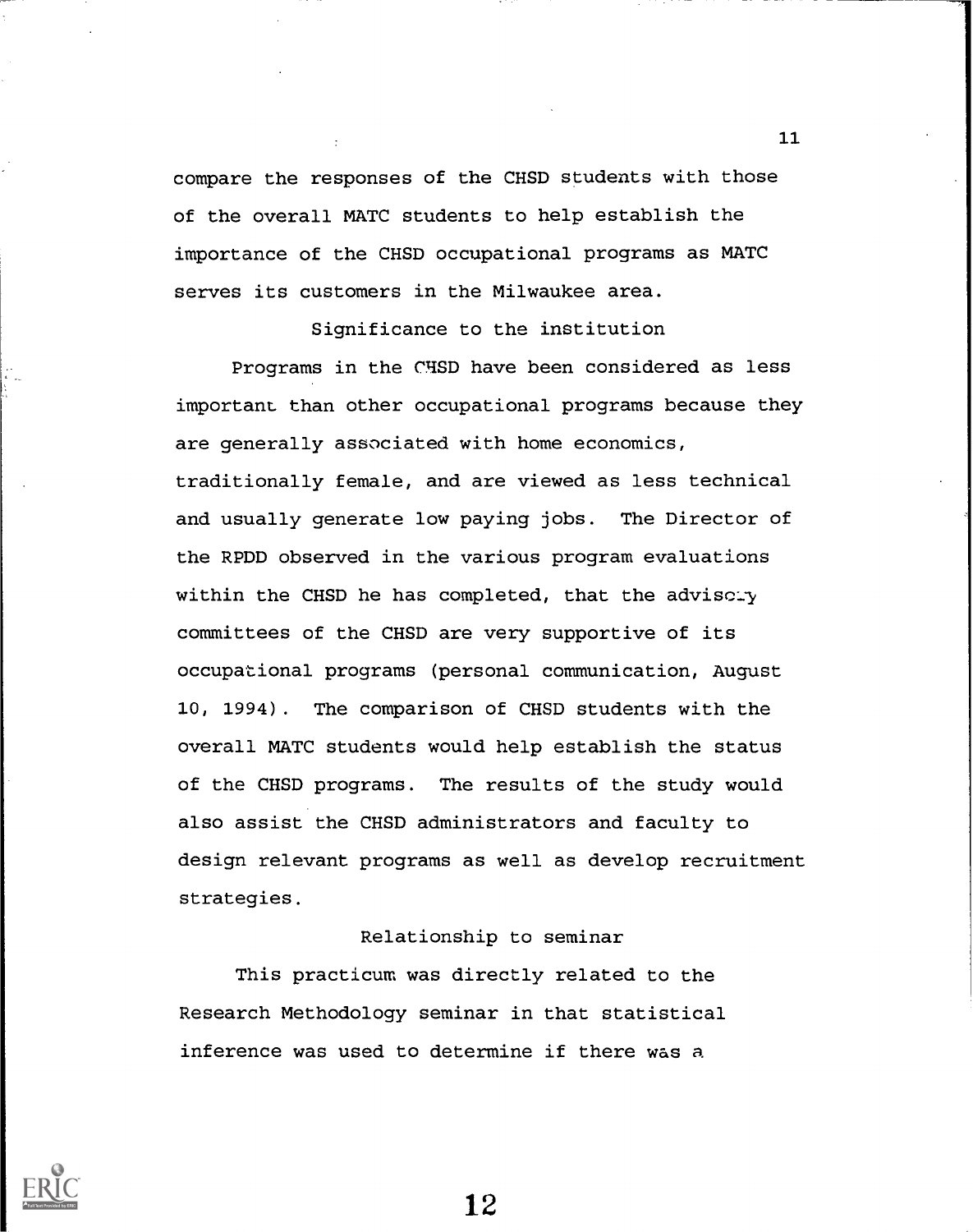compare the responses of the CHSD students with those of the overall MATC students to help establish the importance of the CHSD occupational programs as MATC serves its customers in the Milwaukee area.

Significance to the institution

Programs in the CHSD have been considered as less important than other occupational programs because they are generally associated with home economics, traditionally female, and are viewed as less technical and usually generate low paying jobs. The Director of the RPDD observed in the various program evaluations within the CHSD he has completed, that the adviscity committees of the CHSD are very supportive of its occupational programs (personal communication, August 10, 1994). The comparison of CHSD students with the overall MATC students would help establish the status of the CHSD programs. The results of the study would also assist the CHSD administrators and faculty to design relevant programs as well as develop recruitment strategies.

### Relationship to seminar

This practicum was directly related to the Research Methodology seminar in that statistical inference was used to determine if there was a

12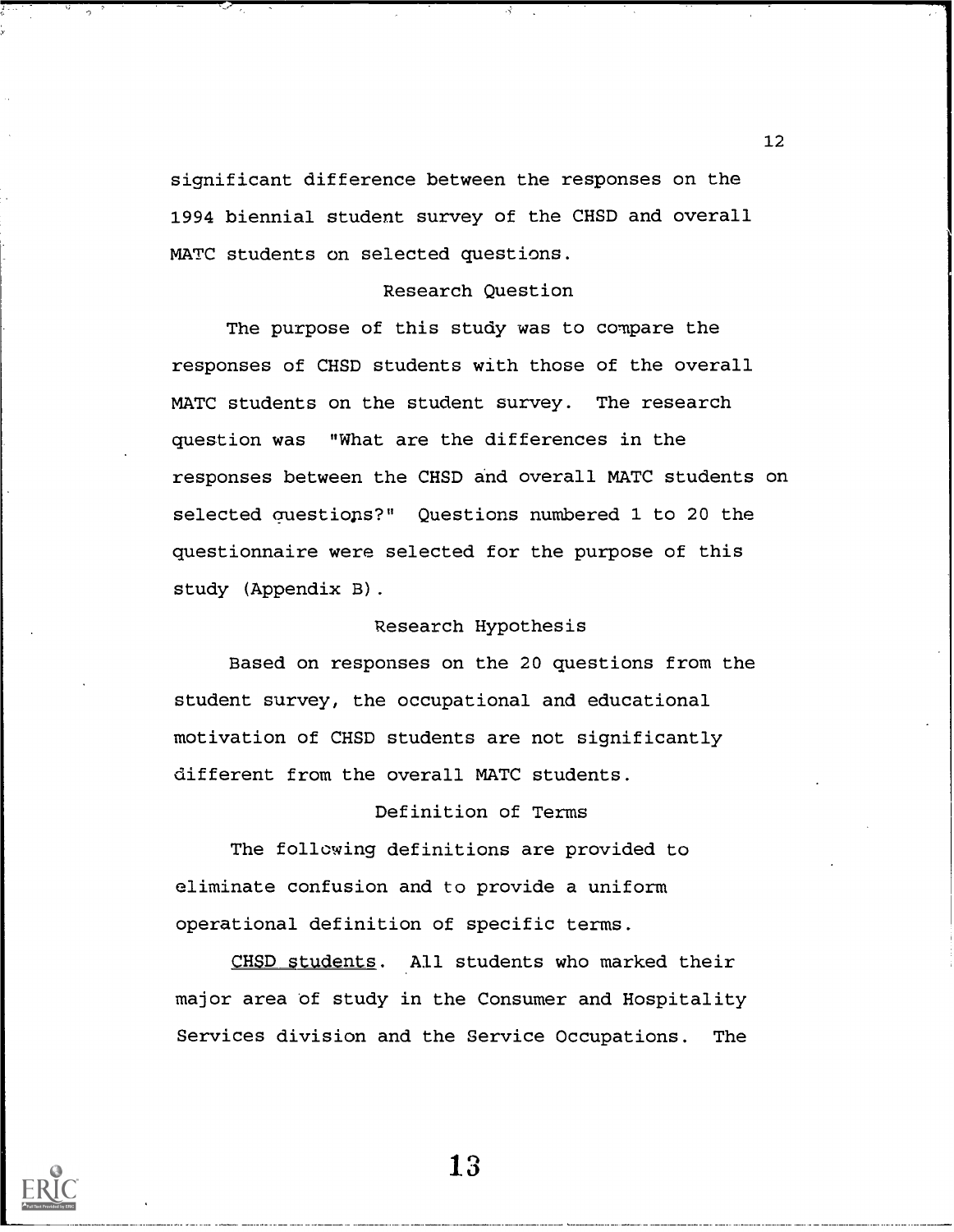significant difference between the responses on the 1994 biennial student survey of the CHSD and overall MATC students on selected questions.

## Research Question

The purpose of this study was to compare the responses of CHSD students with those of the overall MATC students on the student survey. The research question was "What are the differences in the responses between the CHSD and overall MATC students on selected auestiops?" Questions numbered 1 to 20 the questionnaire were selected for the purpose of this study (Appendix B).

## Research Hypothesis

Based on responses on the 20 questions from the student survey, the occupational and educational motivation of CHSD students are not significantly different from the overall MATC students.

## Definition of Terms

The following definitions are provided to eliminate confusion and to provide a uniform operational definition of specific terms.

CHSD students. All students who marked their major area of study in the Consumer and Hospitality Services division and the Service Occupations. The

12

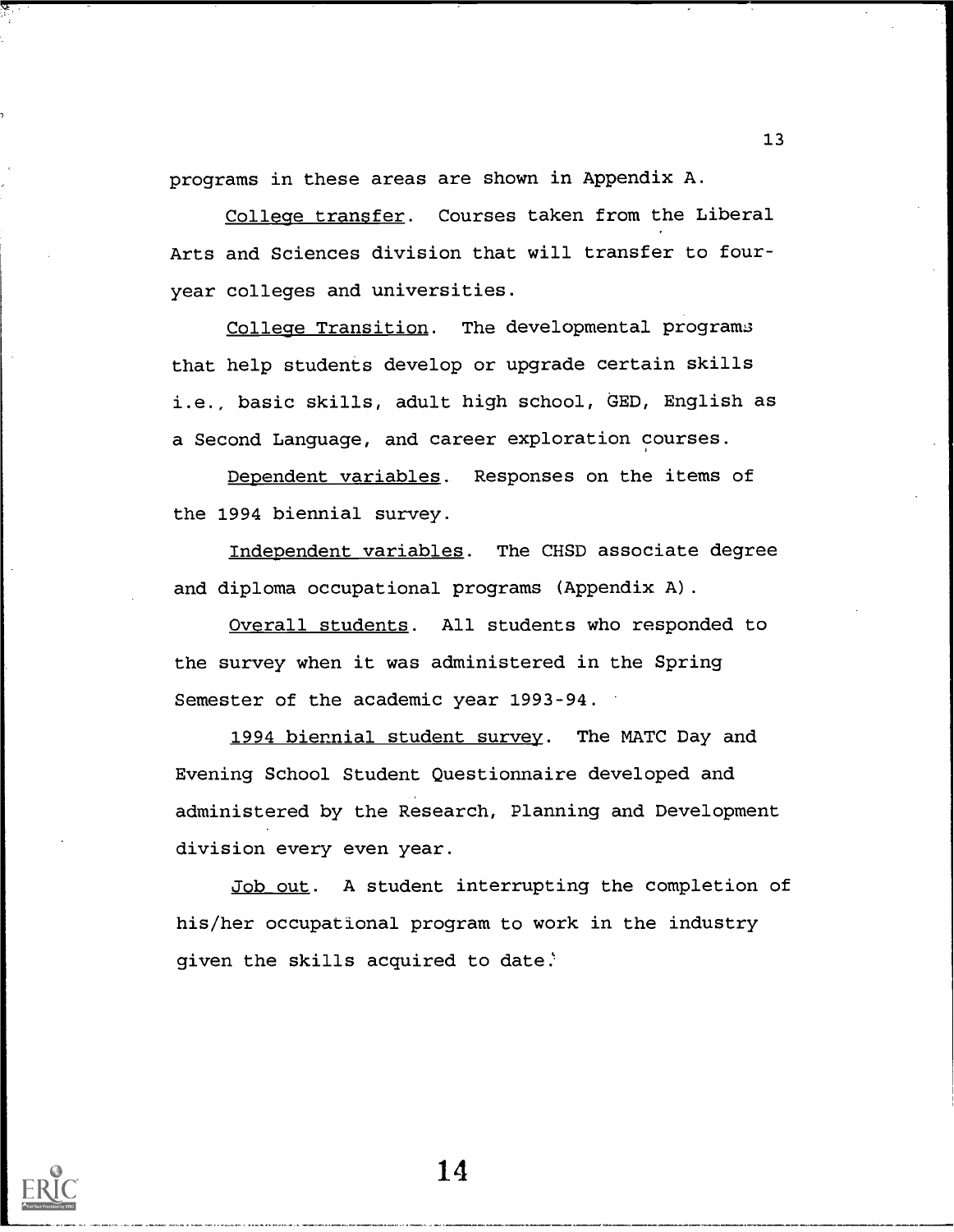programs in these areas are shown in Appendix A.

College transfer. Courses taken from the Liberal Arts and Sciences division that will transfer to fouryear colleges and universities.

College Transition. The developmental programs that help students develop or upgrade certain skills i.e., basic skills, adult high school, GED, English as a Second Language, and career exploration courses.

Dependent variables. Responses on the items of the 1994 biennial survey.

Independent variables. The CHSD associate degree and diploma occupational programs (Appendix A).

Overall students. All students who responded to the survey when it was administered in the Spring Semester of the academic year 1993-94.

1994 biennial student survey. The MATC Day and Evening School Student Questionnaire developed and administered by the Research, Planning and Development division every even year.

Job out. A student interrupting the completion of his/her occupational program to work in the industry given the skills acquired to date.



14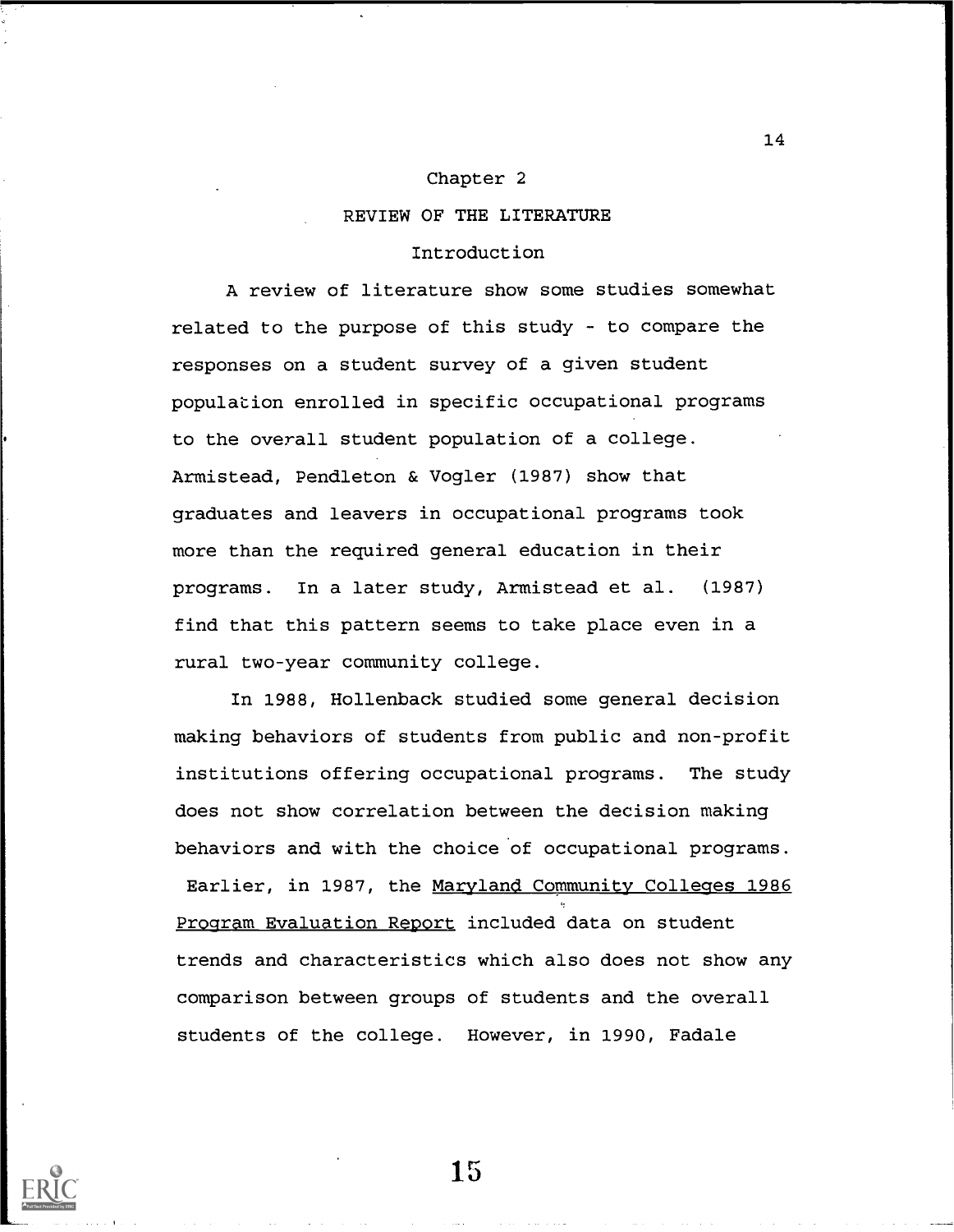## Chapter 2

## REVIEW OF THE LITERATURE

#### Introduction

A review of literature show some studies somewhat related to the purpose of this study  $-$  to compare the responses on a student survey of a given student population enrolled in specific occupational programs to the overall student population of a college. Armistead, Pendleton & Vogler (1987) show that graduates and leavers in occupational programs took more than the required general education in their programs. In a later study, Armistead et al. (1987) find that this pattern seems to take place even in a rural two-year community college.

In 1988, Hollenback studied some general decision making behaviors of students from public and non-profit institutions offering occupational programs. The study does not show correlation between the decision making behaviors and with the choice of occupational programs.

Earlier, in 1987, the Maryland Community Colleges 1986 Program Evaluation Report included data on student trends and characteristics which also does not show any comparison between groups of students and the overall students of the college. However, in 1990, Fadale



15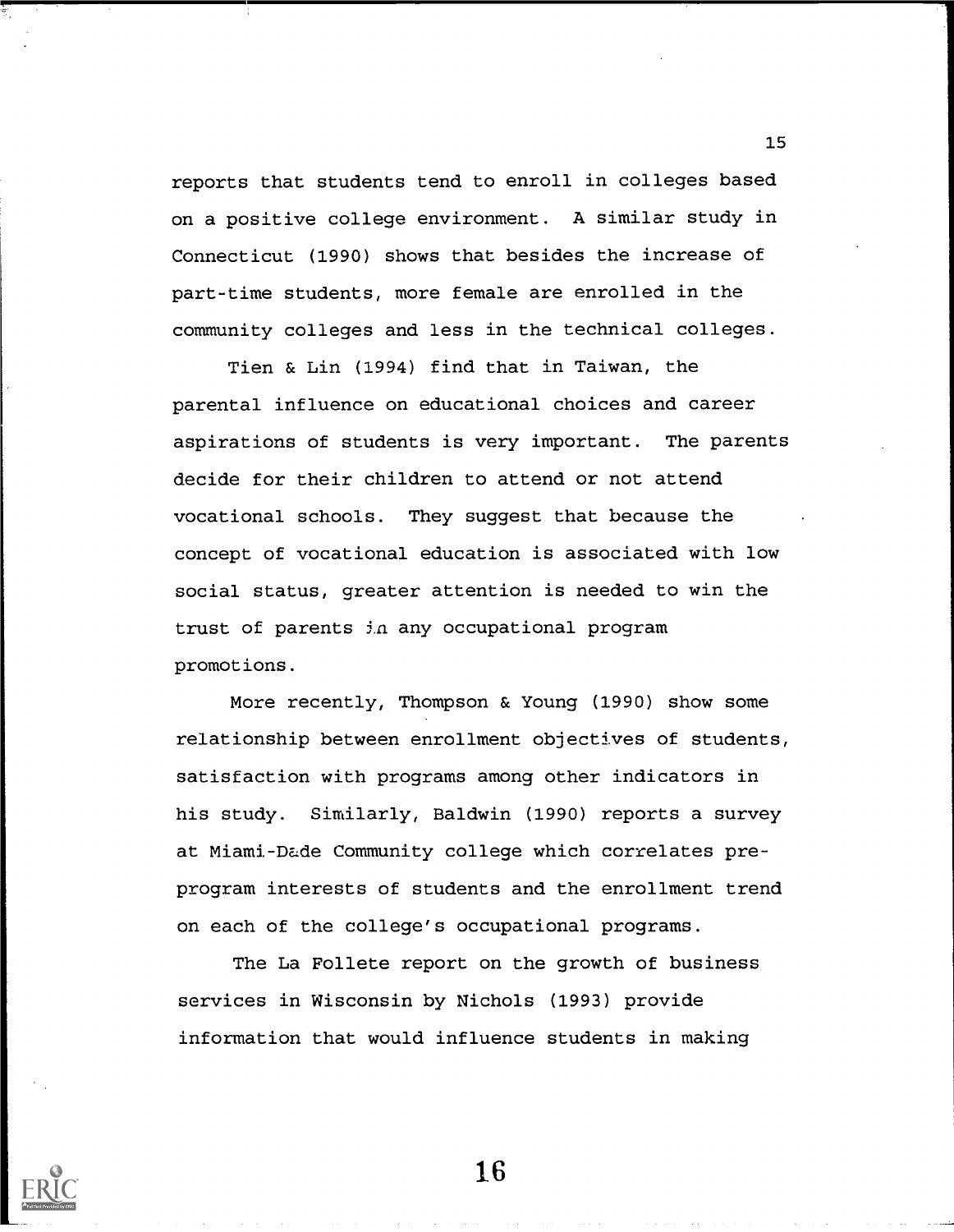reports that students tend to enroll in colleges based on a positive college environment. A similar study in Connecticut (1990) shows that besides the increase of part-time students, more female are enrolled in the community colleges and less in the technical colleges.

Tien & Lin (1994) find that in Taiwan, the parental influence on educational choices and career aspirations of students is very important. The parents decide for their children to attend or not attend vocational schools. They suggest that because the concept of vocational education is associated with low social status, greater attention is needed to win the trust of parents in any occupational program promotions.

More recently, Thompson & Young (1990) show some relationship between enrollment objectives of students, satisfaction with programs among other indicators in his study. Similarly, Baldwin (1990) reports a survey at Miami-Dade Community college which correlates preprogram interests of students and the enrollment trend on each of the college's occupational programs.

The La Follete report on the growth of business services in Wisconsin by Nichols (1993) provide information that would influence students in making



16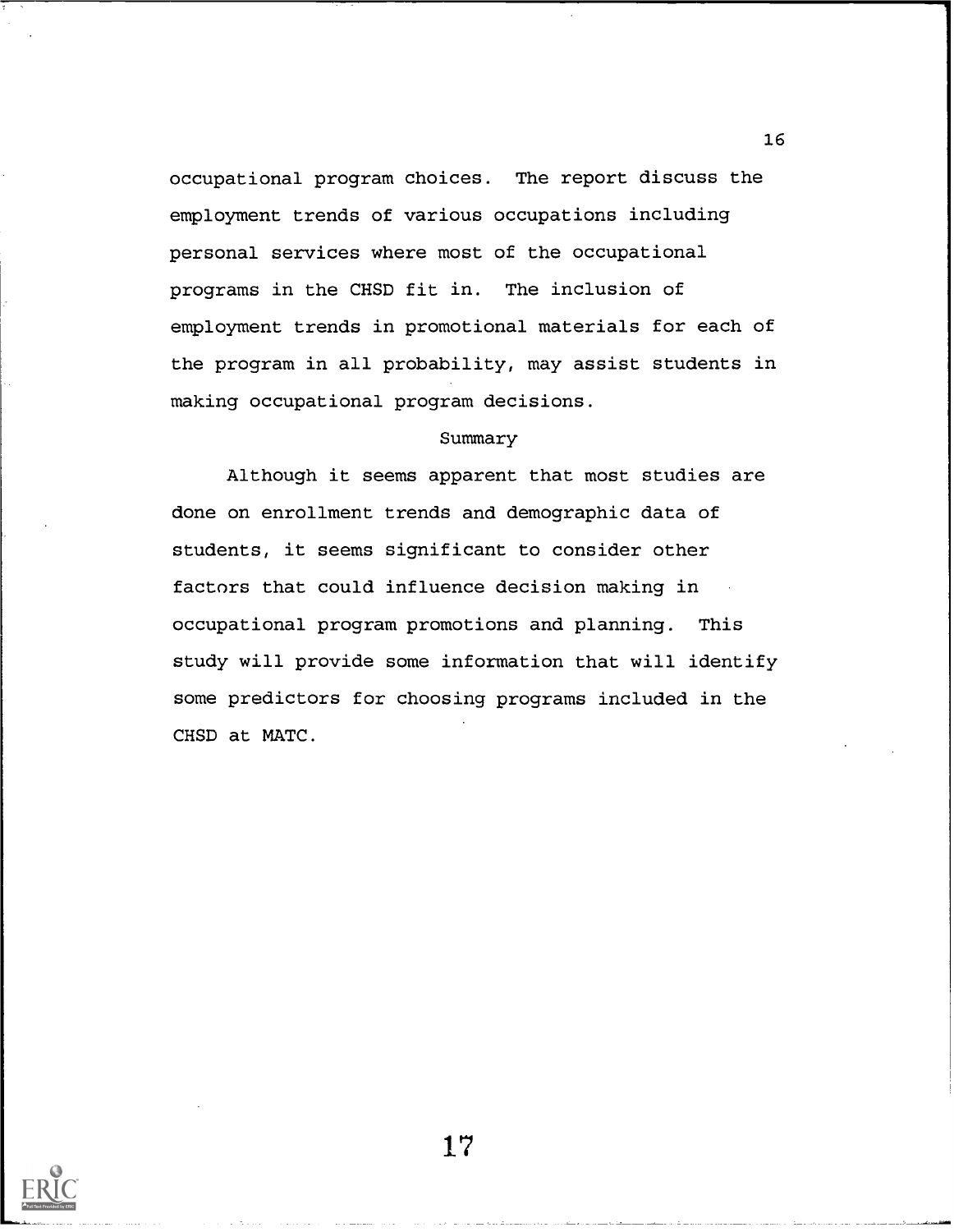occupational program choices. The report discuss the employment trends of various occupations including personal services where most of the occupational programs in the CHSD fit in. The inclusion of employment trends in promotional materials for each of the program in all probability, may assist students in making occupational program decisions.

### Summary

Although it seems apparent that most studies are done on enrollment trends and demographic data of students, it seems significant to consider other factors that could influence decision making in occupational program promotions and planning. This study will provide some information that will identify some predictors for choosing programs included in the CHSD at MATC.



17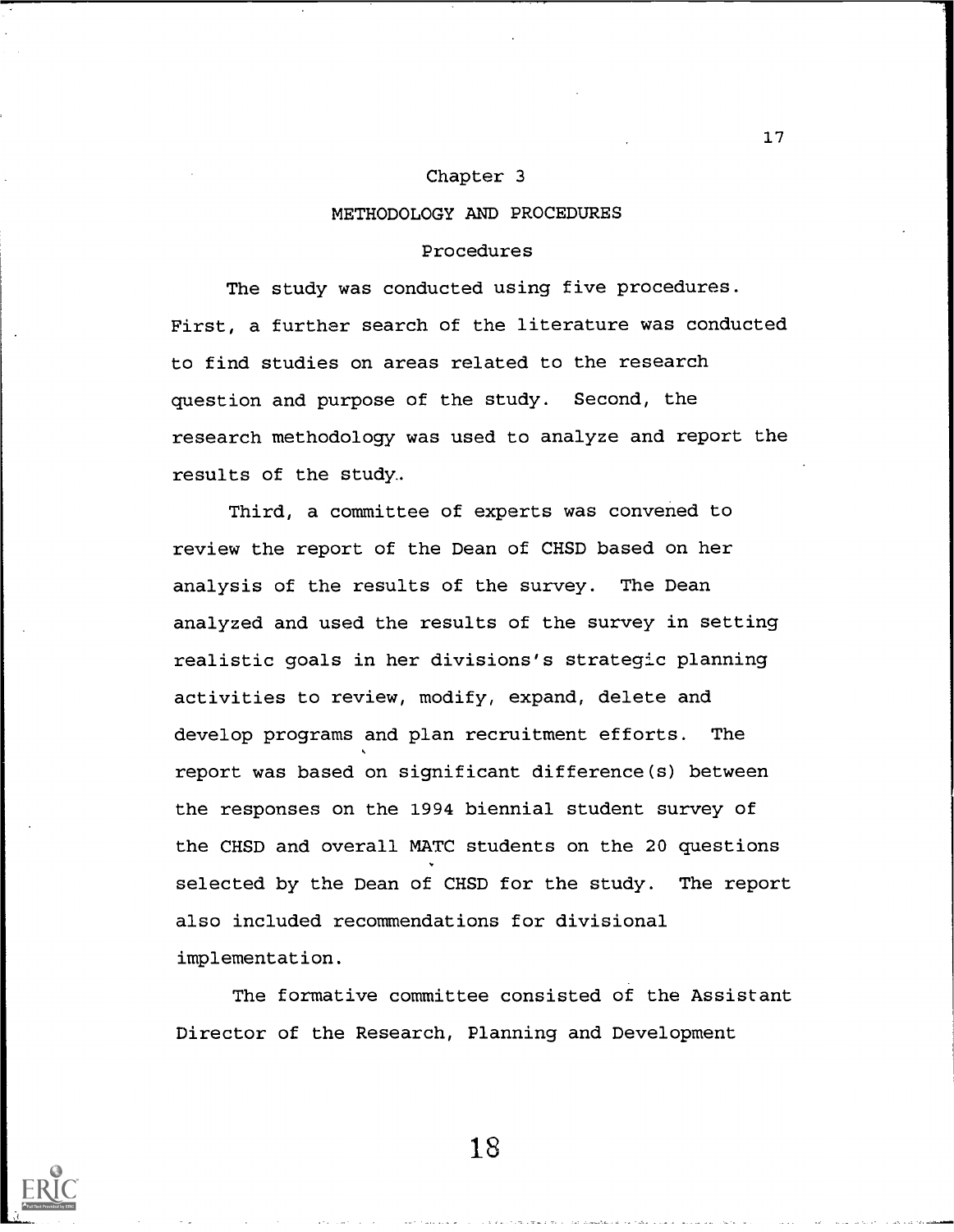#### Chapter 3

#### METHODOLOGY AND PROCEDURES

#### Procedures

The study was conducted using five procedures. First, a further search of the literature was conducted to find studies on areas related to the research question and purpose of the study. Second, the research methodology was used to analyze and report the results of the study.

Third, a committee of experts was convened to review the report of the Dean of CHSD based on her analysis of the results of the survey. The Dean analyzed and used the results of the survey in setting realistic goals in her divisions's strategic planning activities to review, modify, expand, delete and develop programs and plan recruitment efforts. The  $\sqrt{2}$ report was based on significant difference(s) between the responses on the 1994 biennial student survey of the CHSD and overall MATC students on the 20 questions selected by the Dean of CHSD for the study. The report also included recommendations for divisional implementation.

The formative committee consisted of the Assistant Director of the Research, Planning and Development



18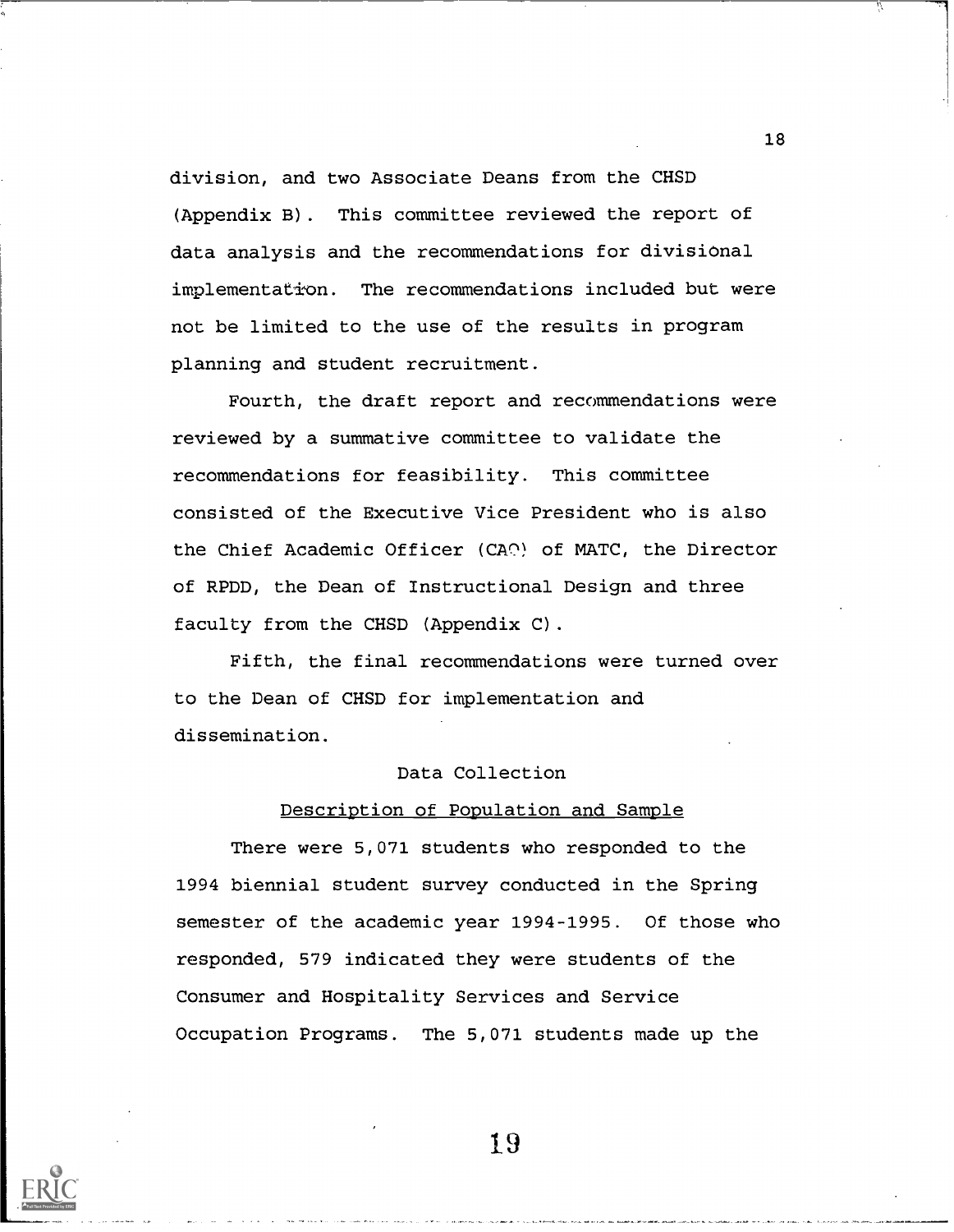division, and two Associate Deans from the CHSD (Appendix B). This committee reviewed the report of data analysis and the recommendations for divisional implementation. The recommendations included but were not be limited to the use of the results in program planning and student recruitment.

Fourth, the draft report and recommendations were reviewed by a summative committee to validate the recommendations for feasibility. This committee consisted of the Executive Vice President who is also the Chief Academic Officer (CA2) of MATC, the Director of RPDD, the Dean of Instructional Design and three faculty from the CHSD (Appendix C).

Fifth, the final recommendations were turned over to the Dean of CHSD for implementation and dissemination.

## Data Collection

### Description of Population and Sample

There were 5,071 students who responded to the 1994 biennial student survey conducted in the Spring semester of the academic year 1994-1995. Of those who responded, 579 indicated they were students of the Consumer and Hospitality Services and Service Occupation Programs. The 5,071 students made up the



19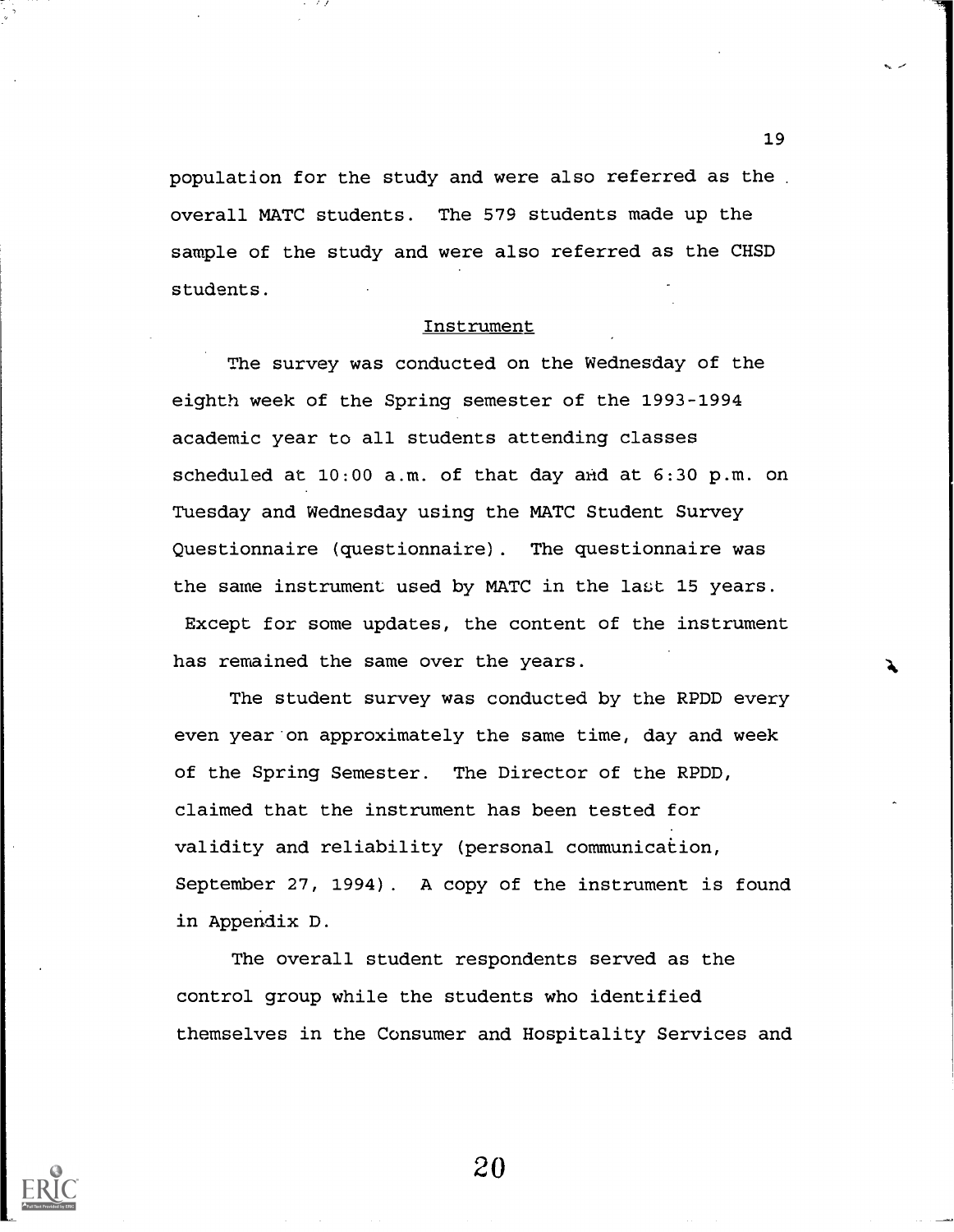population for the study and were also referred as the . overall MATC students. The 579 students made up the sample of the study and were also referred as the CHSD students.

#### **Instrument**

The survey was conducted on the Wednesday of the eighth week of the Spring semester of the 1993-1994 academic year to all students attending classes scheduled at 10:00 a.m. of that day arid at 6:30 p.m. on Tuesday and Wednesday using the MATC Student Survey Questionnaire (questionnaire). The questionnaire was the same instrument used by MATC in the last 15 years.

Except for some updates, the content of the instrument has remained the same over the years.

The student survey was conducted by the RPDD every even year on approximately the same time, day and week of the Spring Semester. The Director of the RPDD, claimed that the instrument has been tested for validity and reliability (personal communication, September 27, 1994). A copy of the instrument is found in Appendix D.

The overall student respondents served as the control group while the students who identified themselves in the Consumer and Hospitality Services and



20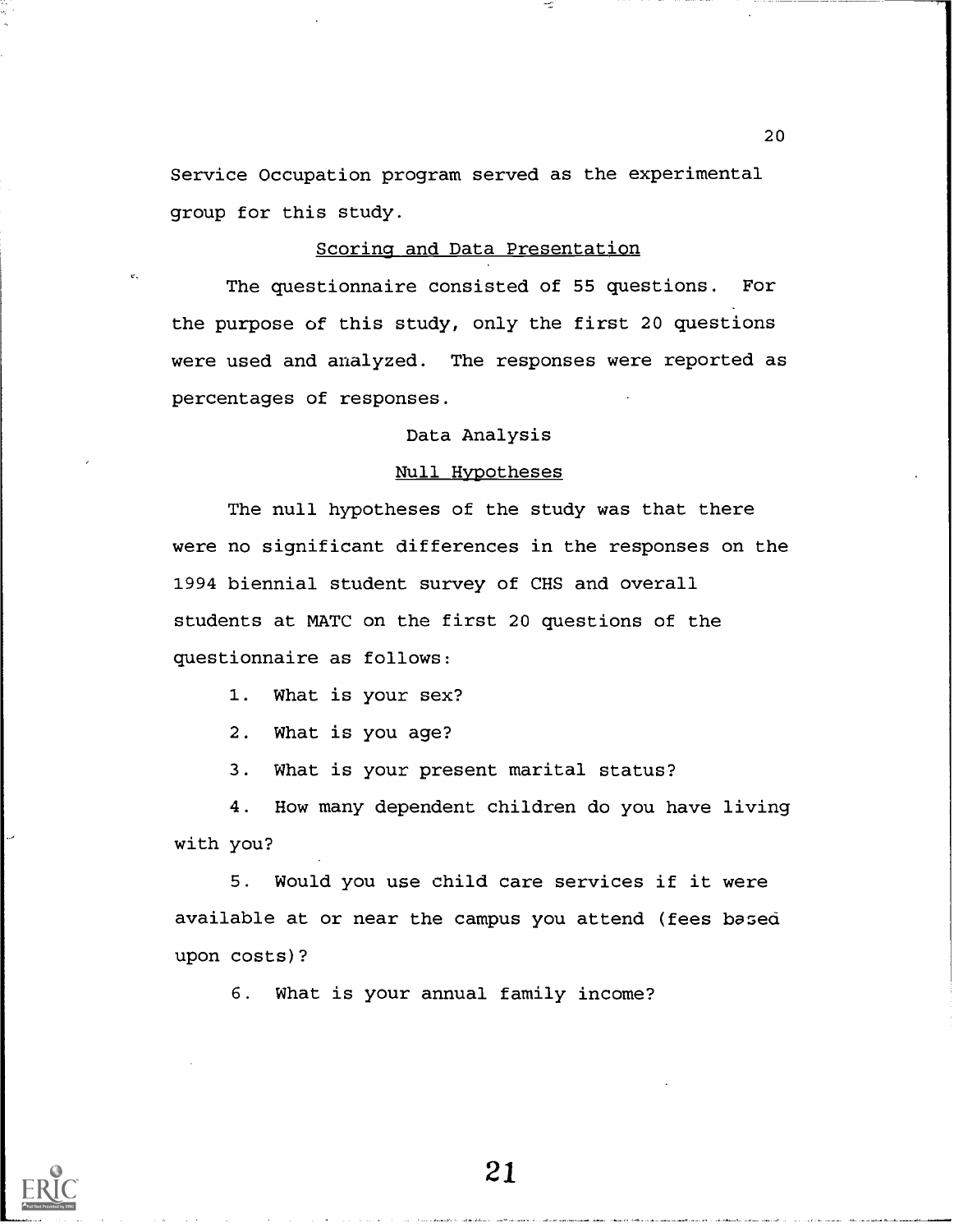Service Occupation program served as the experimental group for this study.

## Scoring and Data Presentation

The questionnaire consisted of 55 questions. For the purpose of this study, only the first 20 questions were used and analyzed. The responses were reported as percentages of responses.

## Data Analysis

## Null Hypotheses

The null hypotheses of the study was that there were no significant differences in the responses on the 1994 biennial student survey of CHS and overall students at MATC on the first 20 questions of the questionnaire as follows:

1. What is your sex?

2. What is you age?

3. What is your present marital status?

4. How many dependent children do you have living with you?

5. Would you use child care services if it were available at or near the campus you attend (fees based upon costs)?

6. What is your annual family income?



21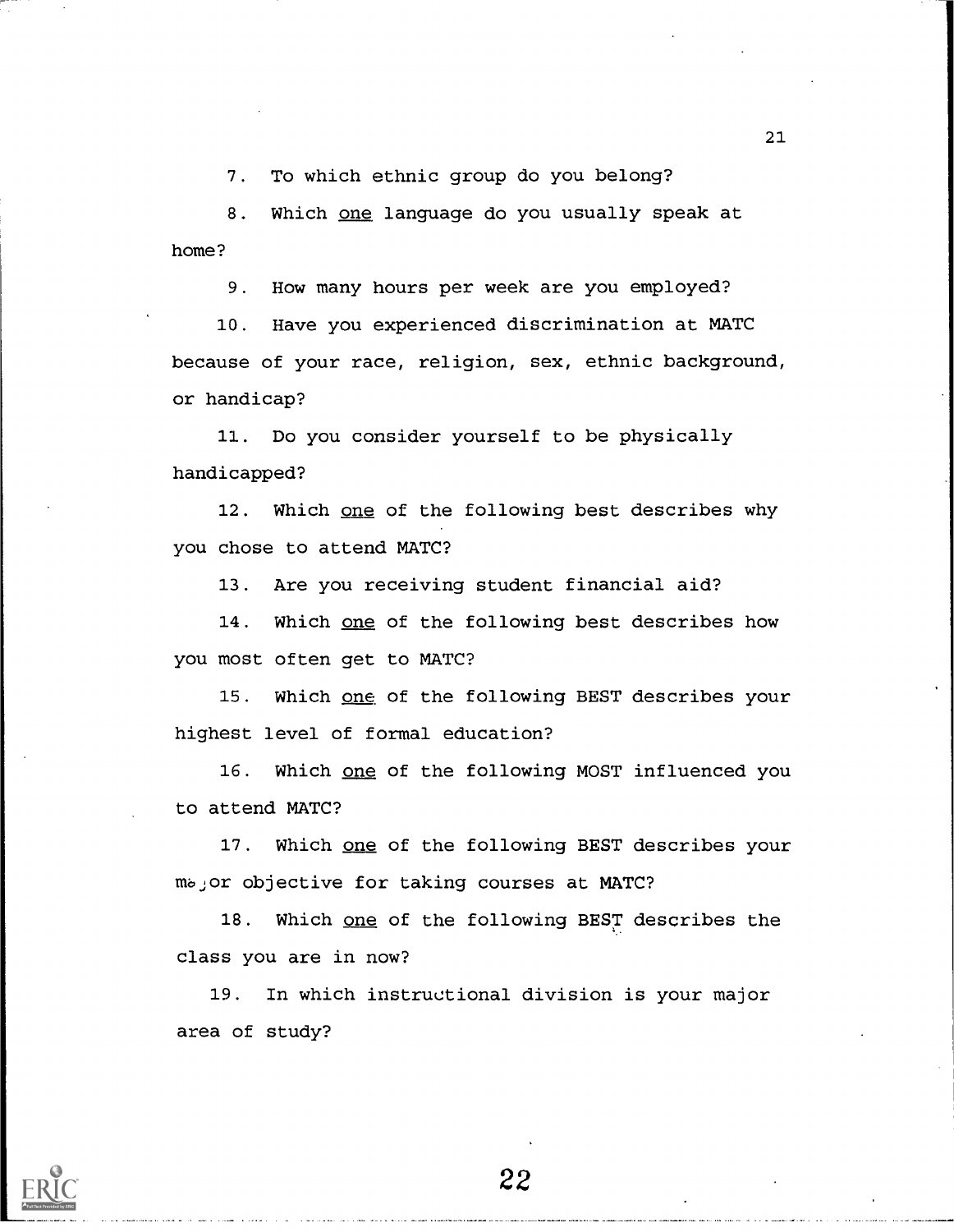7. To which ethnic group do you belong?

8. Which one language do you usually speak at home?

9. How many hours per week are you employed?

10. Have you experienced discrimination at MATC because of your race, religion, sex, ethnic background, or handicap?

11. Do you consider yourself to be physically handicapped?

12. Which one of the following best describes why you chose to attend MATC?

13. Are you receiving student financial aid?

14. Which one of the following best describes how you most often get to MATC?

15. Which one of the following BEST describes your highest level of formal education?

16. Which one of the following MOST influenced you to attend MATC?

17. Which one of the following BEST describes your mbjor objective for taking courses at MATC?

18. Which one of the following BEST describes the class you are in now?

19. In which instructional division is your major area of study?

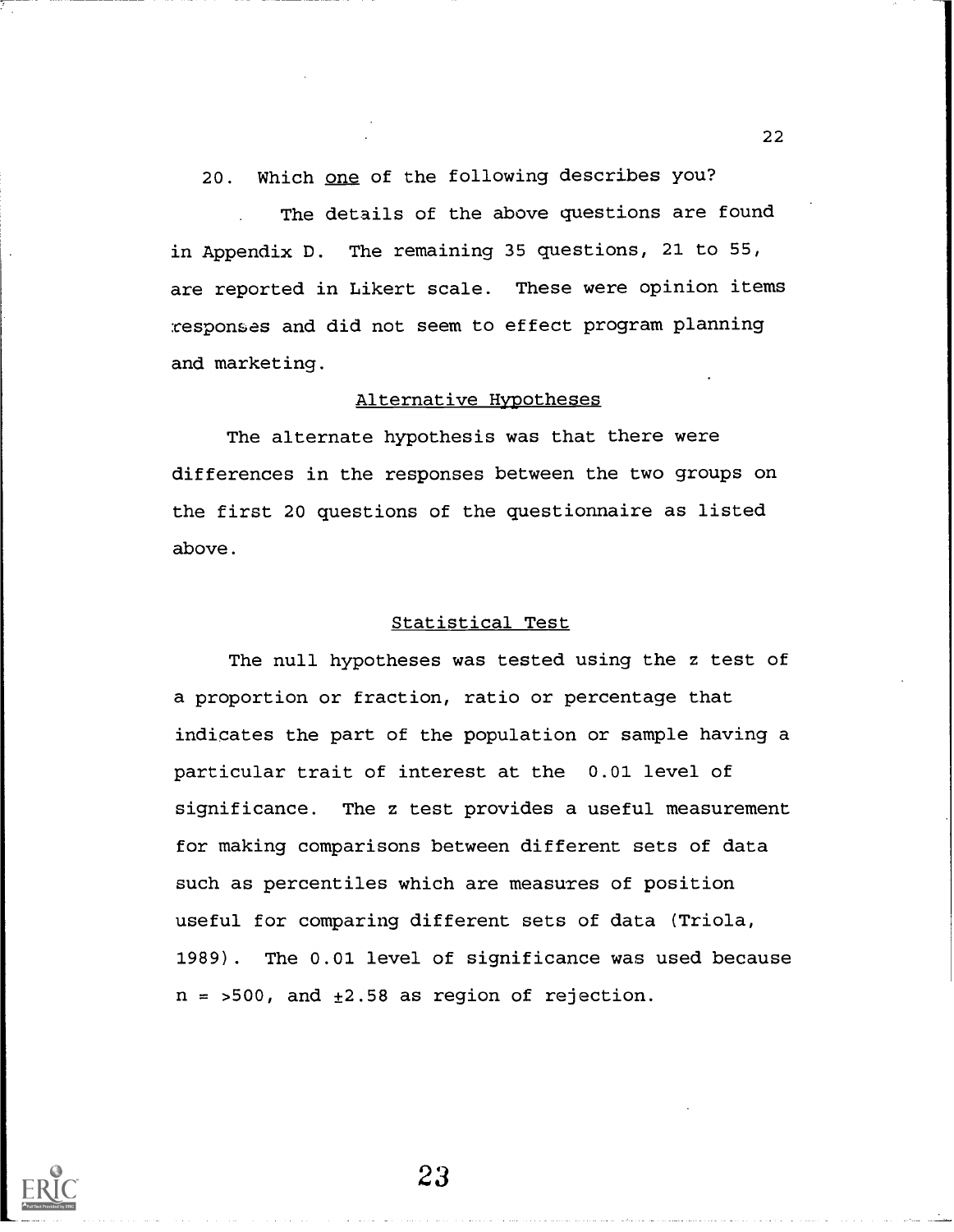20. Which one of the following describes you?

The details of the above questions are found in Appendix D. The remaining 35 questions, 21 to 55, are reported in Likert scale. These were opinion items responses and did not seem to effect program planning and marketing.

## Alternative Hypotheses

The alternate hypothesis was that there were differences in the responses between the two groups on the first 20 questions of the questionnaire as listed above.

#### Statistical Test

The null hypotheses was tested using the z test of a proportion or fraction, ratio or percentage that indicates the part of the population or sample having a particular trait of interest at the 0.01 level of significance. The z test provides a useful measurement for making comparisons between different sets of data such as percentiles which are measures of position useful for comparing different sets of data (Triola, 1989) . The 0.01 level of significance was used because  $n = 500$ , and  $\pm 2.58$  as region of rejection.

23

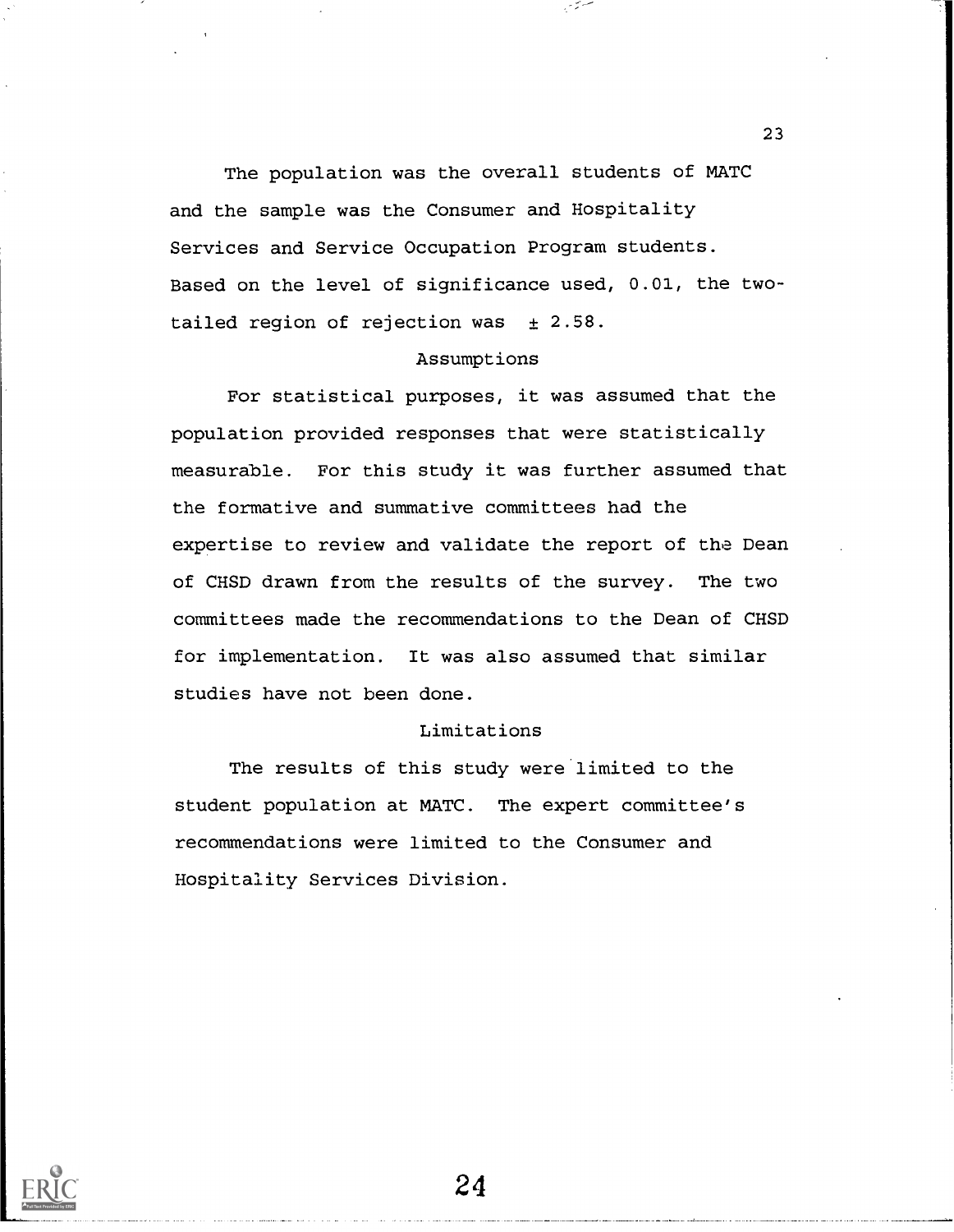The population was the overall students of MATC and the sample was the Consumer and Hospitality Services and Service Occupation Program students. Based on the level of significance used, 0.01, the twotailed region of rejection was  $\pm$  2.58.

## Assumptions

For statistical purposes, it was assumed that the population provided responses that were statistically measurable. For this study it was further assumed that the formative and summative committees had the expertise to review and validate the report of the Dean of CHSD drawn from the results of the survey. The two committees made the recommendations to the Dean of CHSD for implementation. It was also assumed that similar studies have not been done.

## Limitations

The results of this study were limited to the student population at MATC. The expert committee's recommendations were limited to the Consumer and Hospitality Services Division.

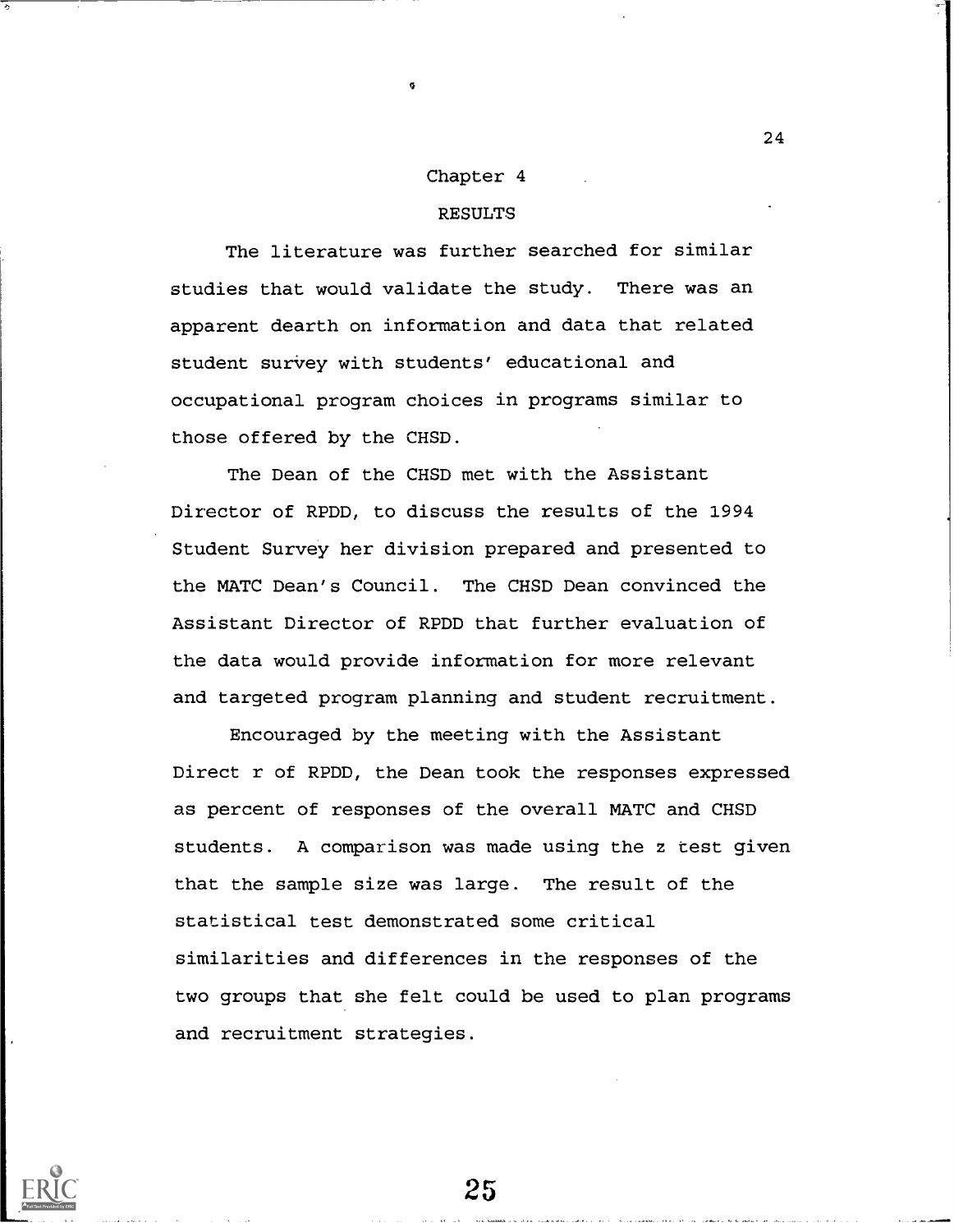### Chapter 4

## RESULTS

The literature was further searched for similar studies that would validate the study. There was an apparent dearth on information and data that related student survey with students' educational and occupational program choices in programs similar to those offered by the CHSD.

The Dean of the CHSD met with the Assistant Director of RPDD, to discuss the results of the 1994 Student Survey her division prepared and presented to the MATC Dean's Council. The CHSD Dean convinced the Assistant Director of RPDD that further evaluation of the data would provide information for more relevant and targeted program planning and student recruitment.

Encouraged by the meeting with the Assistant Direct r of RPDD, the Dean took the responses expressed as percent of responses of the overall MATC and CHSD students. A comparison was made using the z test given that the sample size was large. The result of the statistical test demonstrated some critical similarities and differences in the responses of the two groups that she felt could be used to plan programs and recruitment strategies.

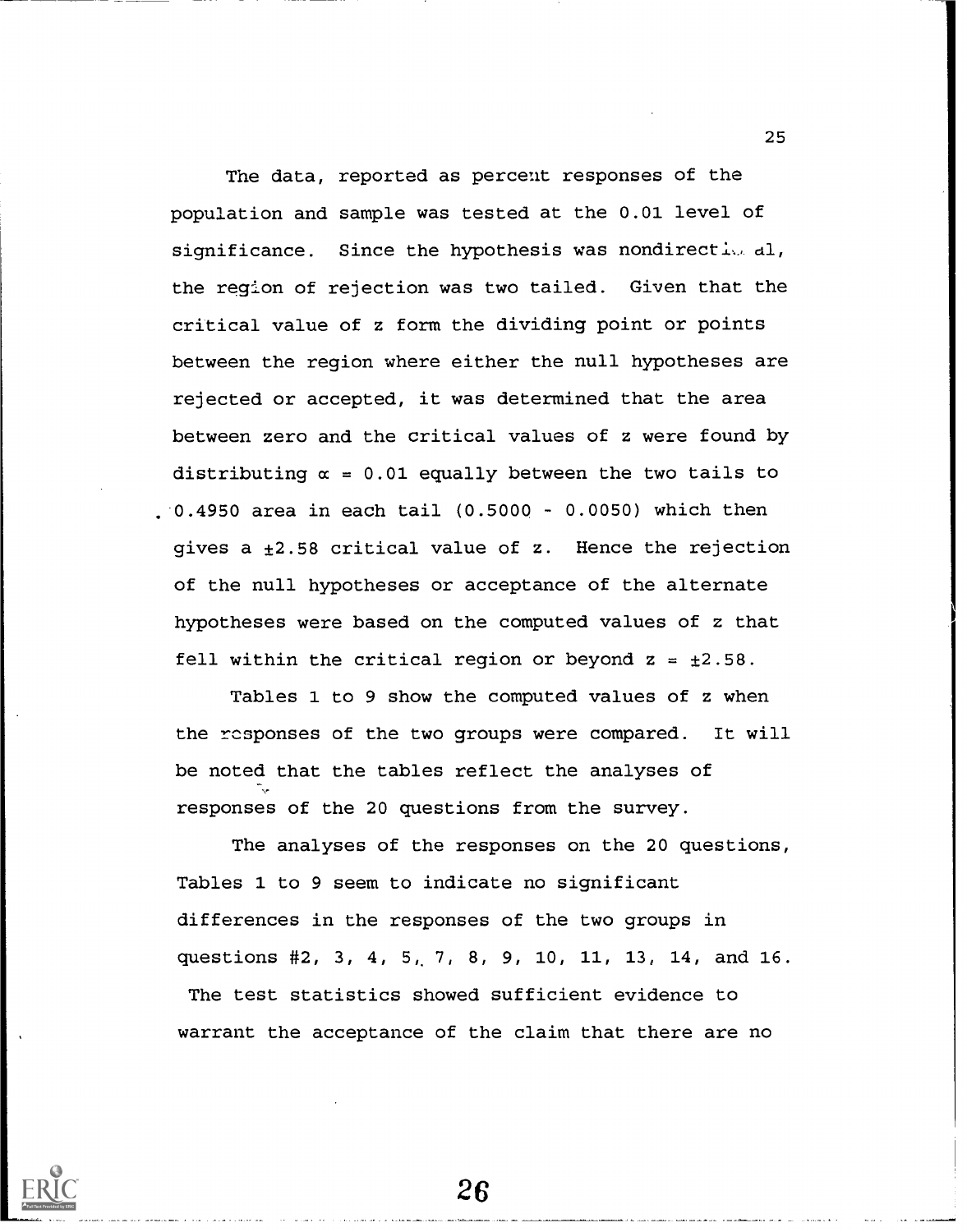The data, reported as percent responses of the population and sample was tested at the 0.01 level of significance. Since the hypothesis was nondirective al, the region of rejection was two tailed. Given that the critical value of z form the dividing point or points between the region where either the null hypotheses are rejected or accepted, it was determined that the area between zero and the critical values of z were found by distributing  $\alpha = 0.01$  equally between the two tails to  $.0.4950$  area in each tail  $(0.5000 - 0.0050)$  which then gives a  $\pm 2.58$  critical value of z. Hence the rejection of the null hypotheses or acceptance of the alternate hypotheses were based on the computed values of z that fell within the critical region or beyond  $z = \pm 2.58$ .

Tables 1 to 9 show the computed values of z when the rcsponses of the two groups were compared. It will be noted that the tables reflect the analyses of responses of the 20 questions from the survey.

The analyses of the responses on the 20 questions, Tables 1 to 9 seem to indicate no significant differences in the responses of the two groups in questions #2, 3, 4, 5, 7, 8, 9, 10, 11, 13, 14, and 16. The test statistics showed sufficient evidence to warrant the acceptance of the claim that there are no

26

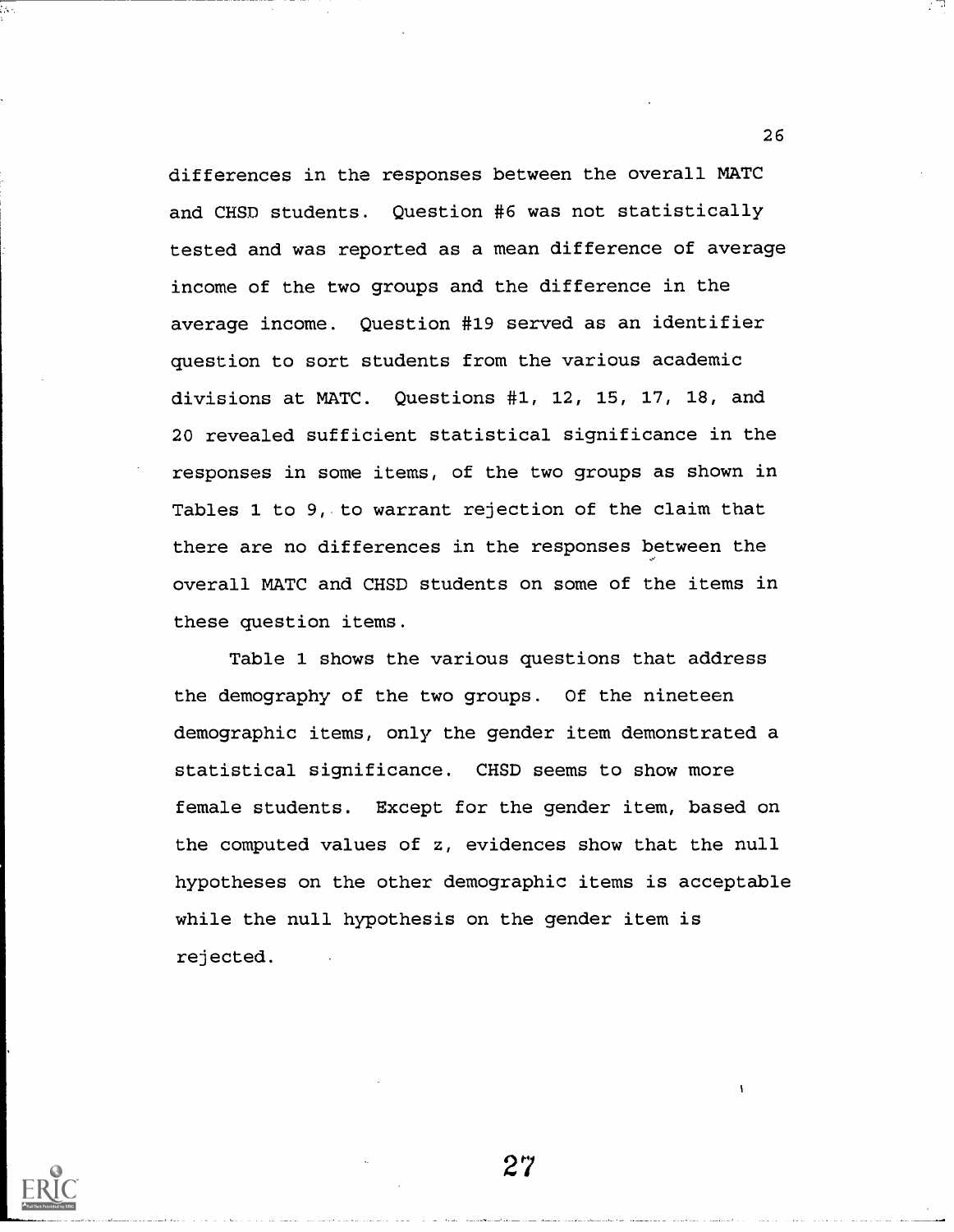differences in the responses between the overall MATC and CHSD students. Question #6 was not statistically tested and was reported as a mean difference of average income of the two groups and the difference in the average income. Question #19 served as an identifier question to sort students from the various academic divisions at MATC. Questions #1, 12, 15, 17, 18, and 20 revealed sufficient statistical significance in the responses in some items, of the two groups as shown in Tables 1 to 9, to warrant rejection of the claim that there are no differences in the responses between the overall MATC and CHSD students on some of the items in these question items.

Table 1 shows the various questions that address the demography of the two groups. Of the nineteen demographic items, only the gender item demonstrated a statistical significance. CHSD seems to show more female students. Except for the gender item, based on the computed values of z, evidences show that the null hypotheses on the other demographic items is acceptable while the null hypothesis on the gender item is rejected.

27

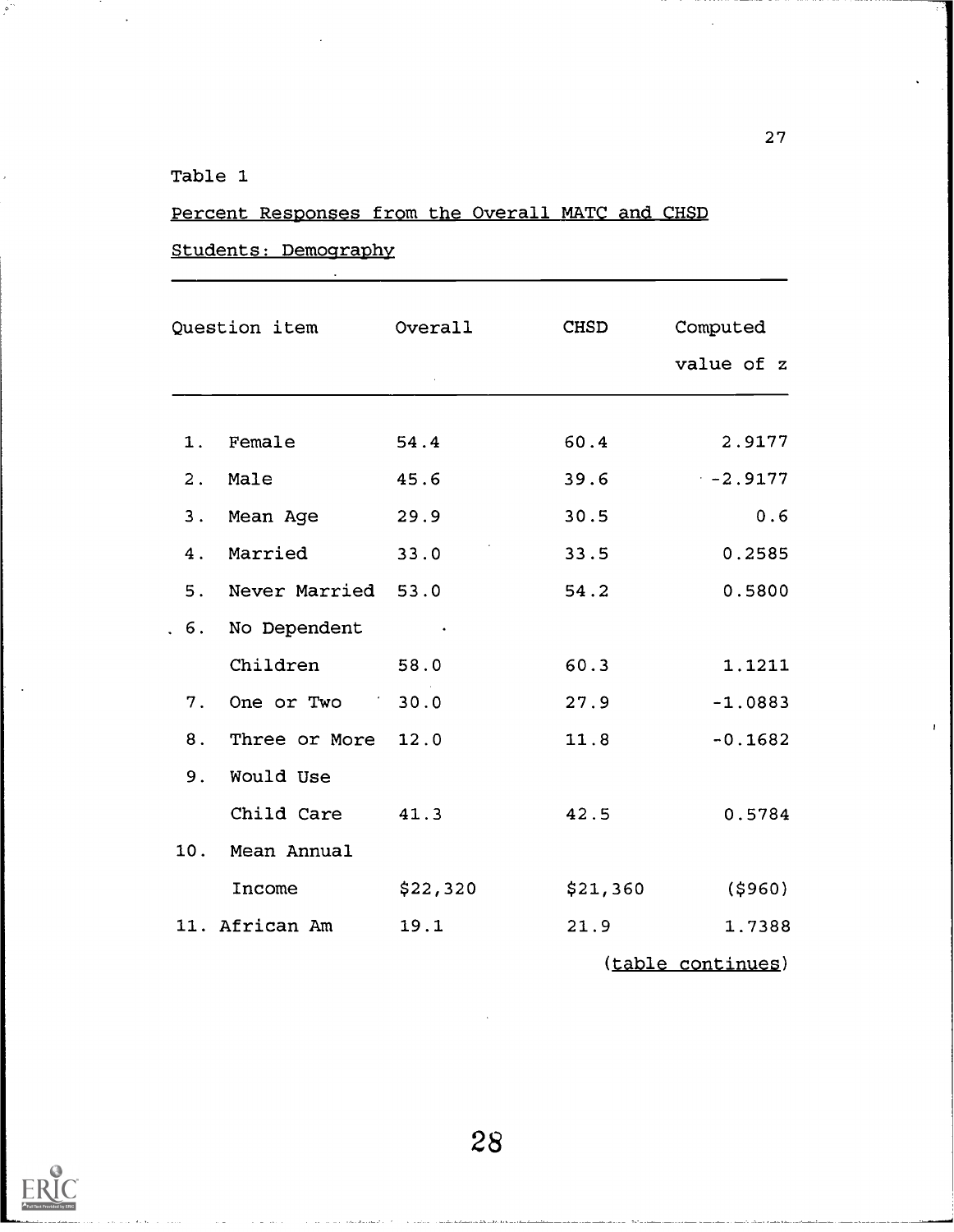## Table 1

أتوا

# Percent Responses from the Overall MATC and CHSD

## Students: Demography

|     | Question item Overall |          | CHSD     | Computed<br>value of z |
|-----|-----------------------|----------|----------|------------------------|
| 1.  | Female                | 54.4     | 60.4     | 2.9177                 |
| 2.  | Male                  | 45.6     | 39.6     | $-2.9177$              |
| 3.  | Mean Age              | 29.9     | 30.5     | 0.6                    |
| 4.  | Married               | 33.0     | 33.5     | 0.2585                 |
| 5.  | Never Married 53.0    |          | 54.2     | 0.5800                 |
| 6.  | No Dependent          |          |          |                        |
|     | Children              | 58.0     | 60.3     | 1.1211                 |
| 7.  | One or Two 30.0       |          | 27.9     | $-1.0883$              |
| 8.  | Three or More         | 12.0     | 11.8     | $-0.1682$              |
| 9.  | Would Use             |          |          |                        |
|     | Child Care            | 41.3     | 42.5     | 0.5784                 |
| 10. | Mean Annual           |          |          |                        |
|     | Income                | \$22,320 | \$21,360 | (\$960)                |
|     | 11. African Am        | 19.1     | 21.9     | 1.7388                 |
|     |                       |          |          | (table continues)      |

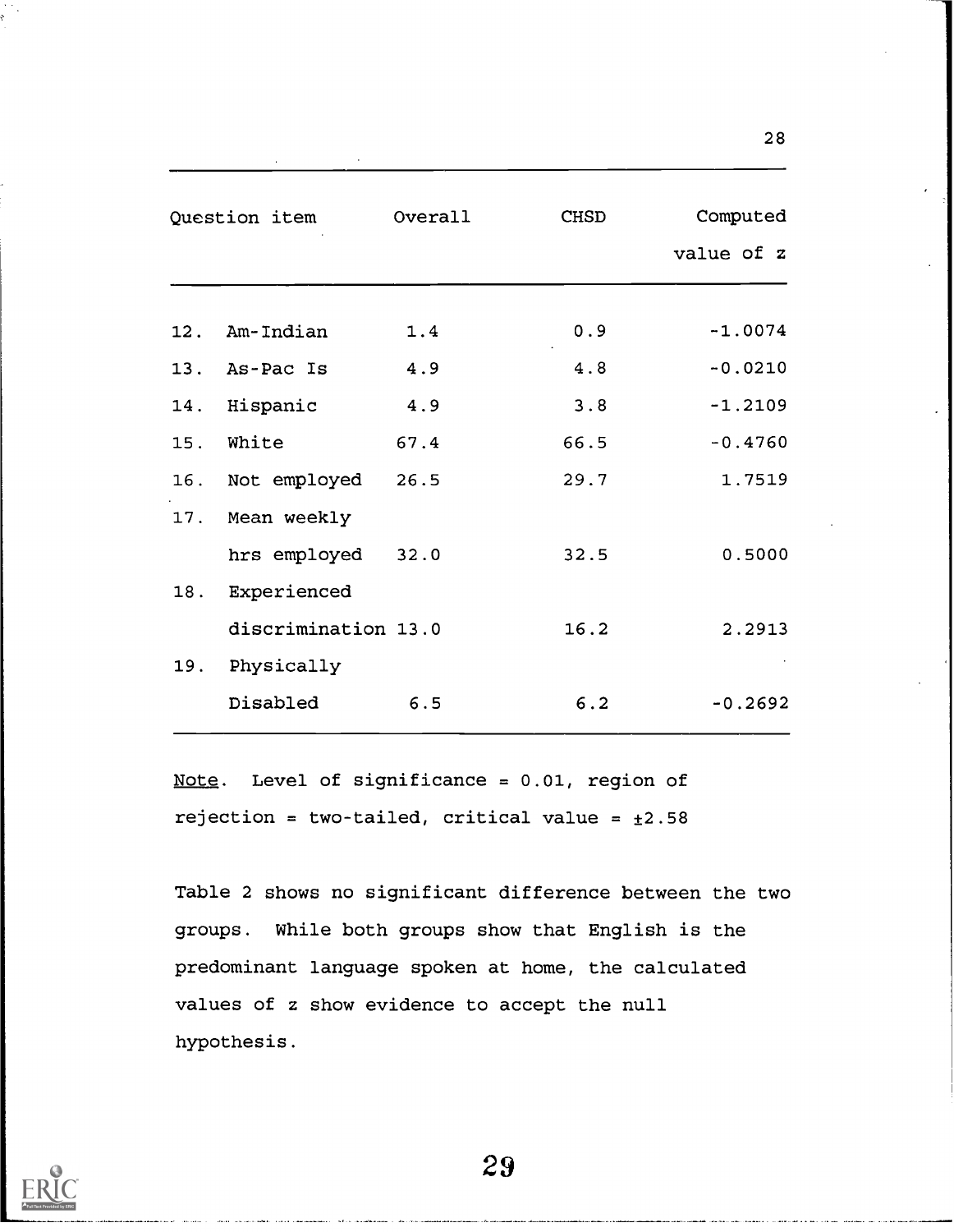|     | Question item       | Overall | <b>CHSD</b> | Computed<br>value of z |
|-----|---------------------|---------|-------------|------------------------|
|     | 12. Am-Indian       | 1.4     | 0.9         | $-1.0074$              |
|     | 13. As-Pac Is       | 4.9     | 4.8         | $-0.0210$              |
|     | 14. Hispanic        | 4.9     | 3.8         | $-1.2109$              |
| 15. | White               | 67.4    | 66.5        | $-0.4760$              |
|     | 16. Not employed    | 26.5    | 29.7        | 1.7519                 |
|     | 17. Mean weekly     |         |             |                        |
|     | hrs employed 32.0   |         | 32.5        | 0.5000                 |
| 18. | Experienced         |         |             |                        |
|     | discrimination 13.0 |         | 16.2        | 2.2913                 |
| 19. | Physically          |         |             |                        |
|     | Disabled            | 6.5     | 6.2         | $-0.2692$              |

Note. Level of significance =  $0.01$ , region of rejection = two-tailed, critical value =  $\pm 2.58$ 

Table 2 shows no significant difference between the two groups. While both groups show that English is the predominant language spoken at home, the calculated values of z show evidence to accept the null hypothesis.



29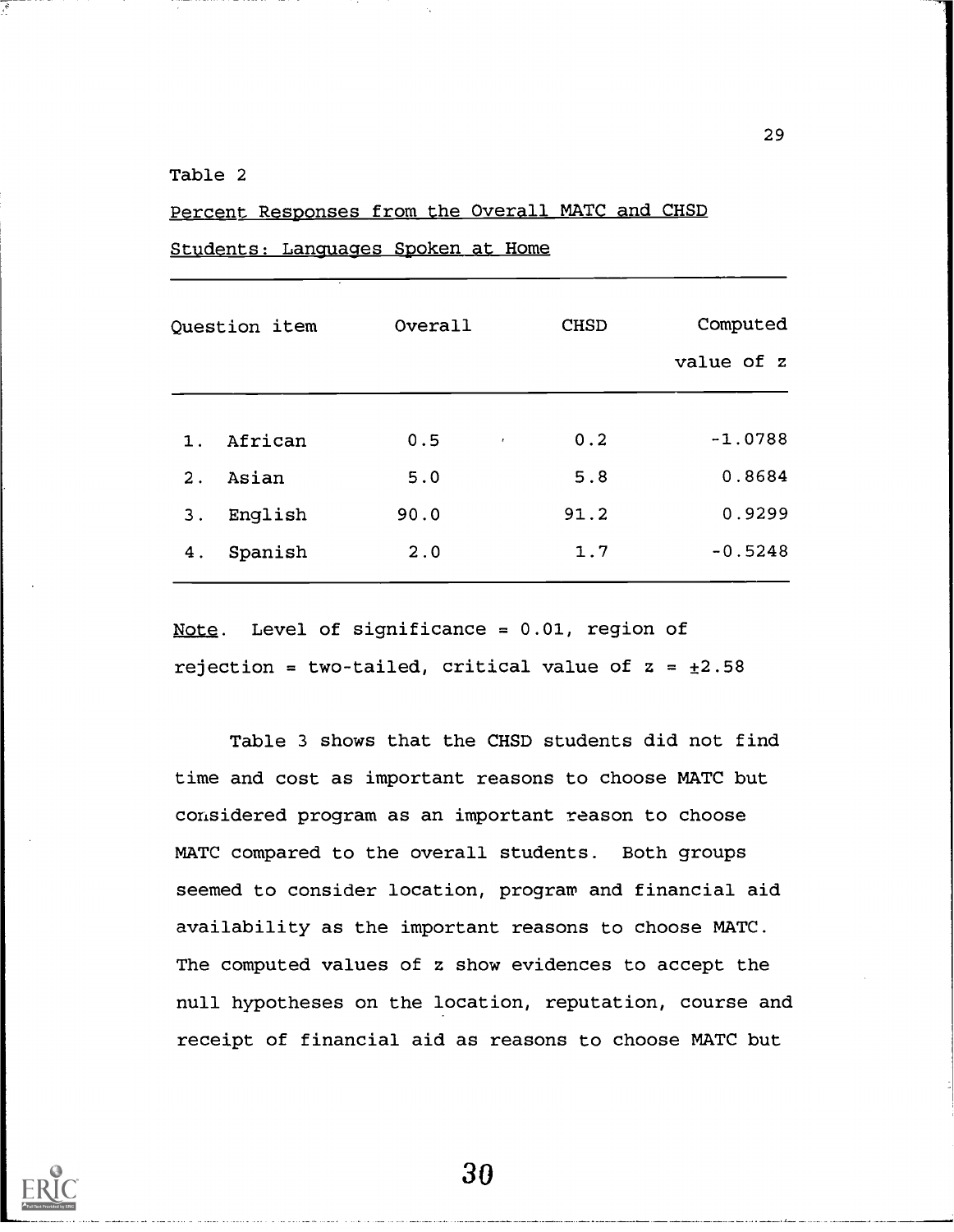## Table 2

## Percent Responses from the Overall MATC and CHSD

Students: Languages Spoken at Home

| Question item |         | Overall                 | <b>CHSD</b> | Computed<br>value of z |
|---------------|---------|-------------------------|-------------|------------------------|
| 1.            | African | 0.5<br>$\pmb{\epsilon}$ | 0.2         | $-1.0788$              |
| Asian<br>2.   |         | 5.0                     | 5.8         | 0.8684                 |
| 3.            | English | 90.0                    | 91.2        | 0.9299                 |
| 4.            | Spanish | 2.0                     | 1.7         | $-0.5248$              |

Note. Level of significance = 0.01, region of rejection = two-tailed, critical value of  $z = \pm 2.58$ 

Table 3 shows that the CHSD students did not find time and cost as important reasons to choose MATC but considered program as an important reason to choose MATC compared to the overall students. Both groups seemed to consider location, program and financial aid availability as the important reasons to choose MATC. The computed values of z show evidences to accept the null hypotheses on the location, reputation, course and receipt of financial aid as reasons to choose MATC but

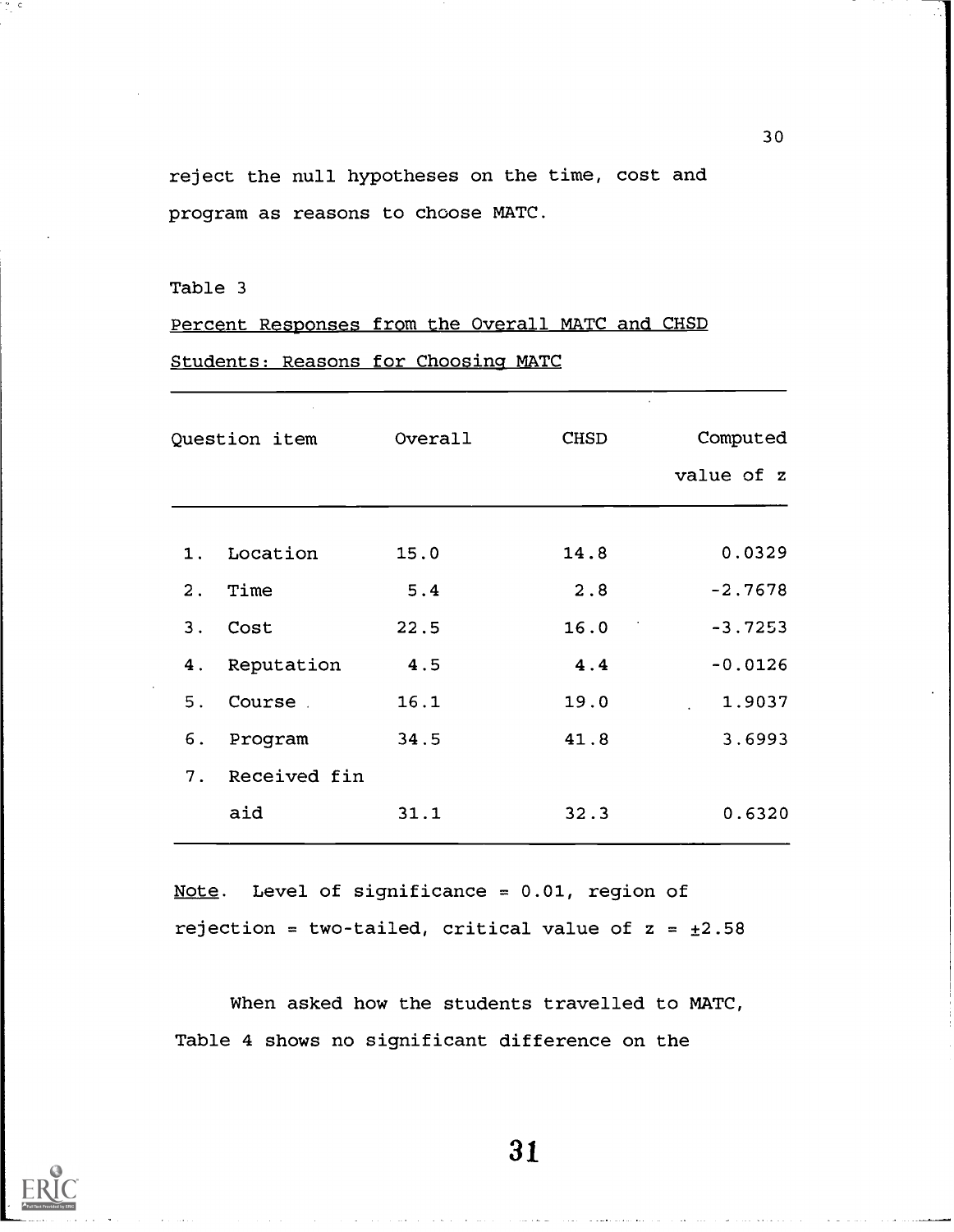reject the null hypotheses on the time, cost and program as reasons to choose MATC.

## Table 3

 $\frac{m}{2}$  C

Percent Responses from the Overall MATC and CHSD Students: Reasons for Choosing MATC

| Question item |              | Overall | CHSD | Computed   |
|---------------|--------------|---------|------|------------|
|               |              |         |      | value of z |
|               |              |         |      |            |
| 1.            | Location     | 15.0    | 14.8 | 0.0329     |
| 2.            | Time         | 5.4     | 2.8  | $-2.7678$  |
| 3.            | Cost         | 22.5    | 16.0 | $-3.7253$  |
| 4.            | Reputation   | 4.5     | 4.4  | $-0.0126$  |
| 5.            | Course       | 16.1    | 19.0 | 1.9037     |
| 6.            | Program      | 34.5    | 41.8 | 3.6993     |
| 7.            | Received fin |         |      |            |
|               | aid          | 31.1    | 32.3 | 0.6320     |
|               |              |         |      |            |

Note. Level of significance = 0.01, region of rejection = two-tailed, critical value of  $z = \pm 2.58$ 

When asked how the students travelled to MATC, Table 4 shows no significant difference on the



31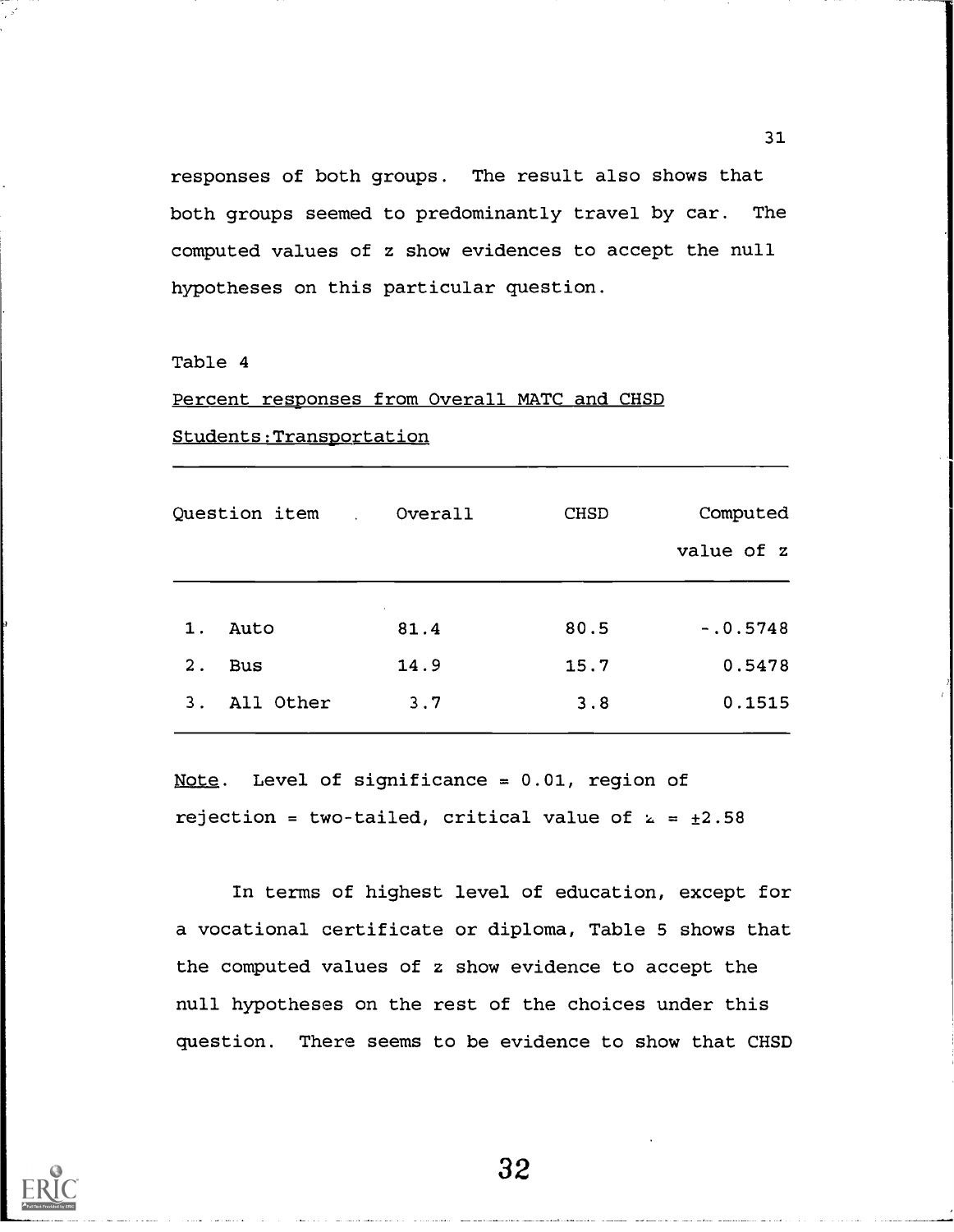responses of both groups. The result also shows that both groups seemed to predominantly travel by car. The computed values of z show evidences to accept the null hypotheses on this particular question.

#### Table 4

### Percent responses from Overall MATC and CHSD

| Students: Transportation |               |                    |             |                        |  |  |
|--------------------------|---------------|--------------------|-------------|------------------------|--|--|
|                          | Question item | Overall            | <b>CHSD</b> | Computed<br>value of z |  |  |
| $1$ .                    | Auto          | $\epsilon$<br>81.4 | 80.5        | $-.0.5748$             |  |  |
| $2$ .                    | <b>Bus</b>    | 14.9               | 15.7        | 0.5478                 |  |  |
| 3 <sub>1</sub>           | All Other     | 3.7                | 3.8         | 0.1515                 |  |  |

Note. Level of significance =  $0.01$ , region of rejection = two-tailed, critical value of  $k = \pm 2.58$ 

In terms of highest level of education, except for a vocational certificate or diploma, Table 5 shows that the computed values of z show evidence to accept the null hypotheses on the rest of the choices under this question. There seems to be evidence to show that CHSD

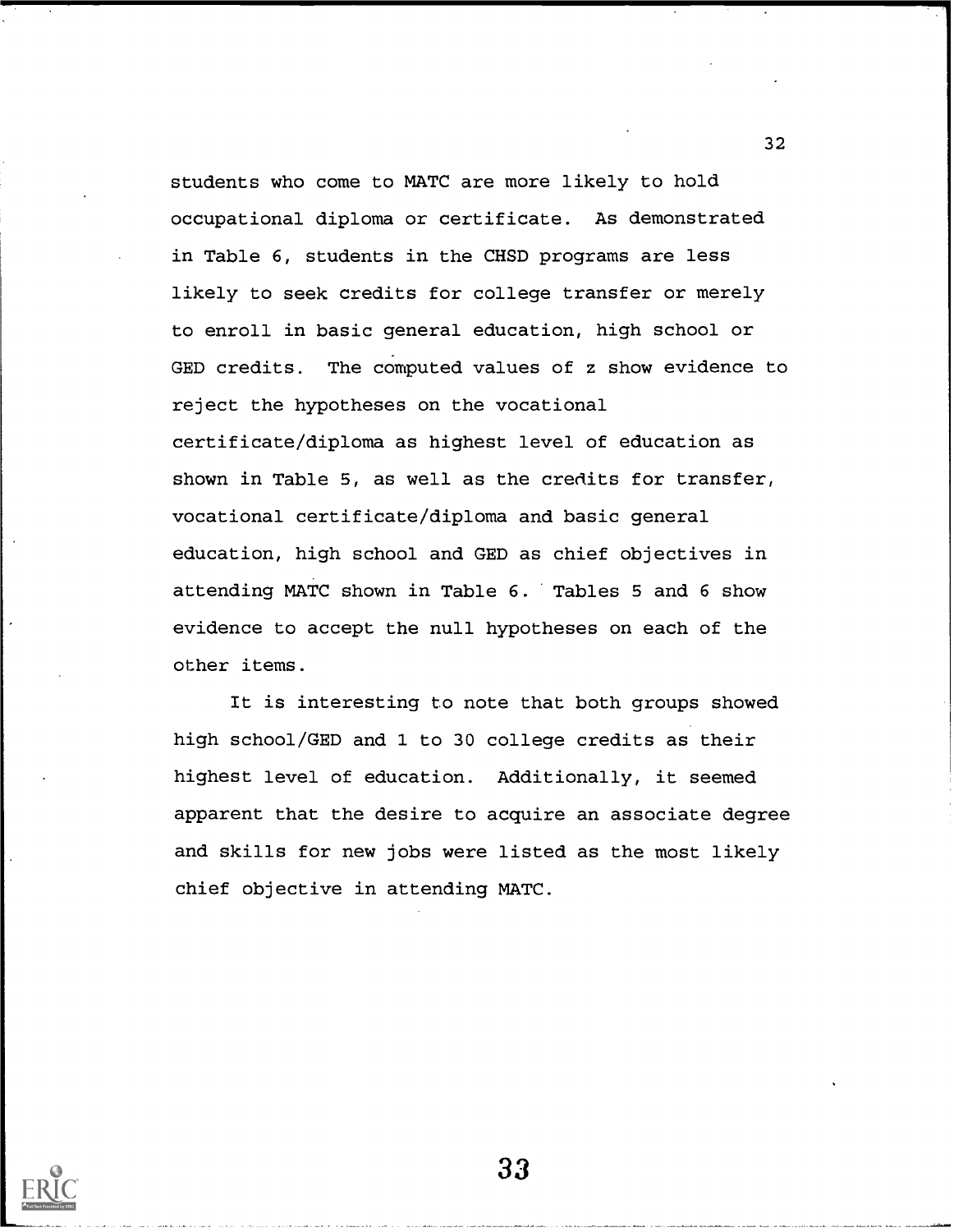students who come to MATC are more likely to hold occupational diploma or certificate. As demonstrated in Table 6, students in the CHSD programs are less likely to seek credits for college transfer or merely to enroll in basic general education, high school or GED credits. The computed values of z show evidence to reject the hypotheses on the vocational certificate/diploma as highest level of education as shown in Table 5, as well as the credits for transfer, vocational certificate/diploma and basic general education, high school and GED as chief objectives in attending MATC shown in Table 6. Tables 5 and 6 show evidence to accept the null hypotheses on each of the other items.

It is interesting to note that both groups showed high school/GED and 1 to 30 college credits as their highest level of education. Additionally, it seemed apparent that the desire to acquire an associate degree and skills for new jobs were listed as the most likely chief objective in attending MATC.



33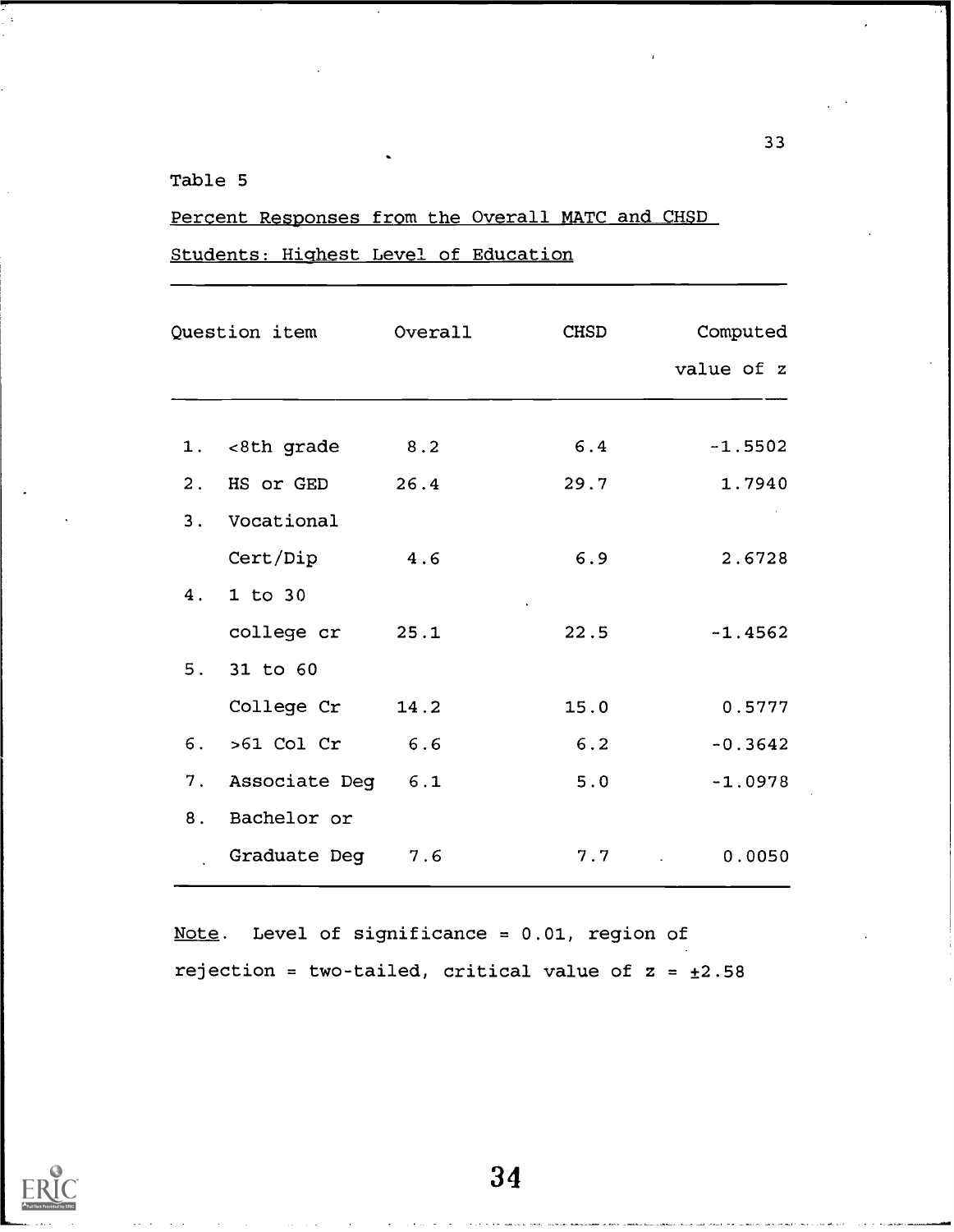## Table 5

## Percent Responses from the Overall MATC and CHSD

Students: Highest Level of Education

| Question item Overall |                    |      | CHSD | Computed   |
|-----------------------|--------------------|------|------|------------|
|                       |                    |      |      | value of z |
|                       |                    |      |      |            |
|                       | 1. <8th grade      | 8.2  | 6.4  | $-1.5502$  |
|                       | 2. HS or GED       | 26.4 | 29.7 | 1.7940     |
| 3.                    | Vocational         |      |      |            |
|                       | Cert/Dip           | 4.6  | 6.9  | 2.6728     |
| 4.                    | $1$ to $30$        |      |      |            |
|                       | college cr 25.1    |      | 22.5 | $-1.4562$  |
| 5.                    | 31 to 60           |      |      |            |
|                       | College Cr         | 14.2 | 15.0 | 0.5777     |
|                       | $6.$ > $61$ Col Cr | 6.6  | 6.2  | $-0.3642$  |
| 7.                    | Associate Deg      | 6.1  | 5.0  | $-1.0978$  |
| 8.                    | Bachelor or        |      |      |            |
|                       | Graduate Deg       | 7.6  | 7.7  | 0.0050     |

Note. Level of significance = 0.01, region of rejection = two-tailed, critical value of  $z = \pm 2.58$ 

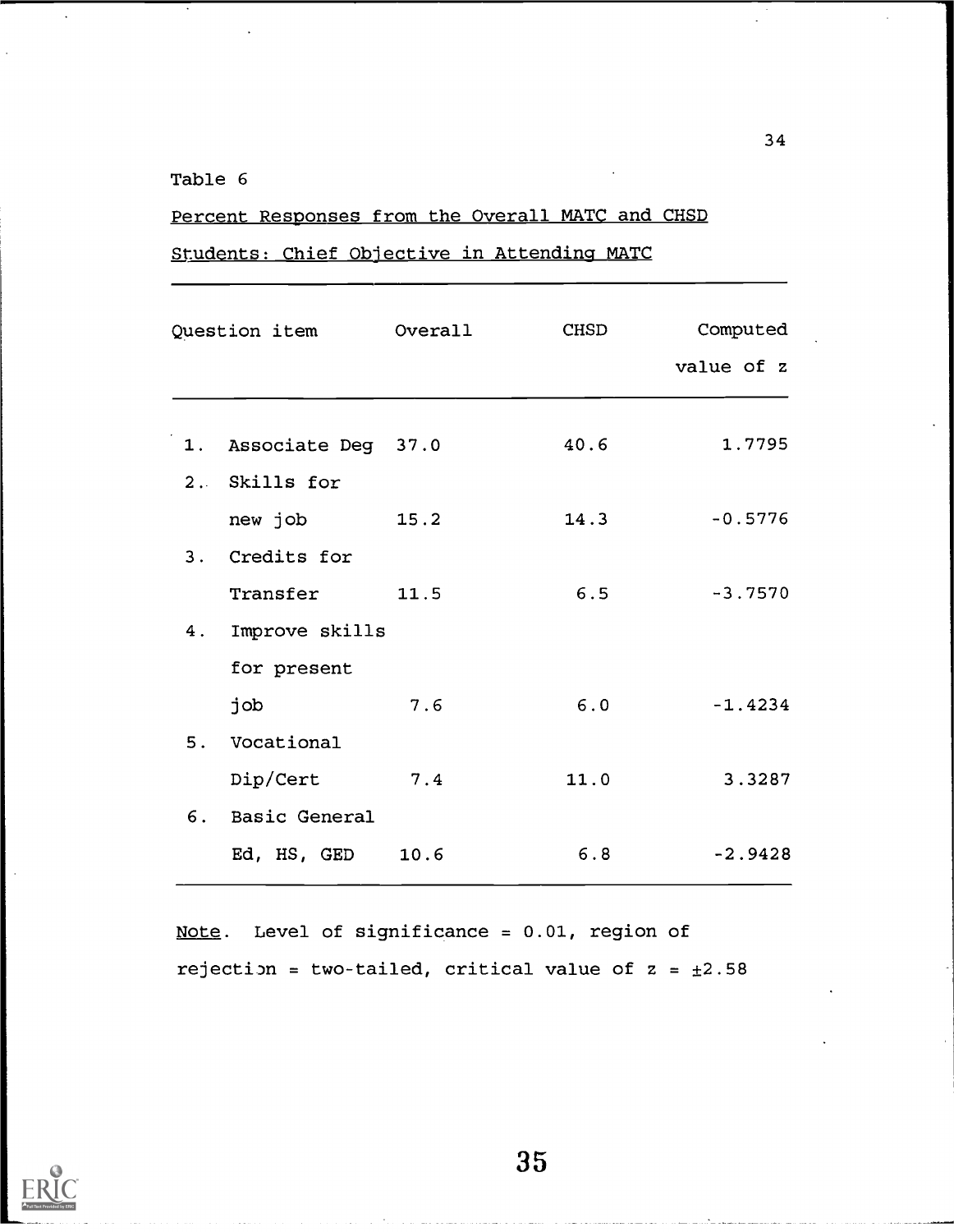## Table 6

## Percent Responses from the Overall MATC and CHSD

Students: Chief Objective in Attending MATC

|    | Question item Overall |      | CHSD | Computed<br>value of z |
|----|-----------------------|------|------|------------------------|
|    | 1. Associate Deg 37.0 |      | 40.6 | 1.7795                 |
|    | 2. Skills for         |      |      |                        |
|    | new job               | 15.2 | 14.3 | $-0.5776$              |
|    | 3. Credits for        |      |      |                        |
|    | Transfer              | 11.5 | 6.5  | $-3.7570$              |
| 4. | Improve skills        |      |      |                        |
|    | for present           |      |      |                        |
|    | job                   | 7.6  | 6.0  | $-1.4234$              |
| 5. | Vocational            |      |      |                        |
|    | Dip/Cert              | 7.4  | 11.0 | 3.3287                 |
| 6. | Basic General         |      |      |                        |
|    | Ed, HS, GED           | 10.6 | 6.8  | $-2.9428$              |

Note. Level of significance = 0.01, region of rejection = two-tailed, critical value of  $z = \pm 2.58$ 

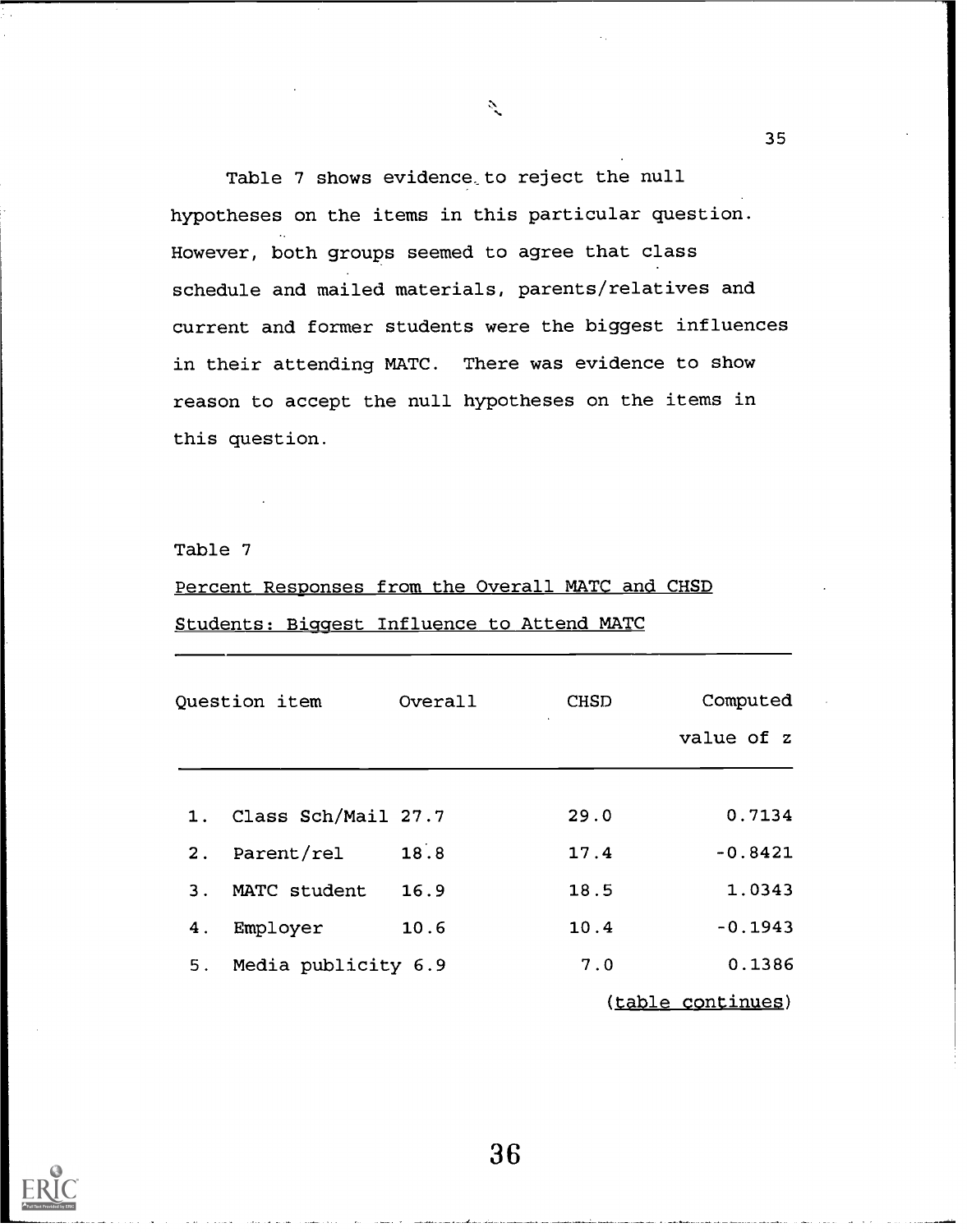Table 7 shows evidence to reject the null hypotheses on the items in this particular question. However, both groups seemed to agree that class schedule and mailed materials, parents/relatives and current and former students were the biggest influences in their attending MATC. There was evidence to show reason to accept the null hypotheses on the items in this question.

 $\mathcal{L}$ 

Table 7

# Percent Responses from the Overall MATC and CHSD Students: Biggest Influence to Attend MATC

| Question item |                        | Overall | <b>CHSD</b> | Computed<br>value of z |
|---------------|------------------------|---------|-------------|------------------------|
|               | 1. Class Sch/Mail 27.7 |         | 29.0        | 0.7134                 |
| 2.            | Parent/rel             | 18.8    | 17.4        | $-0.8421$              |
| 3.            | MATC student           | 16.9    | 18.5        | 1.0343                 |
| 4.            | Employer               | 10.6    | 10.4        | $-0.1943$              |
| 5.            | Media publicity 6.9    |         | 7.0         | 0.1386                 |
|               |                        |         |             | (table continues)      |



36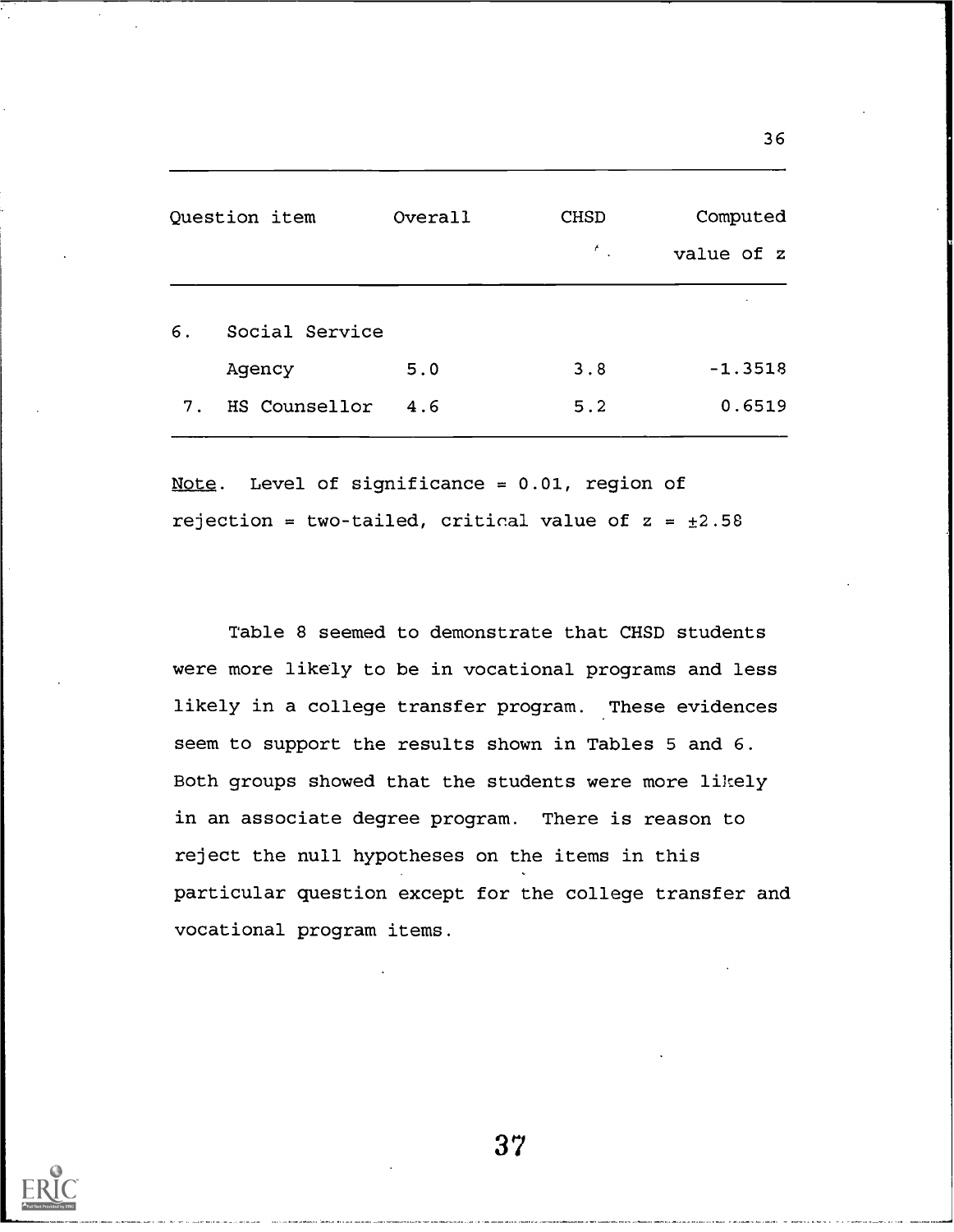| Question item |                | Overall | <b>CHSD</b><br>ŕ | Computed<br>value of z |
|---------------|----------------|---------|------------------|------------------------|
| 6.            | Social Service |         |                  | $\cdot$                |
| Agency        |                | 5.0     | 3.8              | $-1.3518$              |
| 7.            | HS Counsellor  | 4.6     | 5.2              | 0.6519                 |

36

Note. Level of significance = 0.01, region of rejection = two-tailed, critical value of  $z = \pm 2.58$ 

Table 8 seemed to demonstrate that CHSD students were more likely to be in vocational programs and less likely in a college transfer program. These evidences seem to support the results shown in Tables 5 and 6. Both groups showed that the students were more likely in an associate degree program. There is reason to reject the null hypotheses on the items in this particular question except for the college transfer and vocational program items.

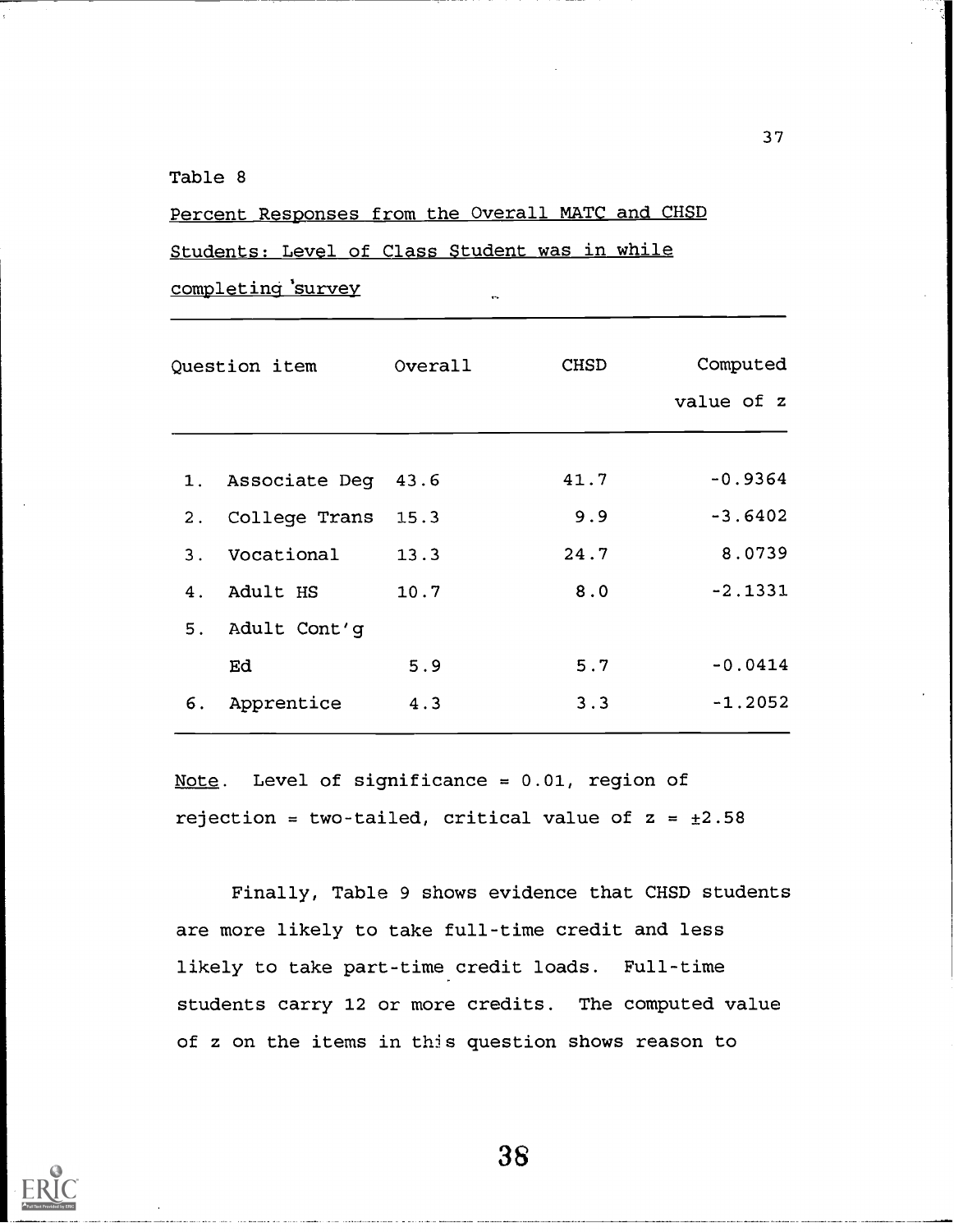## Table 8

Percent Responses from the Overall MATC and CHSD

Students: Level of Class Student was in while

completing 'survey

| Question item |                       | Overall | <b>CHSD</b> | Computed<br>value of z |
|---------------|-----------------------|---------|-------------|------------------------|
|               | 1. Associate Deg 43.6 |         | 41.7        | $-0.9364$              |
| 2.            | College Trans         | 15.3    | 9.9         | $-3.6402$              |
| 3.            | Vocational            | 13.3    | 24.7        | 8.0739                 |
| 4.            | Adult HS              | 10.7    | 8.0         | $-2.1331$              |
| 5.            | Adult Cont'g          |         |             |                        |
|               | Ed                    | 5.9     | 5.7         | $-0.0414$              |
| 6.            | Apprentice            | 4.3     | 3.3         | $-1.2052$              |

Note. Level of significance = 0.01, region of rejection = two-tailed, critical value of  $z = \pm 2.58$ 

Finally, Table 9 shows evidence that CHSD students are more likely to take full-time credit and less likely to take part-time credit loads. Full-time students carry 12 or more credits. The computed value of z on the items in this question shows reason to

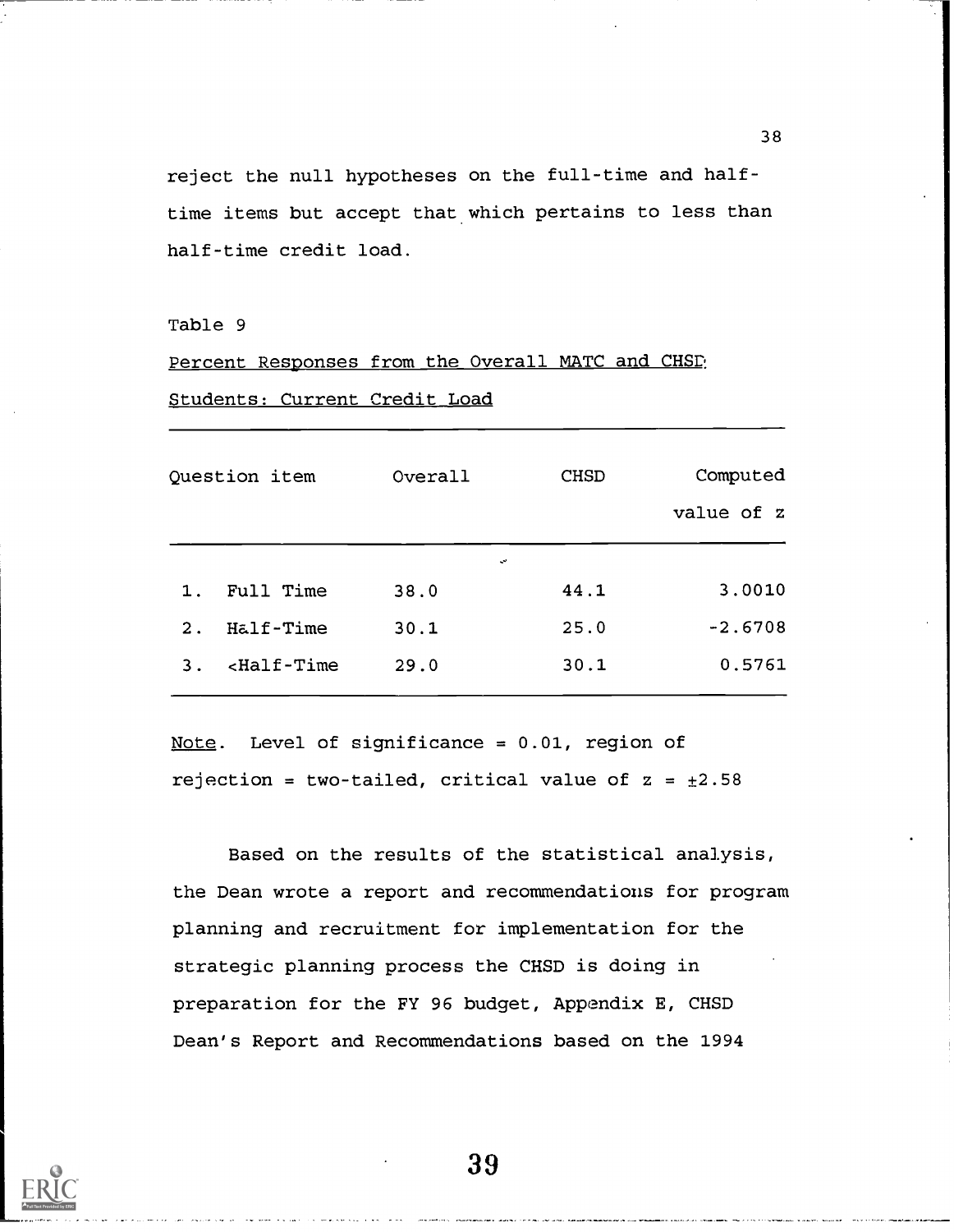reject the null hypotheses on the full-time and halftime items but accept that which pertains to less than half-time credit load.

Table 9

## Percent Responses from the Overall MATC and CHSD

#### Students: Current Credit Load

| Question item |               | Overall | <b>CHSD</b> | Computed<br>value of z |
|---------------|---------------|---------|-------------|------------------------|
|               |               | ىپ      |             |                        |
| 1.            | Full Time     | 38.0    | 44.1        | 3.0010                 |
| 2.            | Half-Time     | 30.1    | 25.0        | $-2.6708$              |
| 3.            | $<$ Half-Time | 29.0    | 30.1        | 0.5761                 |

Note. Level of significance = 0.01, region of rejection = two-tailed, critical value of  $z = \pm 2.58$ 

Based on the results of the statistical analysis, the Dean wrote a report and recommendations for program planning and recruitment for implementation for the strategic planning process the CHSD is doing in preparation for the FY 96 budget, Appendix E, CHSD Dean's Report and Recommendations based on the 1994



39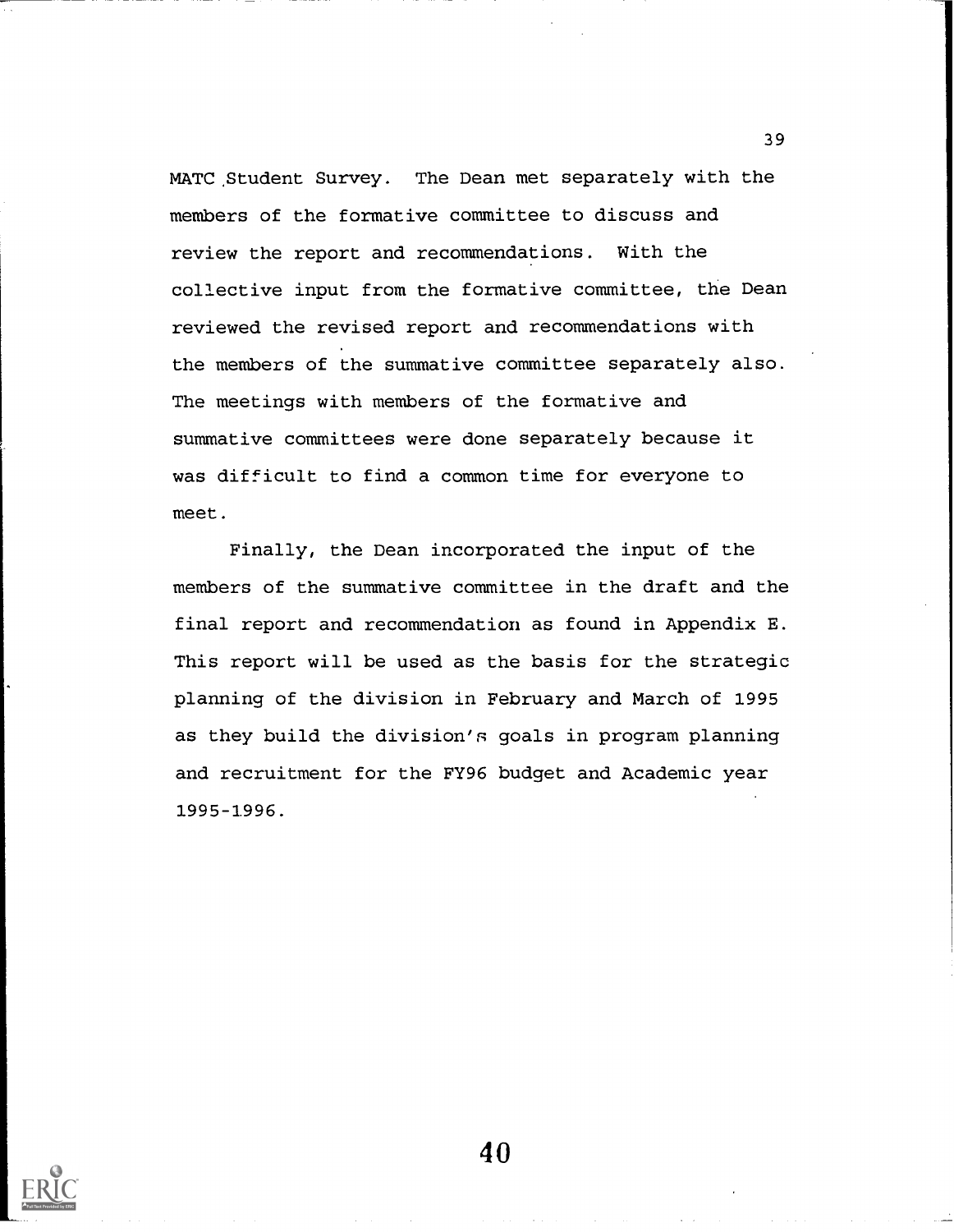MATC Student Survey. The Dean met separately with the members of the formative committee to discuss and review the report and recommendations. With the collective input from the formative committee, the Dean reviewed the revised report and recommendations with the members of the summative committee separately also. The meetings with members of the formative and summative committees were done separately because it was difficult to find a common time for everyone to meet.

Finally, the Dean incorporated the input of the members of the summative committee in the draft and the final report and recommendation as found in Appendix E. This report will be used as the basis for the strategic planning of the division in February and March of 1995 as they build the division's goals in program planning and recruitment for the FY96 budget and Academic year 1995-1996.



40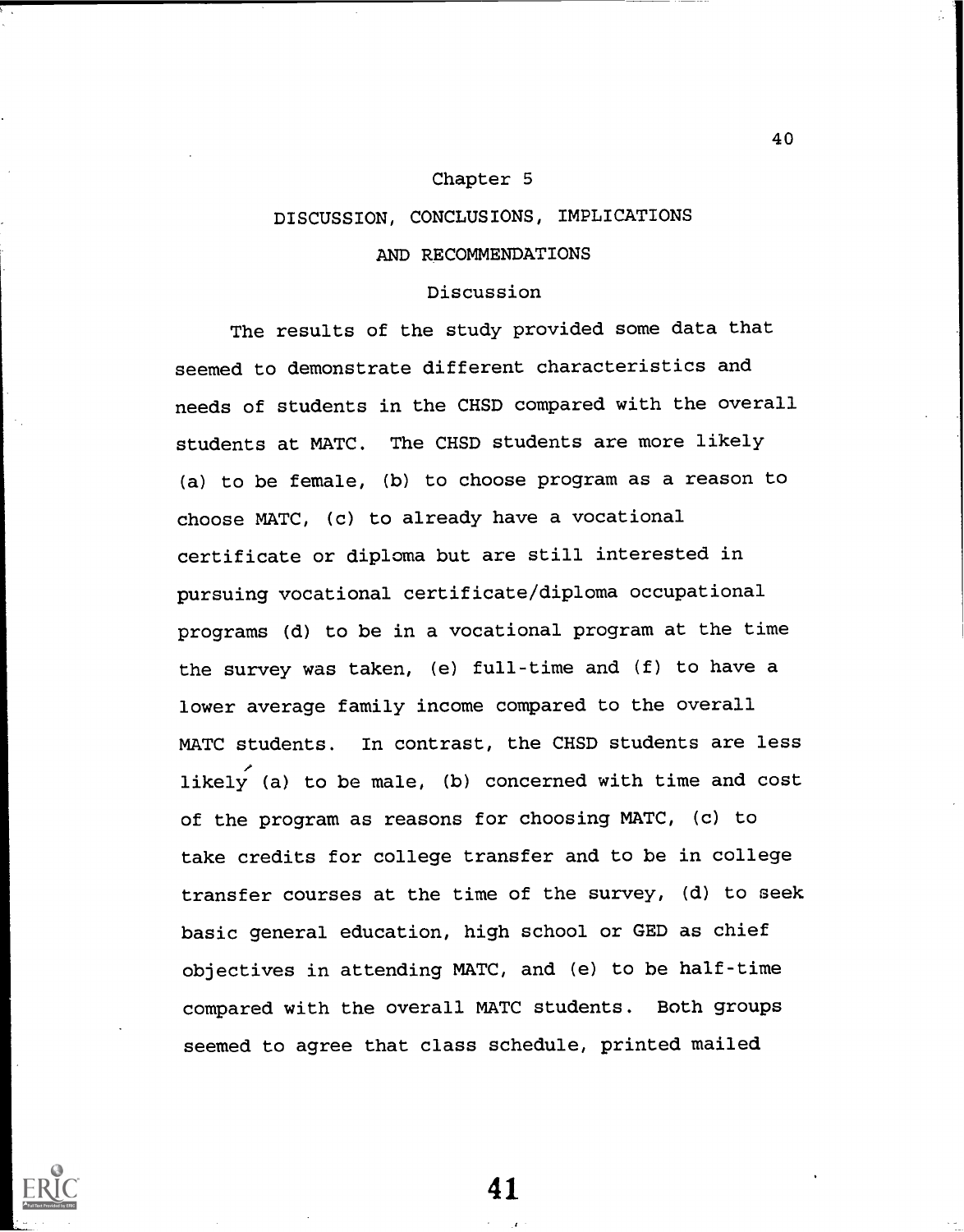## Chapter 5

## DISCUSSION, CONCLUSIONS, IMPLICATIONS

## AND RECOMMENDATIONS

## Discussion

The results of the study provided some data that seemed to demonstrate different characteristics and needs of students in the CHSD compared with the overall students at MATC. The CHSD students are more likely (a) to be female, (b) to choose program as a reason to choose MATC, (c) to already have a vocational certificate or diploma but are still interested in pursuing vocational certificate/diploma occupational programs (d) to be in a vocational program at the time the survey was taken, (e) full-time and (f) to have a lower average family income compared to the overall MATC students. In contrast, the CHSD students are less likely (a) to be male, (b) concerned with time and cost of the program as reasons for choosing MATC, (c) to take credits for college transfer and to be in college transfer courses at the time of the survey, (d) to seek basic general education, high school or GED as chief objectives in attending MATC, and (e) to be half-time compared with the overall MATC students. Both groups seemed to agree that class schedule, printed mailed



41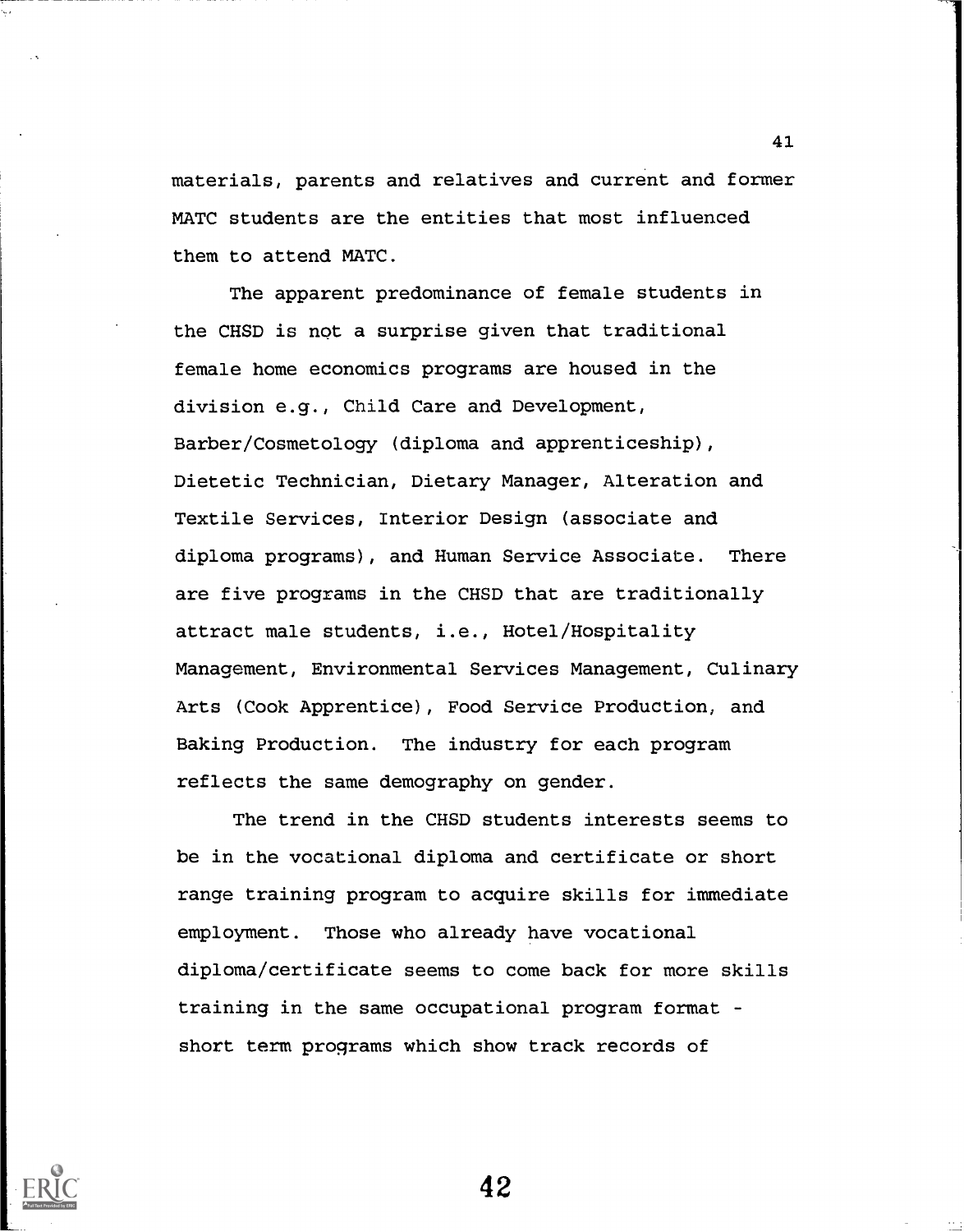materials, parents and relatives and current and former MATC students are the entities that most influenced them to attend MATC.

41

The apparent predominance of female students in the CHSD is not a surprise given that traditional female home economics programs are housed in the division e.g., Child Care and Development, Barber/Cosmetology (diploma and apprenticeship), Dietetic Technician, Dietary Manager, Alteration and Textile Services, Interior Design (associate and diploma programs), and Human Service Associate. There are five programs in the CHSD that are traditionally attract male students, i.e., Hotel/Hospitality Management, Environmental Services Management, Culinary Arts (Cook Apprentice), Food Service Production, and Baking Production. The industry for each program reflects the same demography on gender.

The trend in the CHSD students interests seems to be in the vocational diploma and certificate or short range training program to acquire skills for immediate employment. Those who already have vocational diploma/certificate seems to come back for more skills training in the same occupational program format short term programs which show track records of

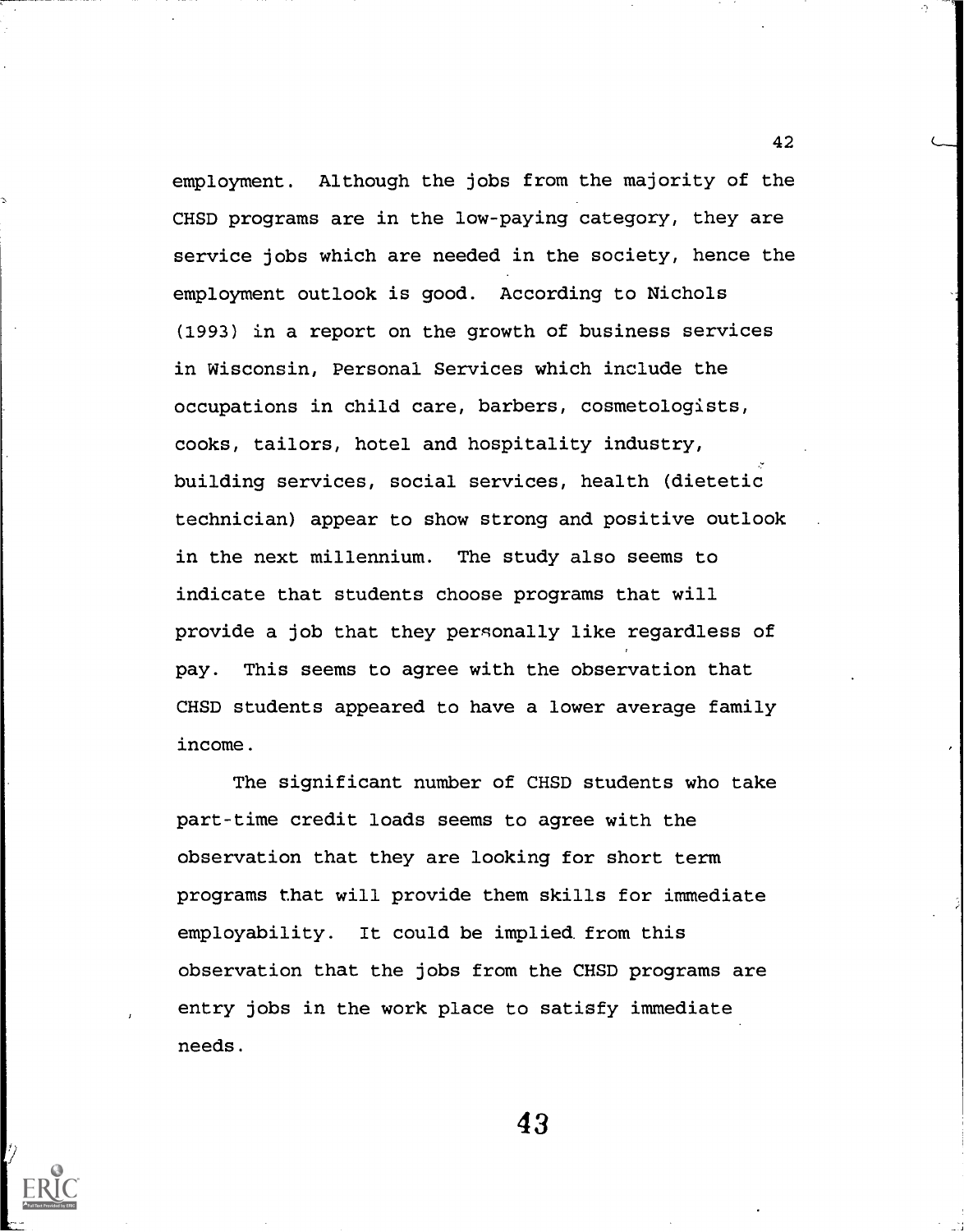employment. Although the jobs from the majority of the CHSD programs are in the low-paying category, they are service jobs which are needed in the society, hence the employment outlook is good. According to Nichols (1993) in a report on the growth of business services in Wisconsin, Personal Services which include the occupations in child care, barbers, cosmetologists, cooks, tailors, hotel and hospitality industry, building services, social services, health (dietetic technician) appear to show strong and positive outlook in the next millennium. The study also seems to indicate that students choose programs that will provide a job that they personally like regardless of pay. This seems to agree with the observation that CHSD students appeared to have a lower average family income.

The significant number of CHSD students who take part-time credit loads seems to agree with the observation that they are looking for short term programs that will provide them skills for immediate employability. It could be implied from this observation that the jobs from the CHSD programs are entry jobs in the work place to satisfy immediate needs.

43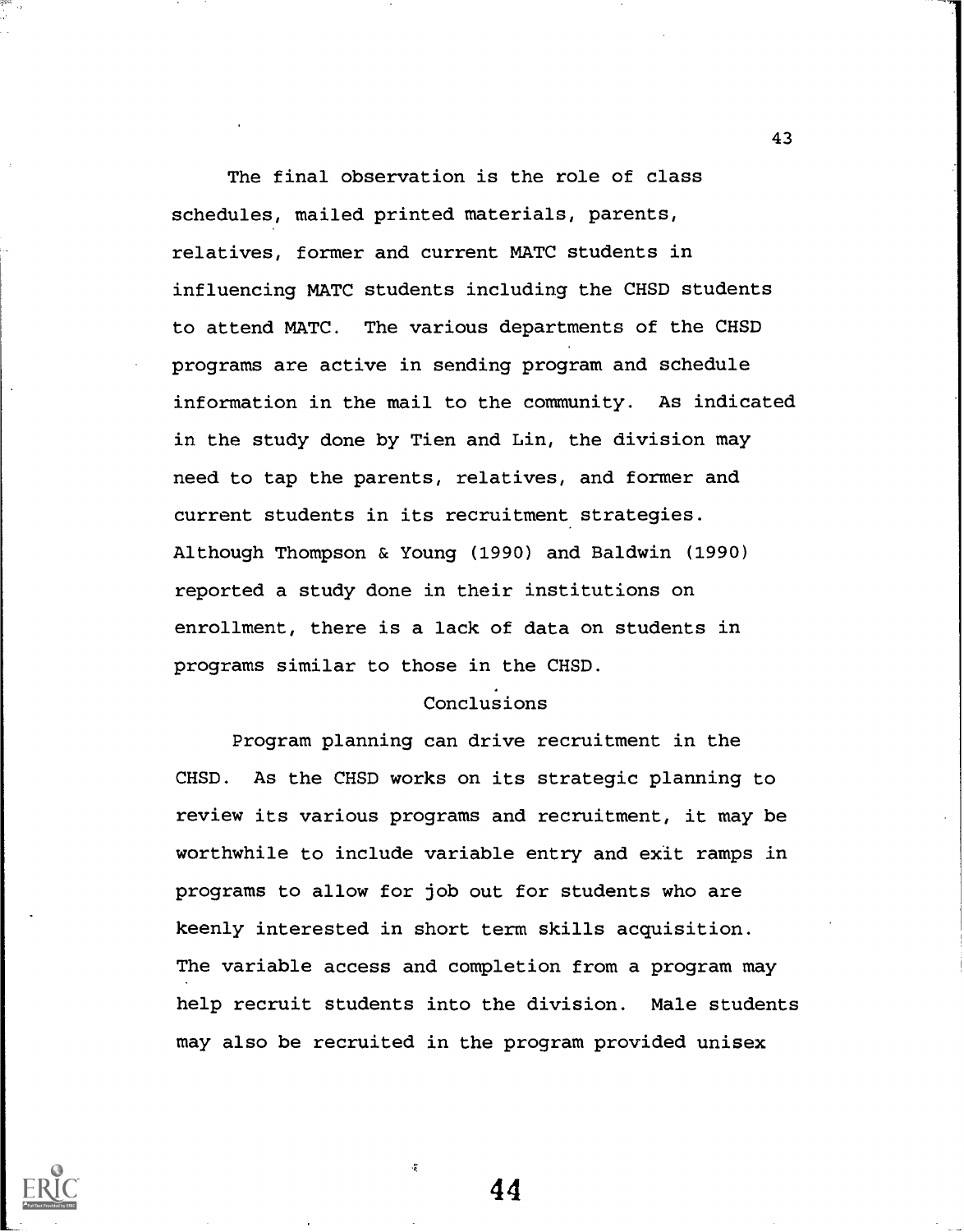The final observation is the role of class schedules, mailed printed materials, parents, relatives, former and current MATC students in influencing MATC students including the CHSD students to attend MATC. The various departments of the CHSD programs are active in sending program and schedule information in the mail to the community. As indicated in the study done by Tien and Lin, the division may need to tap the parents, relatives, and former and current students in its recruitment strategies. Although Thompson & Young (1990) and Baldwin (1990) reported a study done in their institutions on enrollment, there is a lack of data on students in programs similar to those in the CHSD.

## Conclusions

Program planning can drive recruitment in the CHSD. As the CHSD works on its strategic planning to review its various programs and recruitment, it may be worthwhile to include variable entry and exit ramps in programs to allow for job out for students who are keenly interested in short term skills acquisition. The variable access and completion from a program may help recruit students into the division. Male students may also be recruited in the program provided unisex



44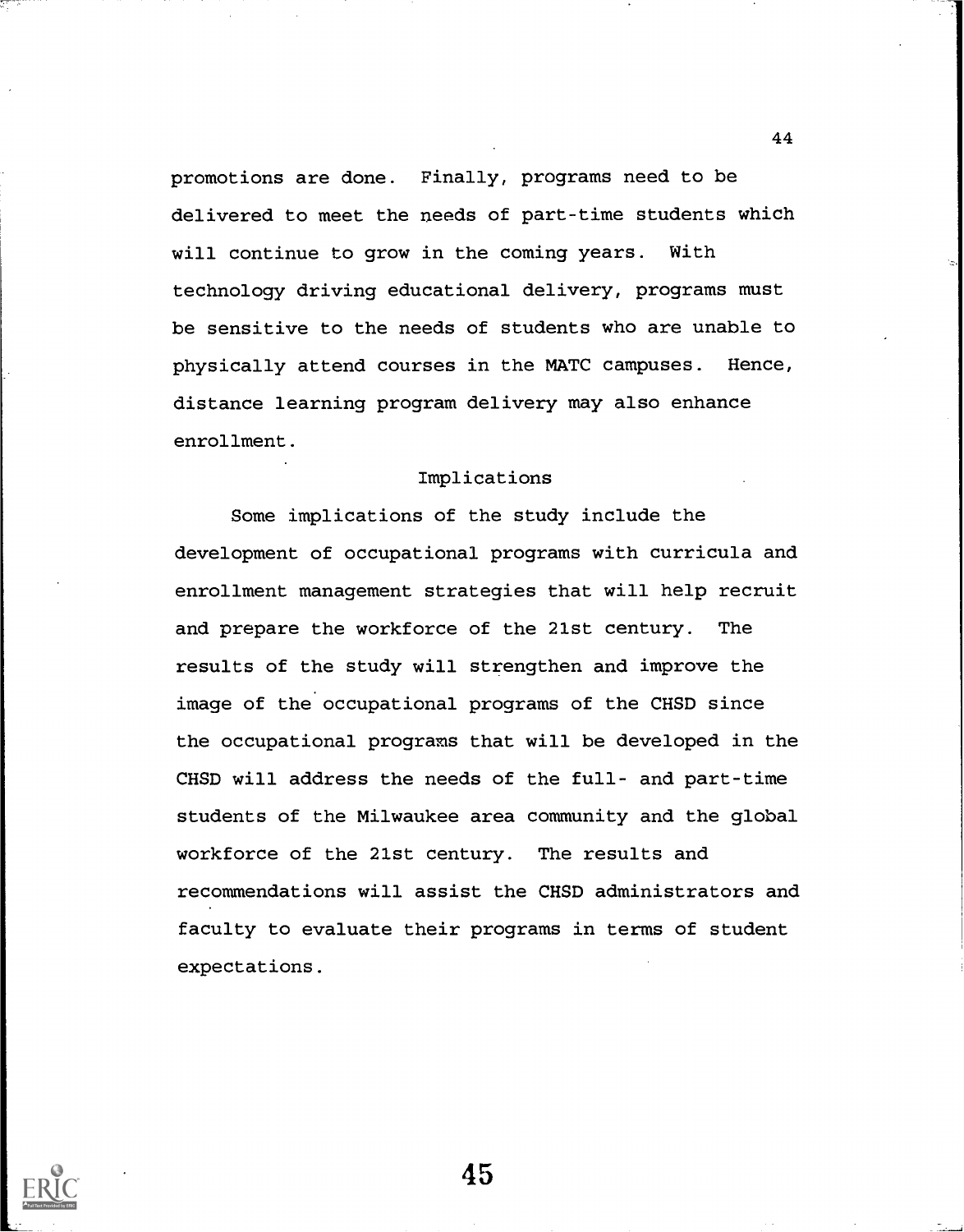promotions are done. Finally, programs need to be delivered to meet the needs of part-time students which will continue to grow in the coming years. With technology driving educational delivery, programs must be sensitive to the needs of students who are unable to physically attend courses in the MATC campuses. Hence, distance learning program delivery may also enhance enrollment.

#### Implications

Some implications of the study include the development of occupational programs with curricula and enrollment management strategies that will help recruit and prepare the workforce of the 21st century. The results of the study will strengthen and improve the image of the occupational programs of the CHSD since the occupational programs that will be developed in the CHSD will address the needs of the full- and part-time students of the Milwaukee area community and the global workforce of the 21st century. The results and recommendations will assist the CHSD administrators and faculty to evaluate their programs in terms of student expectations.

45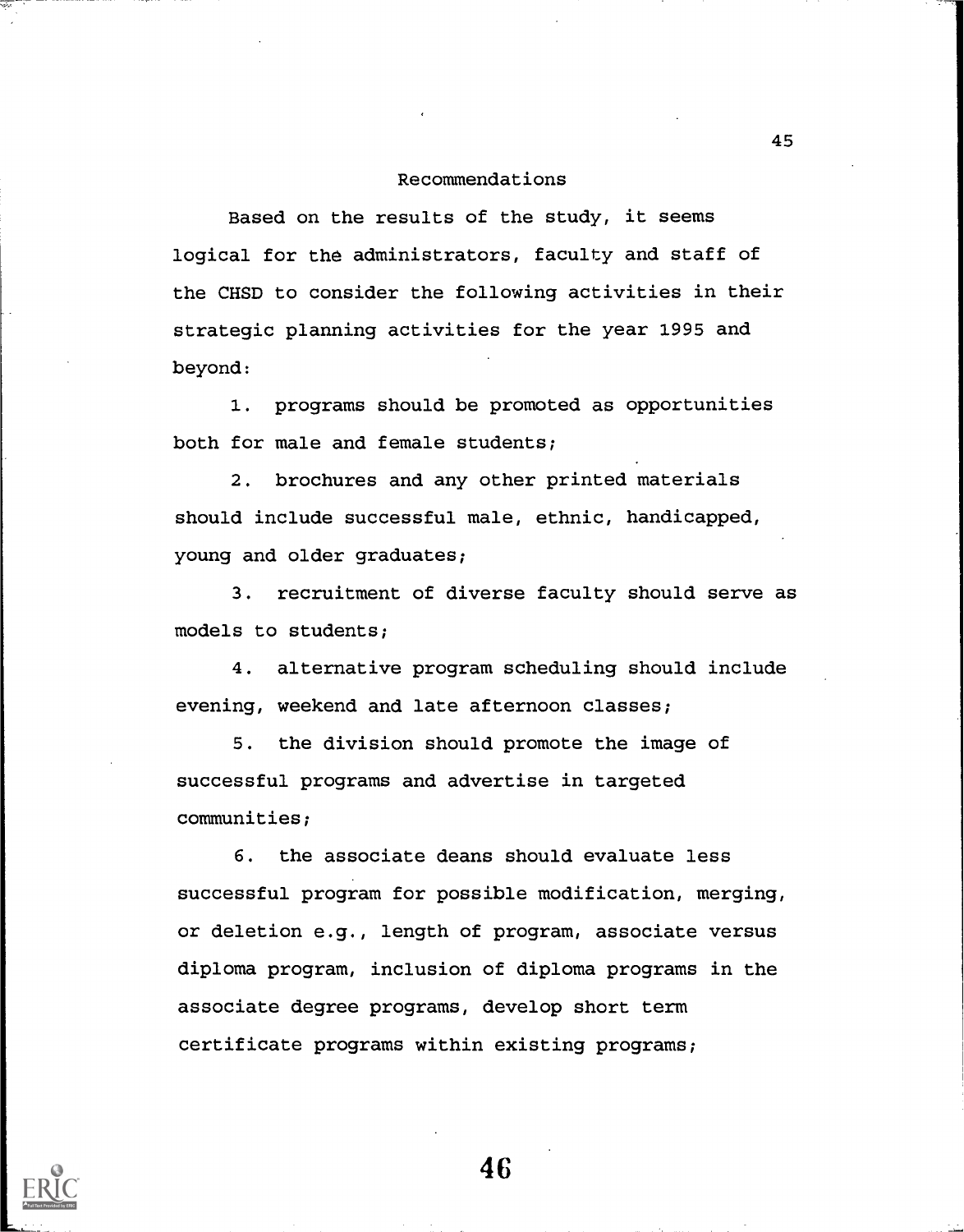#### Recommendations

Based on the results of the study, it seems logical for the administrators, faculty and staff of the CHSD to consider the following activities in their strategic planning activities for the year 1995 and beyond:

1. programs should be promoted as opportunities both for male and female students;

2. brochures and any other printed materials should include successful male, ethnic, handicapped, young and older graduates;

3. recruitment of diverse faculty should serve as models to students;

4. alternative program scheduling should include evening, weekend and late afternoon classes;

5. the division should promote the image of successful programs and advertise in targeted communities;

6. the associate deans should evaluate less successful program for possible modification, merging, or deletion e.g., length of program, associate versus diploma program, inclusion of diploma programs in the associate degree programs, develop short term certificate programs within existing programs;



46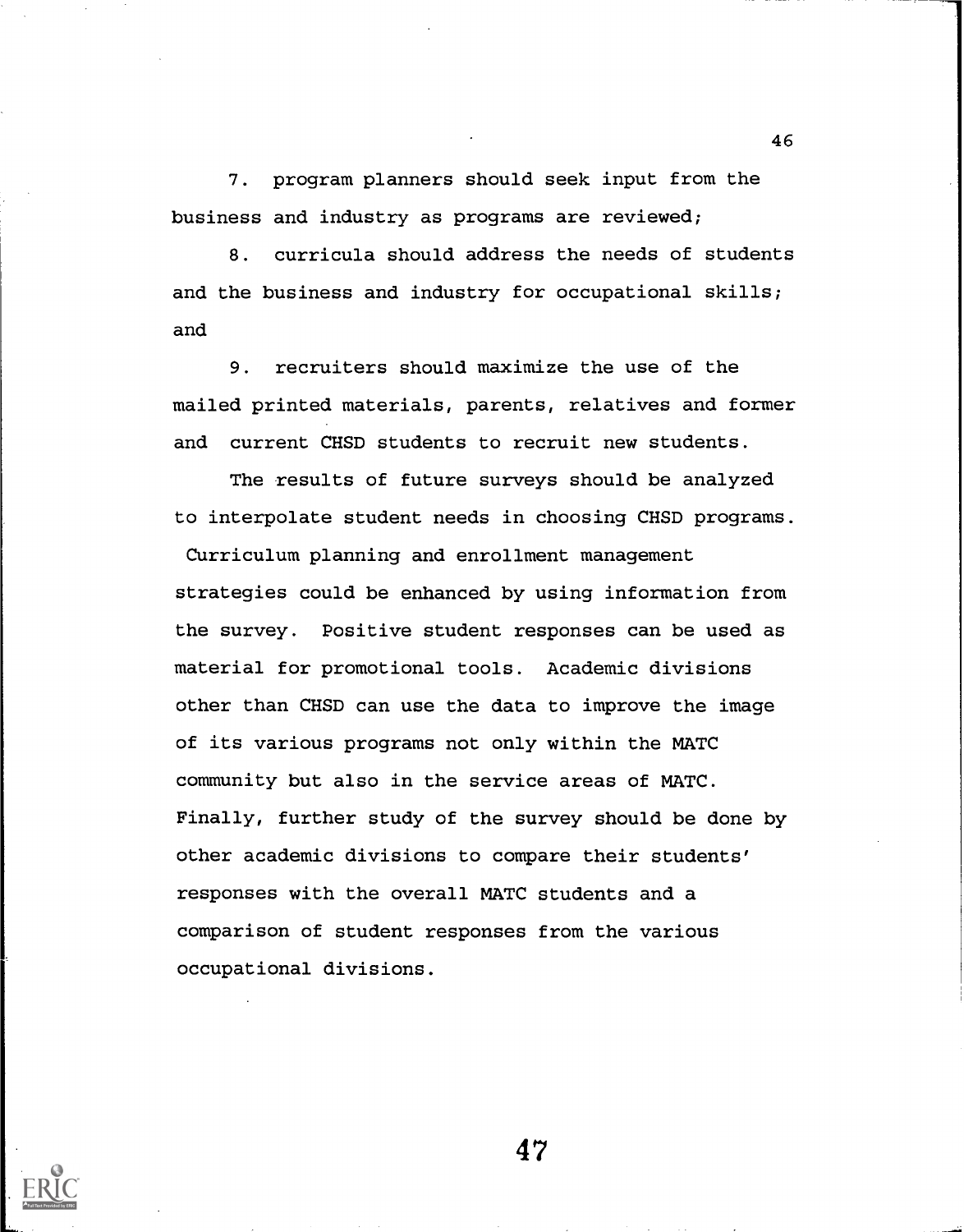7. program planners should seek input from the business and industry as programs are reviewed;

8. curricula should address the needs of students and the business and industry for occupational skills; and

9. recruiters should maximize the use of the mailed printed materials, parents, relatives and former and current CHSD students to recruit new students.

The results of future surveys should be analyzed to interpolate student needs in choosing CHSD programs.

Curriculum planning and enrollment management strategies could be enhanced by using information from the survey. Positive student responses can be used as material for promotional tools. Academic divisions other than CHSD can use the data to improve the image of its various programs not only within the MATC community but also in the service areas of MATC. Finally, further study of the survey should be done by other academic divisions to compare their students' responses with the overall MATC students and a comparison of student responses from the various occupational divisions.



47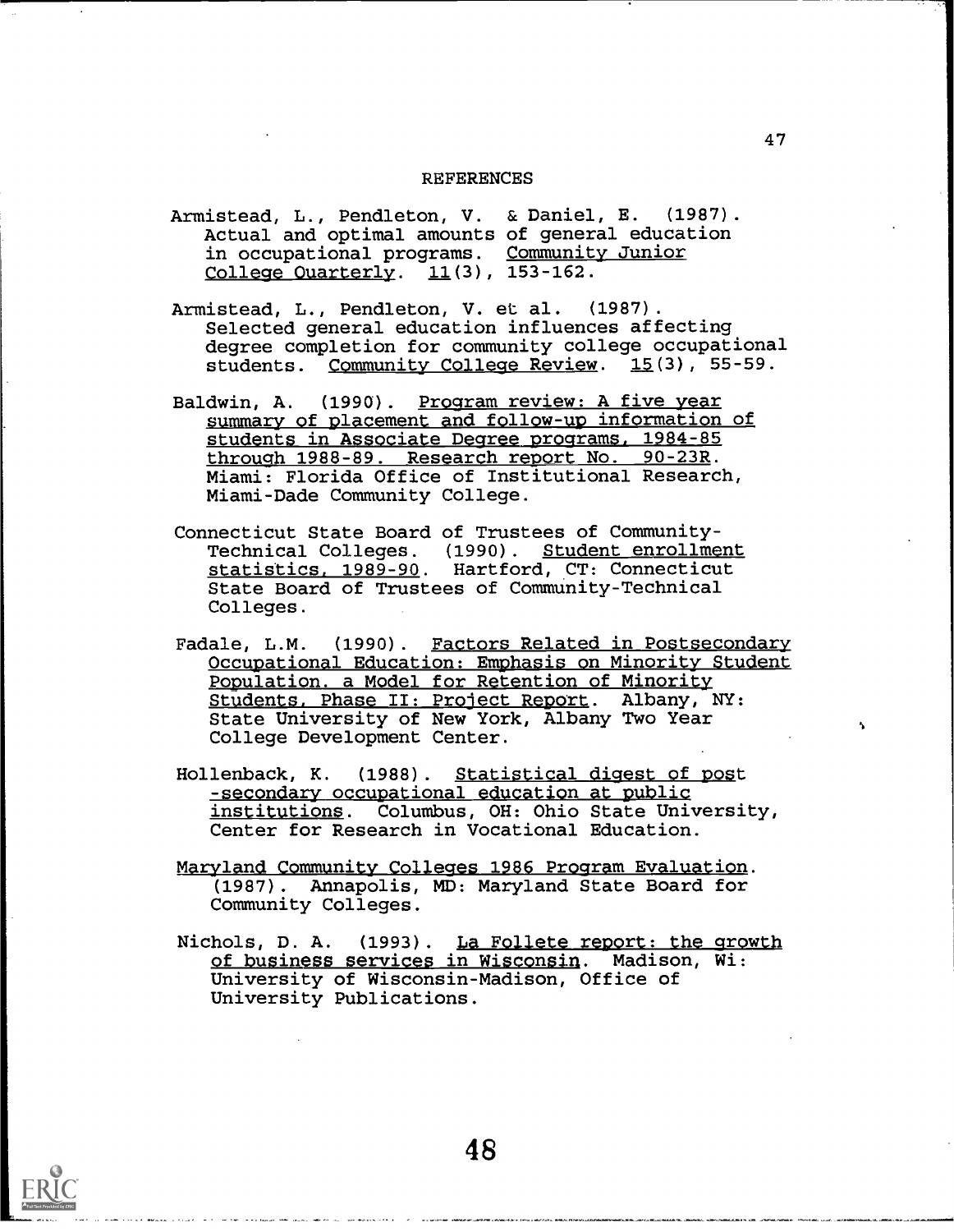#### REFERENCES

- Armistead, L., Pendleton, V. & Daniel, E. (1987). Actual and optimal amounts of general education in occupational programs. <u>Commun:</u> <u>College Ouarterly</u>. 11(3), 153–162 Community Junior 153-162.
- Armistead, L., Pendleton, V. et al. (1987). Selected general education influences affecting degree completion for community college occupational students. Community College Review.  $15(3)$ , 55-59.
- Baldwin, A. (1990). Program review: A five year summary of placement and follow-up information of students in Associate Degree programs. 1984-85 through 1988-89. Research report No. 90-23R. Miami: Florida Office of Institutional Research, Miami-Dade Community College.
- Connecticut State Board of Trustees of Community-Technical Colleges. (1990). Student enrollment s<u>tatistics, 1989-90</u>. Hartford, CT: Connecticut State Board of Trustees of Community-Technical Colleges.
- Fadale, L.M. (1990). Factors Related in Postsecondary Occupational Education: Emphasis on Minority Student Population. a Model for Retention of Minority Students. Phase II: Project Report. Albany, NY: State University of New York, Albany Two Year College Development Center.
- Hollenback, K. (1988) . Statistical digest of post -secondary occupational education at public institutions. Columbus, OH: Ohio State University, Center for Research in Vocational Education.
- Maryland Community Colleges 1986 Program Evaluation. (1987). Annapolis, MD: Maryland State Board for Community Colleges.
- Nichols, D. A. (1993). La Follete report: the growth of business services in Wisconsin. Madison, Wi: University of Wisconsin-Madison, Office of University Publications.

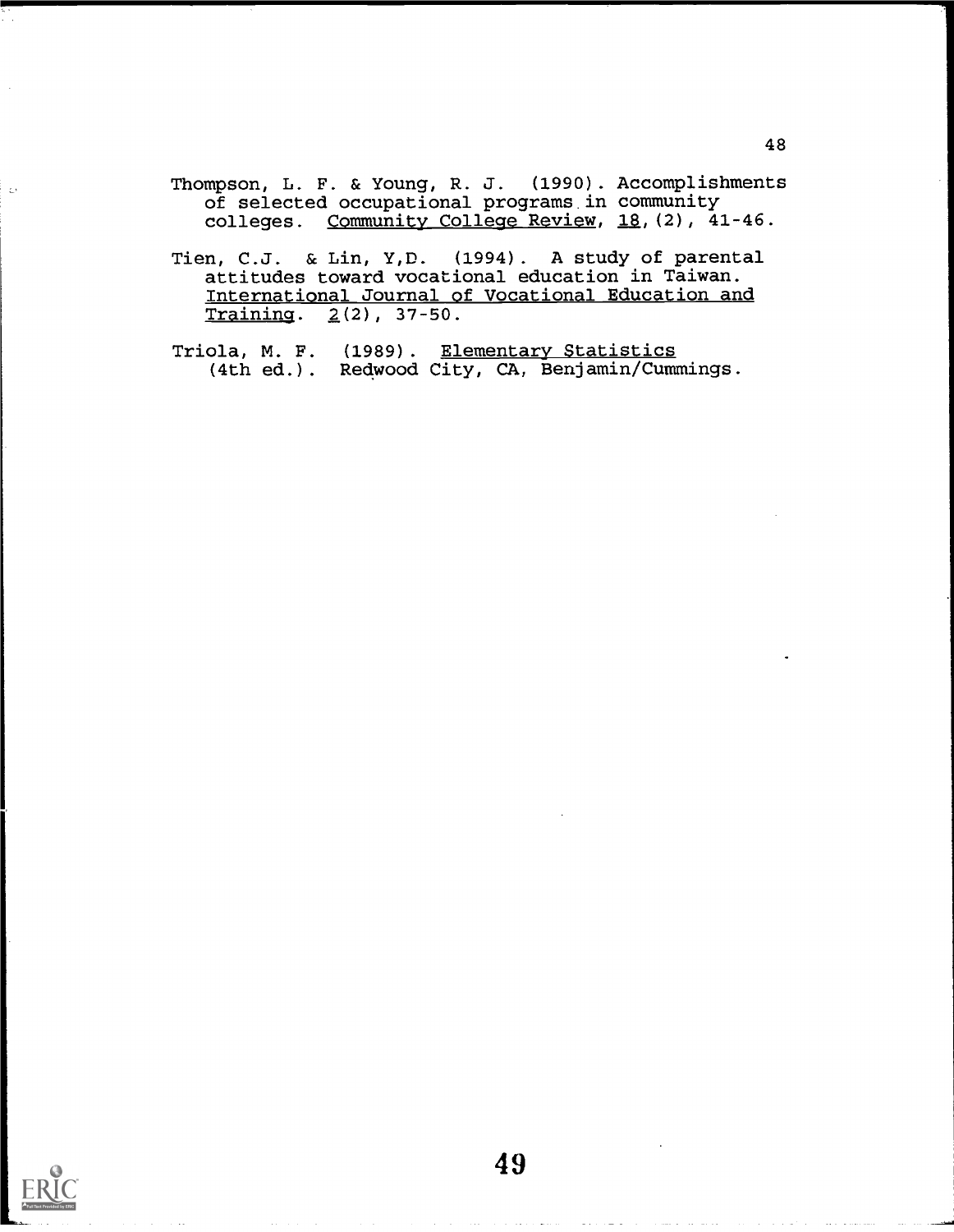Thompson, L. F. & Young, R. J. (1990). Accomplishments of selected occupational programs in community colleges. Community College Review, 18, (2), 41-46.

Tien, C.J. & Lin, Y,D. (1994). A study of parental attitudes toward vocational education in Taiwan. International Journal of Vocational Education and Training.  $2(2)$ , 37-50.

Triola, M. F. (1989). <u>Elementary Statistics</u> (4th ed.). Redwood City, CA, Benjamin/Cummings.



 $\frac{1}{2}$  .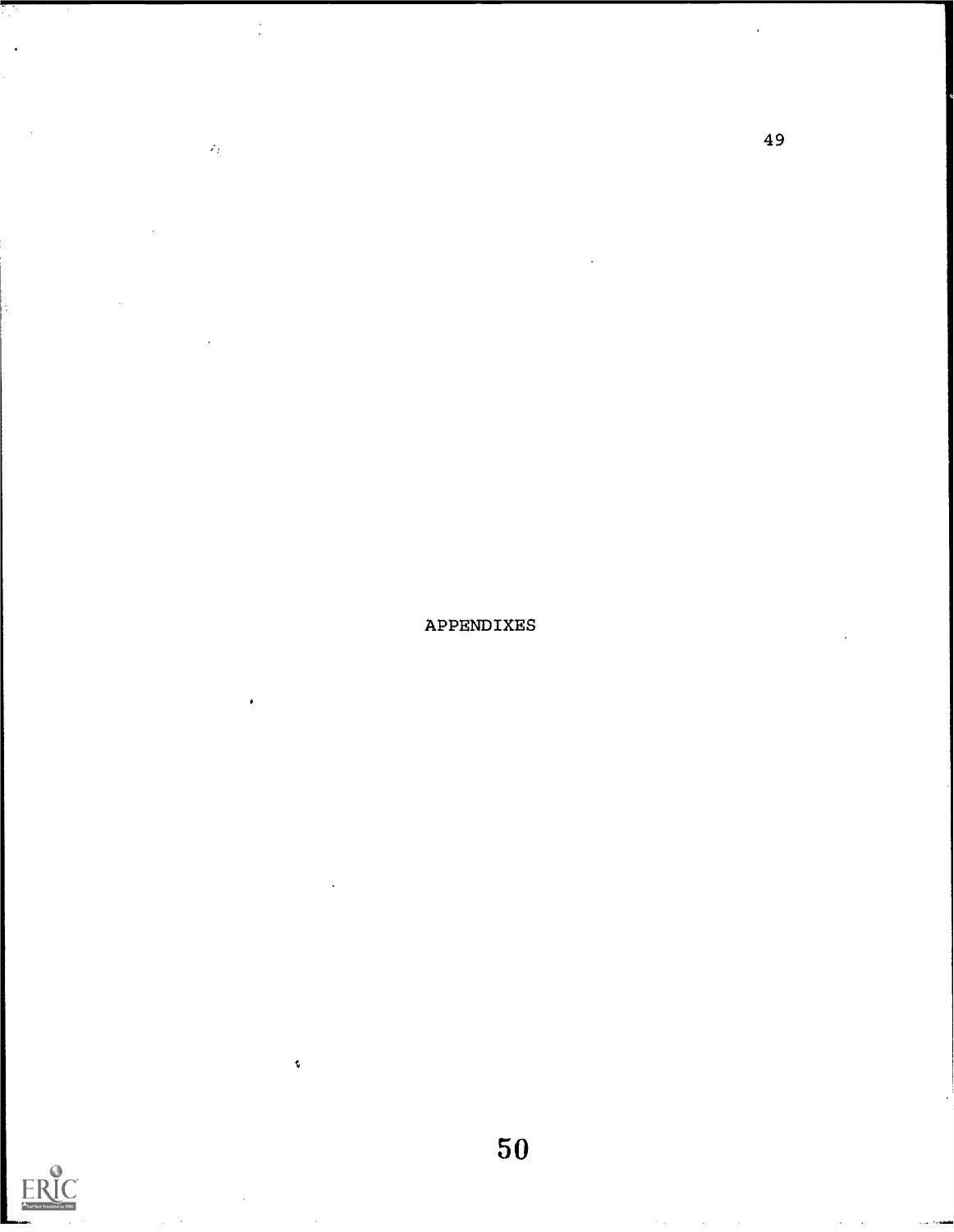APPENDIXES

 $\mathcal{L}_2$ 



 $\tilde{\mathbf{v}}$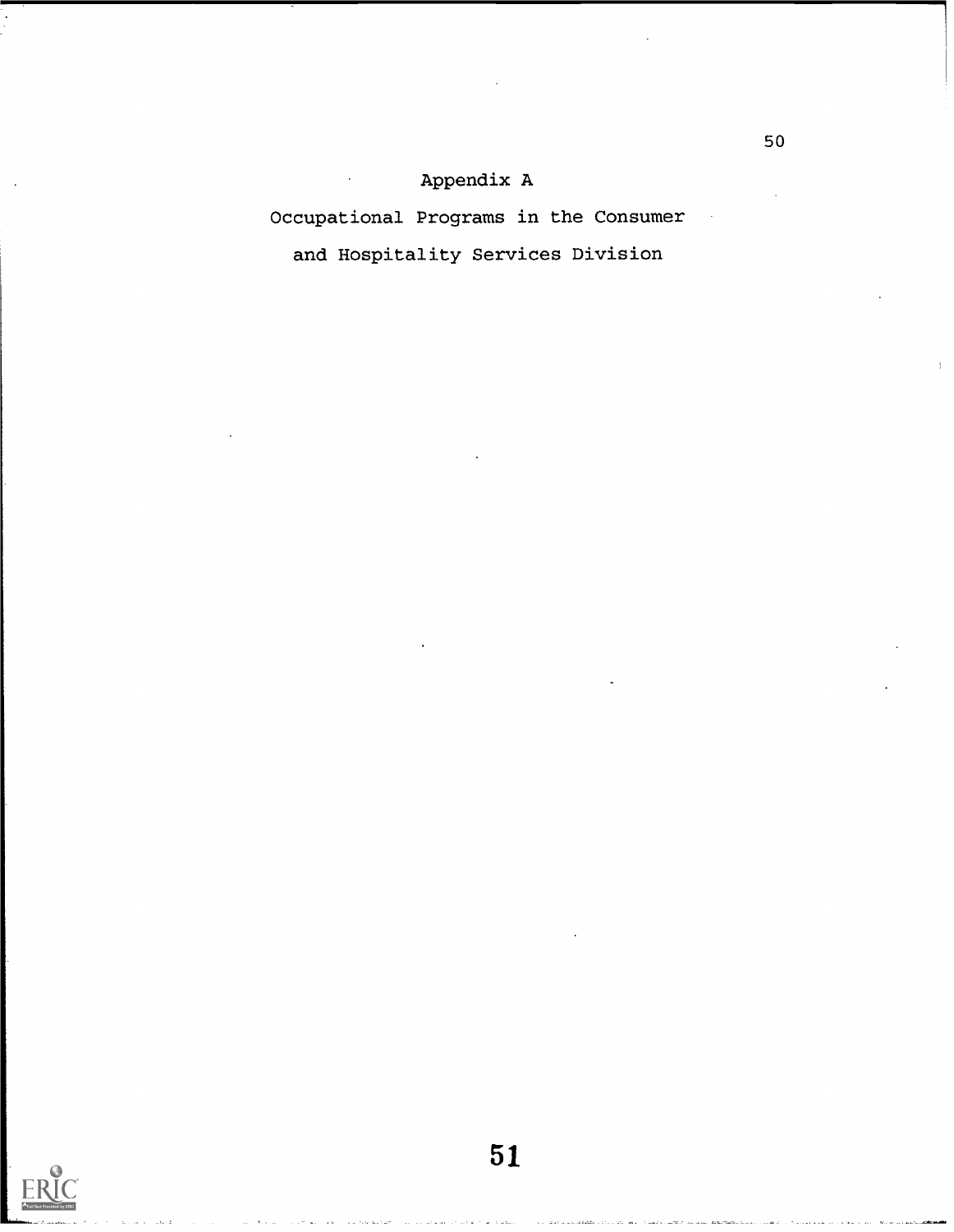## Appendix A

Occupational Programs in the Consumer

and Hospitality Services Division

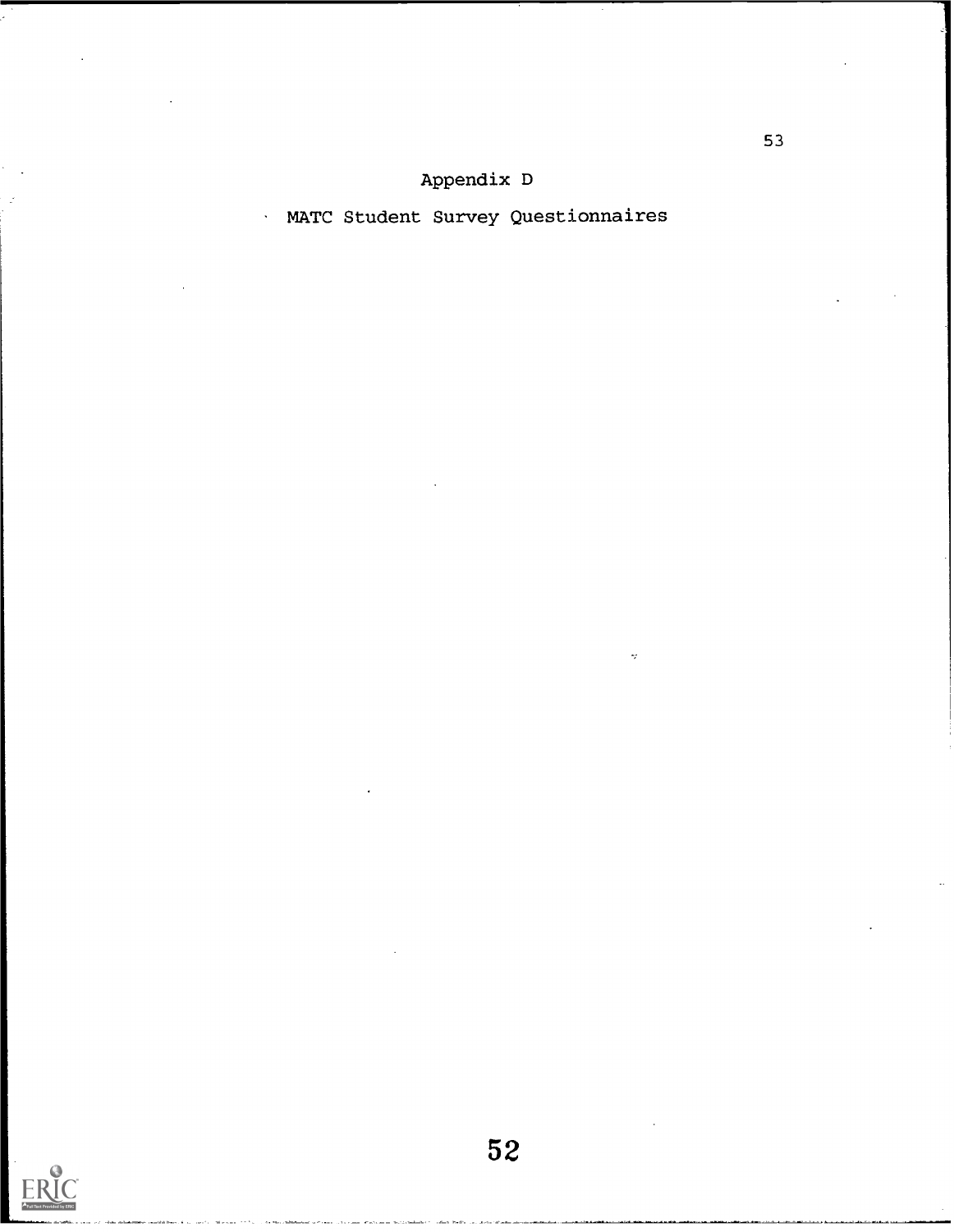# MATC Student Survey Questionnaires

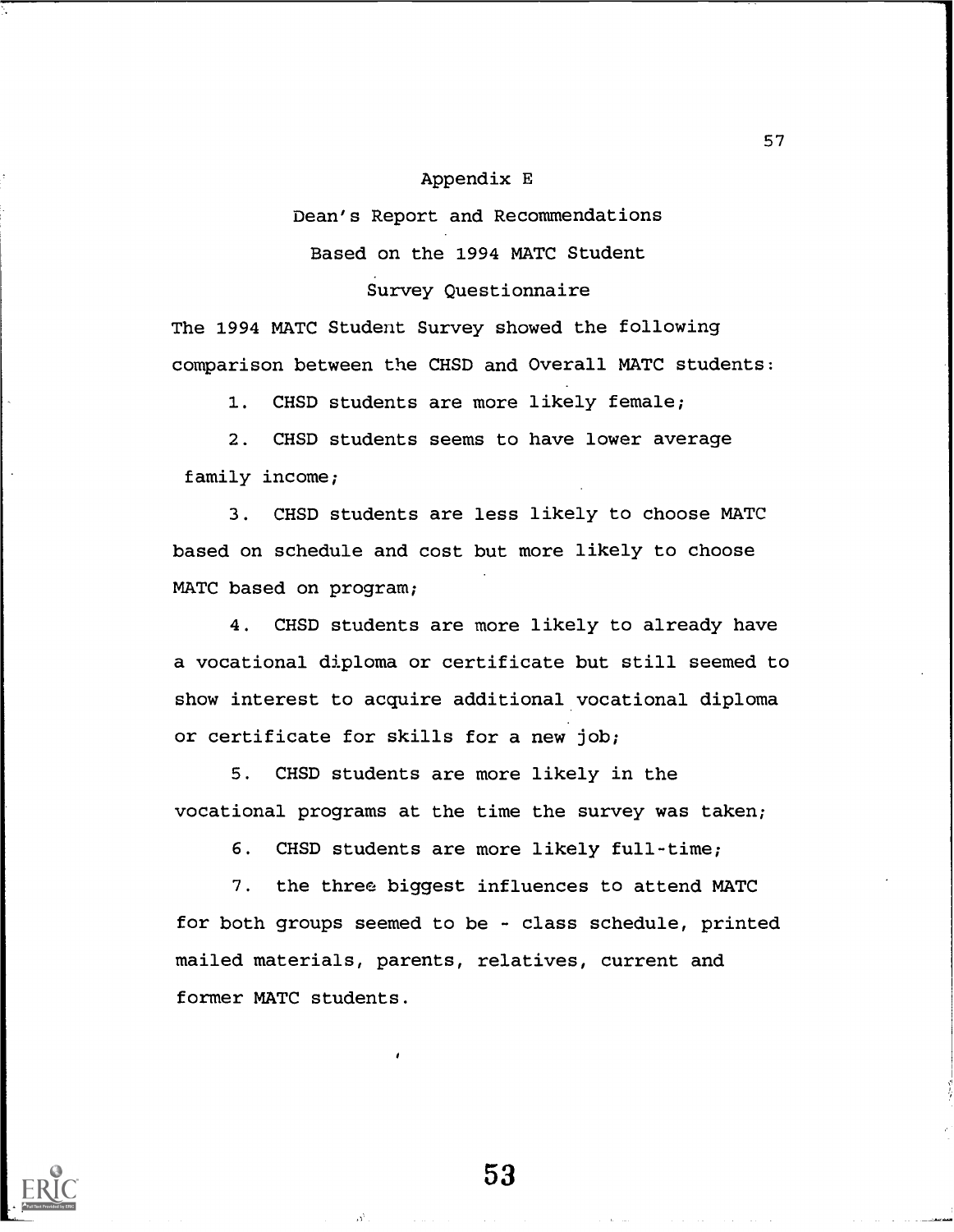## Appendix E

Dean's Report and Recommendations

Based on the 1994 MATC Student

Survey Questionnaire

The 1994 MATC Student Survey showed the following comparison between the CHSD and Overall MATC students:

1. CHSD students are more likely female;

2. CHSD students seems to have lower average family income;

3. CHSD students are less likely to choose MATC based on schedule and cost but more likely to choose MATC based on program;

4. CHSD students are more likely to already have a vocational diploma or certificate but still seemed to show interest to acquire additional vocational diploma or certificate for skills for a new job;

5. CHSD students are more likely in the vocational programs at the time the survey was taken;

6. CHSD students are more likely full-time;

7. the three biggest influences to attend MATC for both groups seemed to be - class schedule, printed mailed materials, parents, relatives, current and former MATC students.



53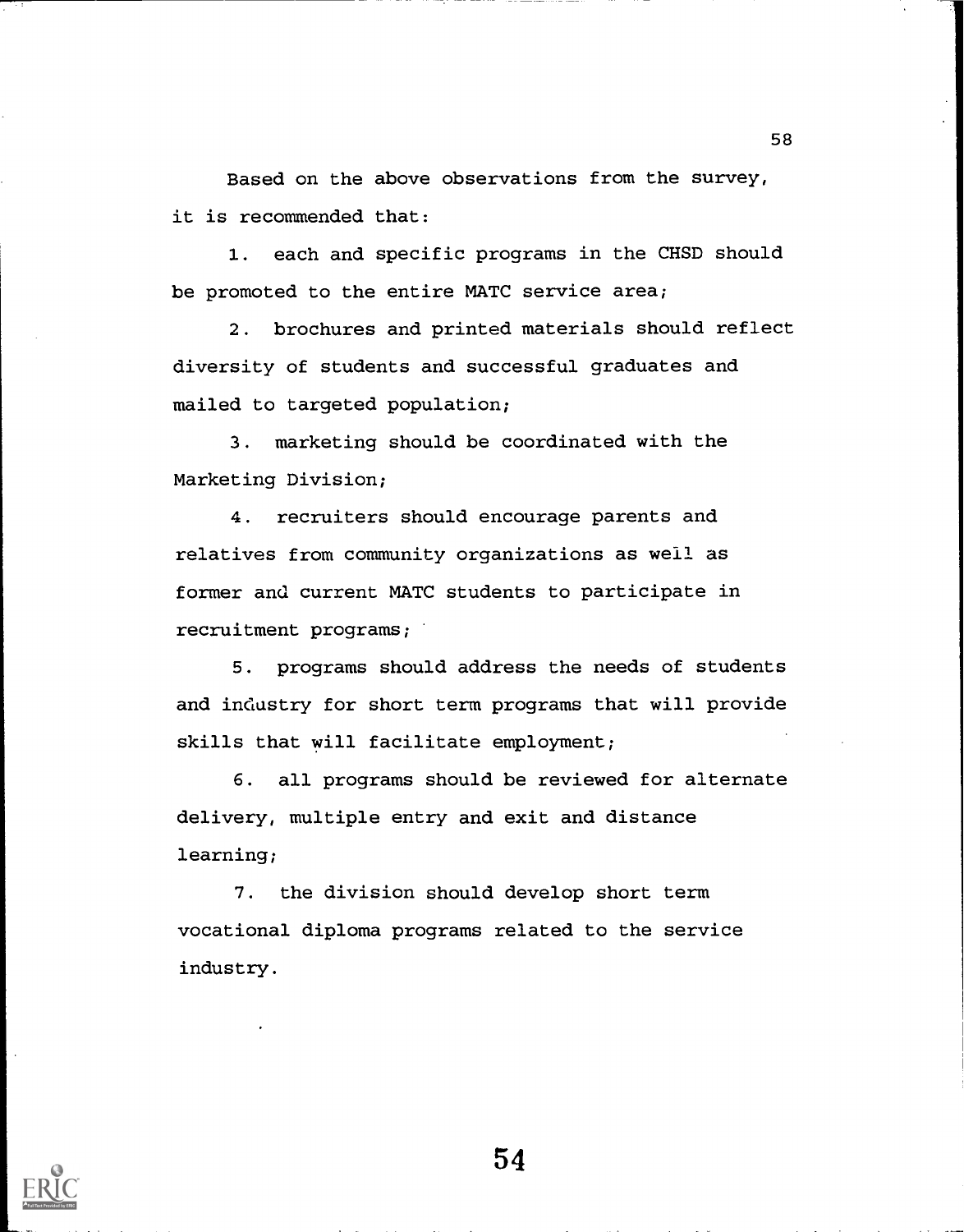Based on the above observations from the survey, it is recommended that:

1. each and specific programs in the CHSD should be promoted to the entire MATC service area;

2. brochures and printed materials should reflect diversity of students and successful graduates and mailed to targeted population;

3. marketing should be coordinated with the Marketing Division;

4. recruiters should encourage parents and relatives from community organizations as well as former and current MATC students to participate in recruitment programs;

5. programs should address the needs of students and industry for short term programs that will provide skills that will facilitate employment;

6. all programs should be reviewed for alternate delivery, multiple entry and exit and distance learning;

7. the division should develop short term vocational diploma programs related to the service industry.



54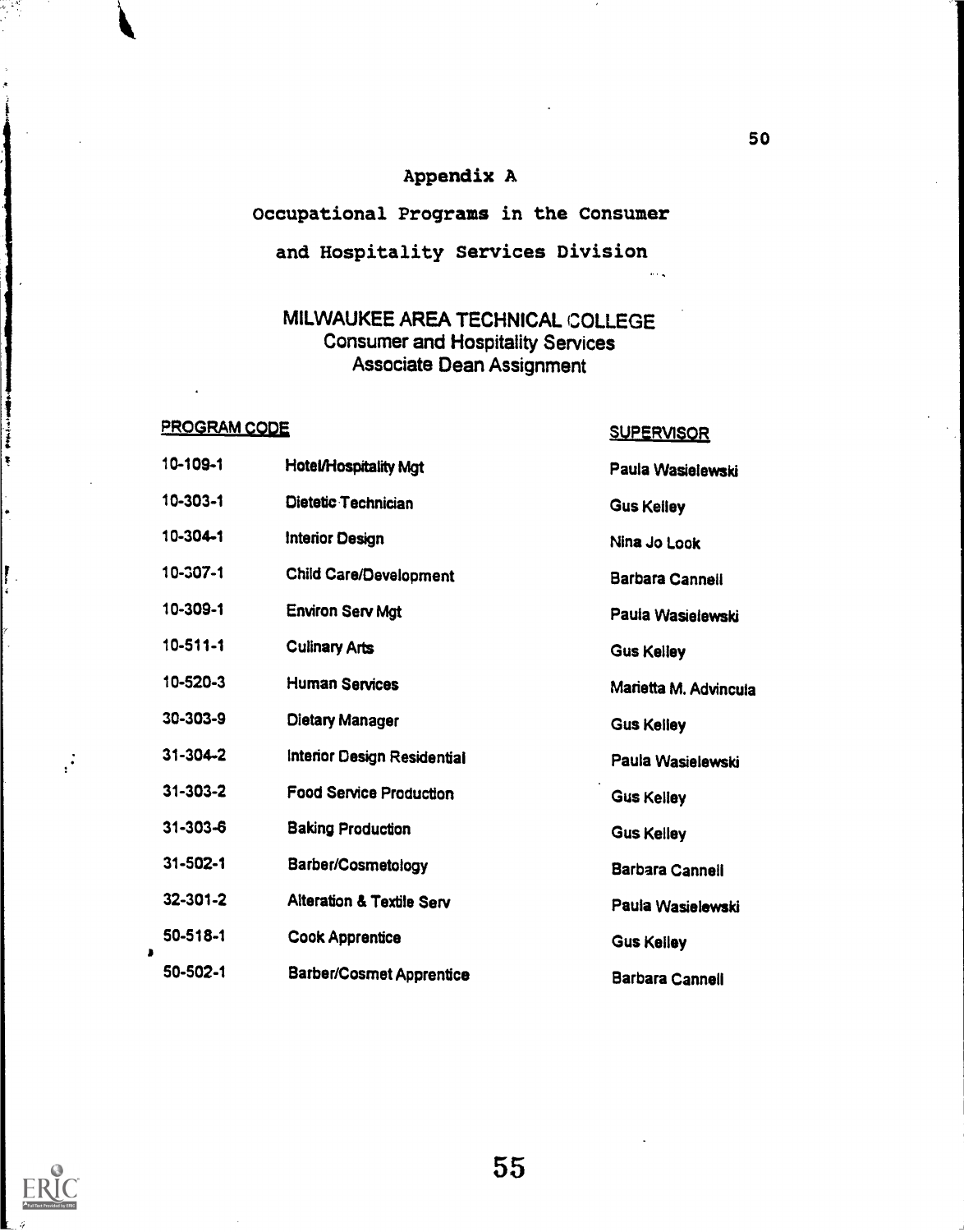## Appendix A

# Occupational Programs in the Consumer and Hospitality Services Division

## MILWAUKEE AREA TECHNICAL COLLEGE Consumer and Hospitality Services Associate Dean Assignment

## PROGRAM CODE SUPERVISOR

10-109-1 Hotel/Hospitality Mgt Paula Wasielewski 10-303-1 Dietetic Technician Gus Kelley 10-304-1 Interior Design Nina Jo Look 10-307-1 Child Care/Development Barbara Cannell 10-309-1 Environ Serv Mgt **Paula Wasielewski** 10-511-1 Culinary Arts **Gus Kelley** 10-520-3 Human Services Marietta M. Advincula 30-303-9 Dietary Manager Gus Kelley 31-304-2 Interior Design Residential Paula Wasielewski 31-303-2 Food Service Production Gus Kelley 31-303-6 Baking Production Gus Kelley 31-502-1 Barber/Cosmetology Barbara Canneil 32-301-2 Alteration & Textile Serv Paula Wasielewski 50-518-1 Cook Apprentice Gus Kelley <sup>I</sup> 50-502-1 Barber/Cosmet Apprentice Barbara Cannell



 $\vec{r}$ 

Professional de Maria

ŧ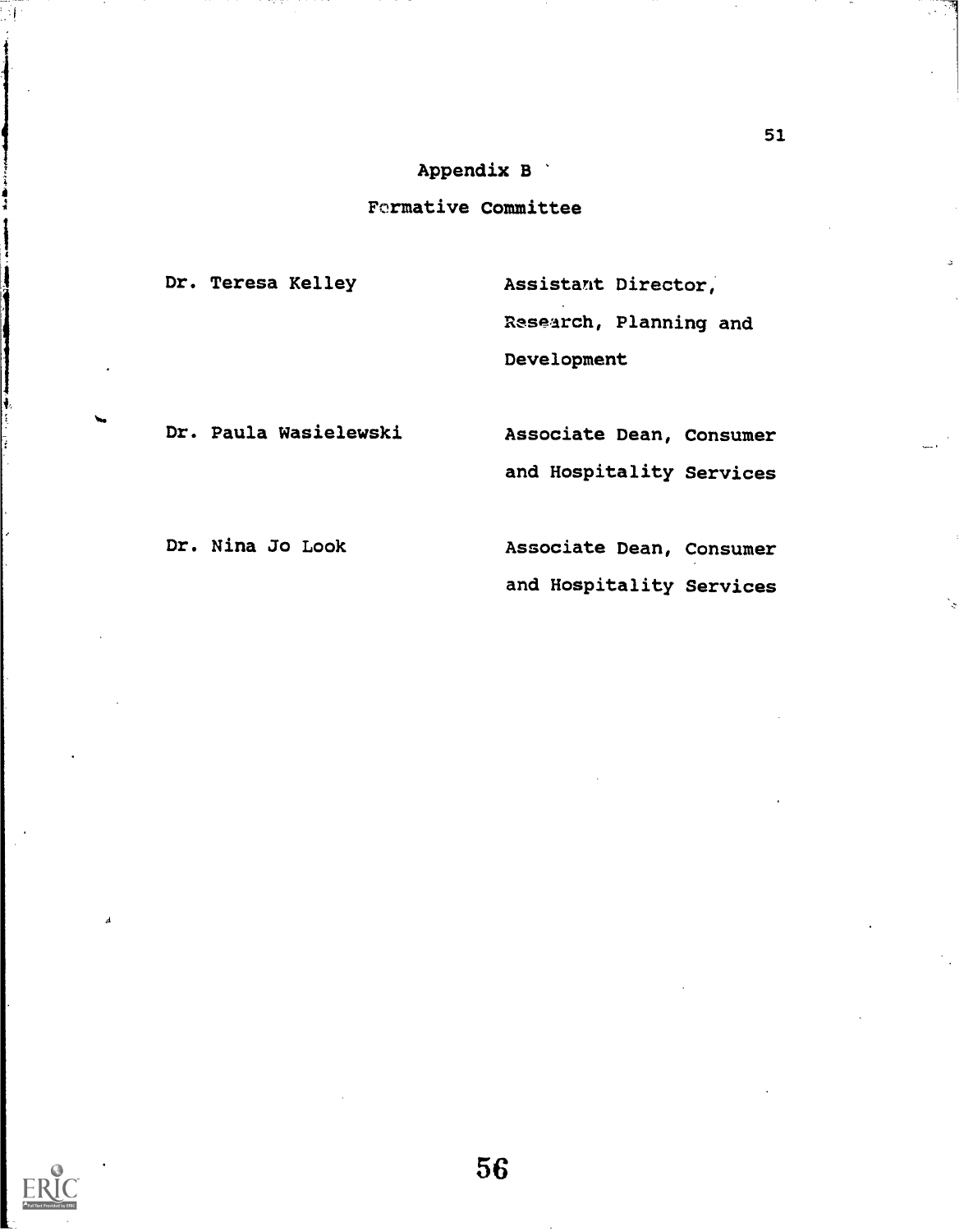## Appendix B

## Formative Committee

Dr. Teresa Kelley

Assistant Director, Resparch, Planning and Development

Dr. Paula Wasielewski Associate Dean, Consumer and Hospitality Services

Dr. Nina Jo Look (Associate Dean, Consumer and Hospitality Services



į,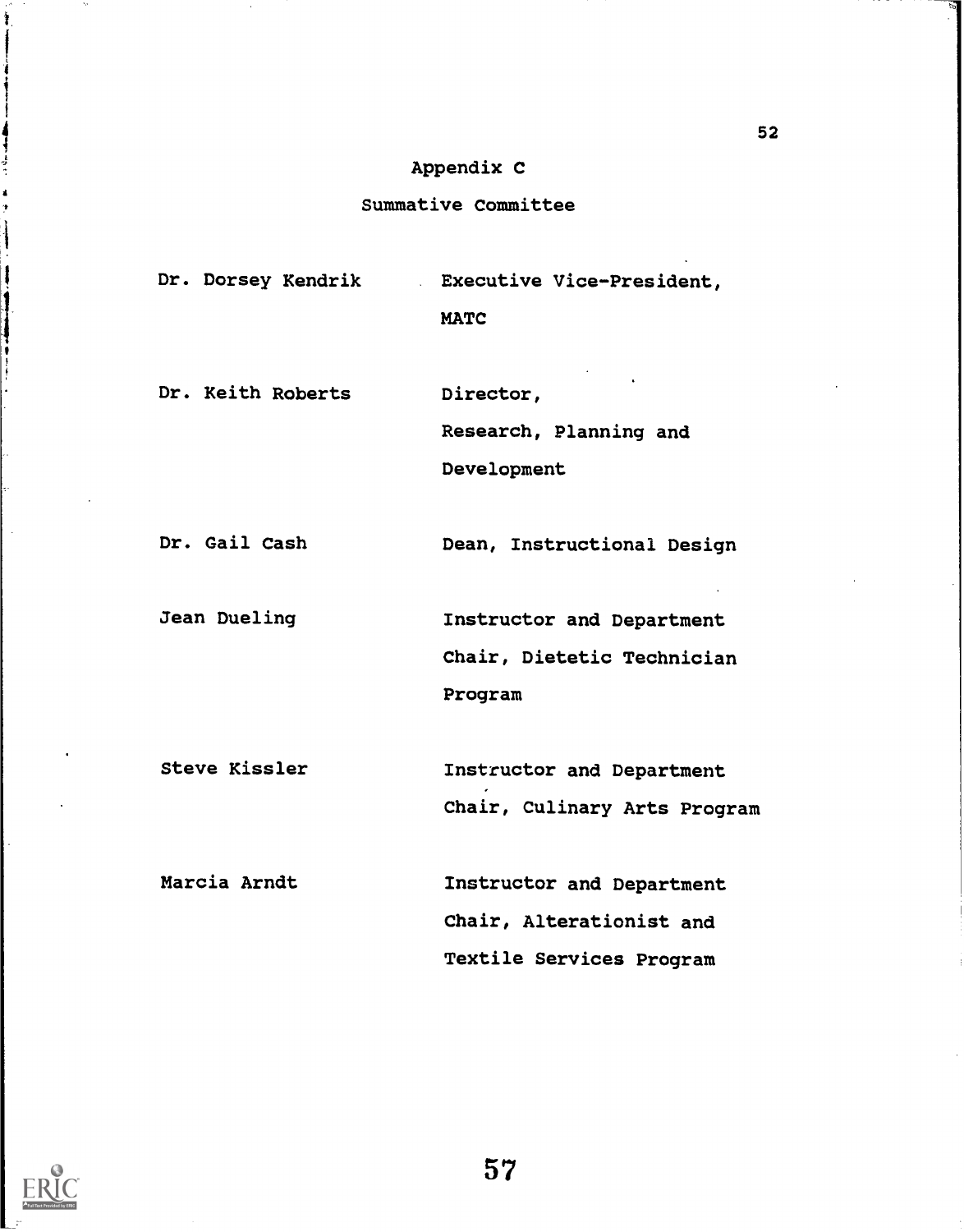## Appendix C

## Summative Committee

Dr. Dorsey Kendrik Executive Vice-President, MATC

Dr. Keith Roberts

Director, Research, Planning and

Development

Dr. Gail Cash Dean, Instructional Design

Jean Dueling Instructor and Department Chair, Dietetic Technician Program

Steve Kissler Instructor and Department Chair, Culinary Arts Program

Marcia Arndt Instructor and Department Chair, Alterationist and Textile Services Program

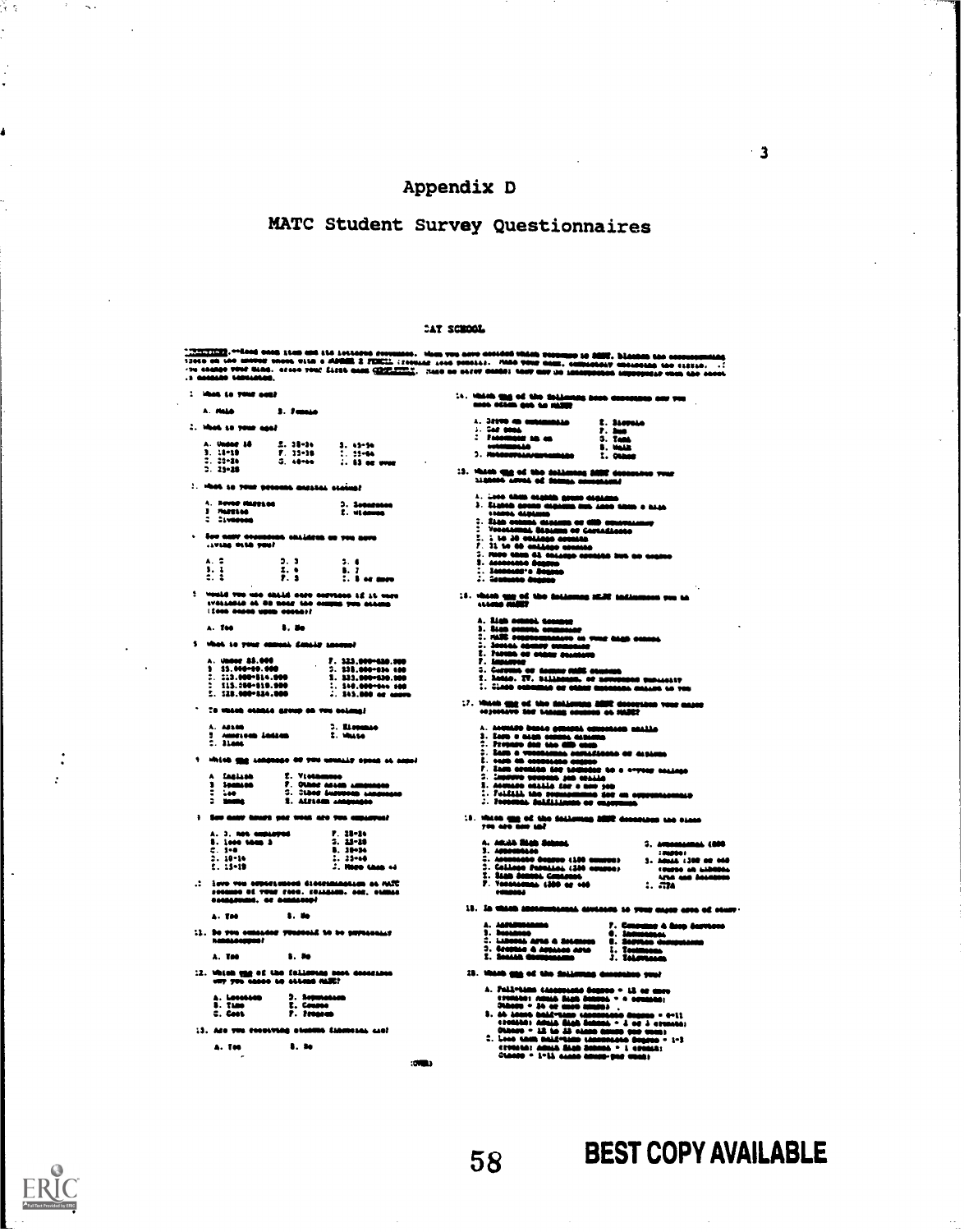## Appendix D

# MATC Student Survey Questionnaires

|                                                                                                                                                       |                             |                                                                     | CAY SCHOOL |                                                                                                                                                                                                                                                                                                                                                                                                                                                                     |                                                                                                                                                                                                                                                                                                                                 |
|-------------------------------------------------------------------------------------------------------------------------------------------------------|-----------------------------|---------------------------------------------------------------------|------------|---------------------------------------------------------------------------------------------------------------------------------------------------------------------------------------------------------------------------------------------------------------------------------------------------------------------------------------------------------------------------------------------------------------------------------------------------------------------|---------------------------------------------------------------------------------------------------------------------------------------------------------------------------------------------------------------------------------------------------------------------------------------------------------------------------------|
| $\cdots$ conside termines.                                                                                                                            |                             |                                                                     |            |                                                                                                                                                                                                                                                                                                                                                                                                                                                                     | <u>-verview)</u> ,--lood saab itab and ita istiasod perundak. Hum yuu daya antiana vahan verumno is ABMT. Diaaban tan omenapmalag<br>1366a on loo angyar saasa gita a ADBMR 2 FENCIL (forman 1966 pensis). Anda yang gami, anthoniany u                                                                                         |
| <b>Common Co. Primer month</b>                                                                                                                        |                             |                                                                     |            | 14. Which this of the Solimning ness conception and two<br>------                                                                                                                                                                                                                                                                                                                                                                                                   |                                                                                                                                                                                                                                                                                                                                 |
| <b>A. MALA</b>                                                                                                                                        | 3.7 <sub>max</sub>          |                                                                     |            |                                                                                                                                                                                                                                                                                                                                                                                                                                                                     |                                                                                                                                                                                                                                                                                                                                 |
| 2. What is your ago!                                                                                                                                  |                             |                                                                     |            | A. JESTO NO MURAMMARA<br>$1 - 748 - 0006$                                                                                                                                                                                                                                                                                                                                                                                                                           | I. Stevens<br>7. Ins                                                                                                                                                                                                                                                                                                            |
| A. Under 18                                                                                                                                           | $2.38 - 16$                 | $3.43 - 54$                                                         |            | $\frac{1}{2}$ . Foremore as an<br><b>COM</b><br>444                                                                                                                                                                                                                                                                                                                                                                                                                 | 3. Tank<br><b>S. Hold</b>                                                                                                                                                                                                                                                                                                       |
| $3 : 1 - 19$<br>$2.23 - 26$                                                                                                                           | $7.33 - 18$<br>$-3.48 - 66$ | 2.3500<br>$\ldots$ 63 or over                                       |            | 3. POSSESPELA/EUROPANA                                                                                                                                                                                                                                                                                                                                                                                                                                              | 1.0000                                                                                                                                                                                                                                                                                                                          |
| $2.25 - 28$                                                                                                                                           |                             |                                                                     |            | 13. Which und of the following 2002 december your nighted arrest of Stamps correlated                                                                                                                                                                                                                                                                                                                                                                               |                                                                                                                                                                                                                                                                                                                                 |
| 2. Hook so your process messess craine?                                                                                                               |                             |                                                                     |            |                                                                                                                                                                                                                                                                                                                                                                                                                                                                     |                                                                                                                                                                                                                                                                                                                                 |
| A. Hoved Happage                                                                                                                                      |                             | 3. Somenano                                                         |            | $\lambda$ . 1880 Minis angkila gauna dagaana.<br>3. Kabab agaan dagaana min aano aham o haga                                                                                                                                                                                                                                                                                                                                                                        |                                                                                                                                                                                                                                                                                                                                 |
| 3 Marston<br>1 DEVOCACIO                                                                                                                              |                             | $E.$ widenes                                                        |            | ------<br>$:$ $\overline{\phantom{a}}$                                                                                                                                                                                                                                                                                                                                                                                                                              |                                                                                                                                                                                                                                                                                                                                 |
|                                                                                                                                                       |                             |                                                                     |            | 1. Žiak oskubi diplom od CIID oznavanomu.<br>2. Vosolomni diplom od Cortalizato                                                                                                                                                                                                                                                                                                                                                                                     |                                                                                                                                                                                                                                                                                                                                 |
| $\sim$ Roo andy described children as you nove.<br>This can post                                                                                      |                             |                                                                     |            | $\begin{array}{ll}\n1. & 1 & 10 & 30 & 001 \text{kg} \\ \n7. & 11 & 10 & 00 & 001 \text{kg} \\ \n8. & 11 & 10 & 10 & 001 \text{kg} \\ \n9. & 10 & 10 & 001 \text{kg} \\ \n10. & 10 & 10 & 001 \text{kg} \\ \n11. & 10 & 10 & 001 \text{kg} \\ \n12. & 10 & 10 & 001 \text{kg} \\ \n23. & 10 & 10 & 001 \text{kg} \\ \n34. & 10 & 10 & $                                                                                                                             |                                                                                                                                                                                                                                                                                                                                 |
| A. 2                                                                                                                                                  | 3.3                         | 3.6                                                                 |            | 5. Note than 65 colleage contains fact on course                                                                                                                                                                                                                                                                                                                                                                                                                    |                                                                                                                                                                                                                                                                                                                                 |
| 3.1                                                                                                                                                   | 2.4                         | 8. 7                                                                |            |                                                                                                                                                                                                                                                                                                                                                                                                                                                                     |                                                                                                                                                                                                                                                                                                                                 |
| 2. Z                                                                                                                                                  | P. 3                        | $2.3$ or most                                                       |            |                                                                                                                                                                                                                                                                                                                                                                                                                                                                     |                                                                                                                                                                                                                                                                                                                                 |
| $\ddot{z}$ , would two use chain sare corrects if it were<br>IVALLABLE AL 80 NORE 100 COMPAS TWO CLASSES<br><b>LEASED GROUP DEADS AND REAL</b>        |                             |                                                                     |            | 15. Which any of the following HDP influences was to<br>science middle                                                                                                                                                                                                                                                                                                                                                                                              |                                                                                                                                                                                                                                                                                                                                 |
| A. 768                                                                                                                                                | <b>S. Bo</b>                |                                                                     |            |                                                                                                                                                                                                                                                                                                                                                                                                                                                                     |                                                                                                                                                                                                                                                                                                                                 |
| 5 What to your comes dealer seemed                                                                                                                    |                             |                                                                     |            |                                                                                                                                                                                                                                                                                                                                                                                                                                                                     |                                                                                                                                                                                                                                                                                                                                 |
|                                                                                                                                                       |                             |                                                                     |            | 2. Second county comments<br>2. PAPIDS OF DIRECT SALESMENT                                                                                                                                                                                                                                                                                                                                                                                                          |                                                                                                                                                                                                                                                                                                                                 |
| A. Under 85.000<br>3 55.000-09.000                                                                                                                    |                             | $7.323.000-0.000$                                                   |            | 7. Lessone                                                                                                                                                                                                                                                                                                                                                                                                                                                          |                                                                                                                                                                                                                                                                                                                                 |
| $2.223.000-814.000$<br>113.000-010.000                                                                                                                |                             | 2. 118.000-814 400                                                  |            | 1. Corrent or deman mill consent<br>1. Intér. TV. Stillman, et novembre subsetty<br>1. Inter colonial or class metalske militar in ver                                                                                                                                                                                                                                                                                                                              |                                                                                                                                                                                                                                                                                                                                 |
| 1. 118.000-114.000                                                                                                                                    |                             | $\frac{1}{2}$ . 510.000-011 300<br>$\frac{1}{2}$ . 515,000 or cours |            |                                                                                                                                                                                                                                                                                                                                                                                                                                                                     |                                                                                                                                                                                                                                                                                                                                 |
| $\sim$ To vasen consist group on vou noting!                                                                                                          |                             |                                                                     |            |                                                                                                                                                                                                                                                                                                                                                                                                                                                                     | 17. Which the col the following BBR describes vest major<br>copyright for tange counter on HART                                                                                                                                                                                                                                 |
| A. 48100                                                                                                                                              |                             | 3. Elemento<br><b>E. MALLO</b>                                      |            | $\lambda$ . Anguard bunte general comentos catilo 1. Sero e majo catalas 2. Fregues del termo de majo comento de la comenta de la comenta de la comenta de la comencia de la comencia de la comencia de la comencia de la comencia                                                                                                                                                                                                                                  |                                                                                                                                                                                                                                                                                                                                 |
| 1 American Indian<br>1. Ilaac                                                                                                                         |                             |                                                                     |            |                                                                                                                                                                                                                                                                                                                                                                                                                                                                     |                                                                                                                                                                                                                                                                                                                                 |
|                                                                                                                                                       |                             | 1. Which the concess of you countly speed at annul                  |            | E. cars as executes a                                                                                                                                                                                                                                                                                                                                                                                                                                               |                                                                                                                                                                                                                                                                                                                                 |
| A faalaah .                                                                                                                                           | Z. Vietnames                |                                                                     |            | s. com un consoloro ununo<br>7. Ianh credito del tomolor to a cryser college                                                                                                                                                                                                                                                                                                                                                                                        |                                                                                                                                                                                                                                                                                                                                 |
| 3 Spanien<br>$\sim$ 40 $\sim$                                                                                                                         |                             | 7. Other nesse amenages<br>3. Class Suppose Linguages               |            |                                                                                                                                                                                                                                                                                                                                                                                                                                                                     |                                                                                                                                                                                                                                                                                                                                 |
| <b>SHOPLE</b>                                                                                                                                         | 2. Atriem Annuales          |                                                                     |            | Postenas deldinamas or cancer                                                                                                                                                                                                                                                                                                                                                                                                                                       |                                                                                                                                                                                                                                                                                                                                 |
| See many hours par week are you expanyed                                                                                                              |                             |                                                                     |            |                                                                                                                                                                                                                                                                                                                                                                                                                                                                     | $10$ . Which this of the deliction SSIR decorates are close. you are now and                                                                                                                                                                                                                                                    |
| A. 3. NOS GEOLOGIOS<br><b>B. Loop tous 3</b>                                                                                                          |                             | $P. 28 - 14$<br>$2. 23 - 28$                                        |            | A. ARAS RIGE SCHOOL                                                                                                                                                                                                                                                                                                                                                                                                                                                 | 3. ANDREAMENT (800                                                                                                                                                                                                                                                                                                              |
| $= 1.90$<br>$2.10 - 14$                                                                                                                               |                             | $8.38 - 34$<br>:                                                    |            | 1. Appelbisso<br>1. Appelbisso Deggue (190 anusco)                                                                                                                                                                                                                                                                                                                                                                                                                  | 3. ABOAR 1398 OR 060                                                                                                                                                                                                                                                                                                            |
| $1.15 - 19$                                                                                                                                           |                             | J. Maro Lana ed                                                     |            | 3. Colingo Pasalini (300 coupos)                                                                                                                                                                                                                                                                                                                                                                                                                                    |                                                                                                                                                                                                                                                                                                                                 |
| $\mathfrak{M}$ as manifestable is construction over $\mathfrak{t}$ .<br><b>SOCALES OF TOUR FACE. EDIAGANS. COR. CLIMAC</b><br>conserves. or conserver |                             |                                                                     |            | T. Siah Sansai Contrast<br>F. Versterman 1500 ar 160<br>consume.                                                                                                                                                                                                                                                                                                                                                                                                    | $\frac{1}{2}$ . $\frac{1}{2}$ . $\frac{1}{2}$ . $\frac{1}{2}$ . $\frac{1}{2}$ . $\frac{1}{2}$ . $\frac{1}{2}$ . $\frac{1}{2}$ . $\frac{1}{2}$ . $\frac{1}{2}$ . $\frac{1}{2}$ . $\frac{1}{2}$ . $\frac{1}{2}$ . $\frac{1}{2}$ . $\frac{1}{2}$ . $\frac{1}{2}$ . $\frac{1}{2}$ . $\frac{1}{2}$ . $\frac{1}{2}$ . $\frac{1}{2}$ . |
|                                                                                                                                                       |                             |                                                                     |            |                                                                                                                                                                                                                                                                                                                                                                                                                                                                     | $18$ . In which approximately covered to your capts area of other-                                                                                                                                                                                                                                                              |
| $A.$ Tee                                                                                                                                              | 1.4 <sub>0</sub>            |                                                                     |            | A. ASPARAMENTOS<br>3. Desambos                                                                                                                                                                                                                                                                                                                                                                                                                                      |                                                                                                                                                                                                                                                                                                                                 |
| 11. So you concided venceed to be seymaching<br><b><i><u>RAMALOGUERO</u></i></b>                                                                      |                             |                                                                     |            | C. Liboons area a docesses                                                                                                                                                                                                                                                                                                                                                                                                                                          |                                                                                                                                                                                                                                                                                                                                 |
| <b>A. Tee</b>                                                                                                                                         | <b>B. Mo</b>                |                                                                     |            | 3. Scottin & Artista Arte<br>2. Scottin Commonwe                                                                                                                                                                                                                                                                                                                                                                                                                    | 7. Consume & Assp desvesse<br>0. Industries<br>1. Section desurfaces<br>1. Technology<br>1. Technology                                                                                                                                                                                                                          |
|                                                                                                                                                       |                             |                                                                     |            |                                                                                                                                                                                                                                                                                                                                                                                                                                                                     |                                                                                                                                                                                                                                                                                                                                 |
| 12. Which the of the following nest concensus<br>OUT TOO GROOM ON OLLING FAIR!                                                                        |                             |                                                                     |            | 15. Which and of the deligence consistent your                                                                                                                                                                                                                                                                                                                                                                                                                      |                                                                                                                                                                                                                                                                                                                                 |
| A. Lecosson<br>S. Time                                                                                                                                | 3. Reputation<br>E. Counte  |                                                                     |            | A. Pallytime concerned degree $\sim$ 13 or energy creates: Africa diagn density $\sim$ 0 ormstay;<br>$\sim$ 00000 $\sim$ 00 or energy symmetry.                                                                                                                                                                                                                                                                                                                     |                                                                                                                                                                                                                                                                                                                                 |
| C. Cook                                                                                                                                               | $7.$ From $\bullet$         |                                                                     |            | $\begin{minipage}{.4\textwidth} \begin{tabular}{l} \bf{1.44}\end{tabular} \begin{tabular}{l} \bf{2.45}\end{tabular} \begin{tabular}{l} \bf{3.46}\end{tabular} \begin{tabular}{l} \bf{4.46}\end{tabular} \begin{tabular}{l} \bf{5.47}\end{tabular} \begin{tabular}{l} \bf{5.48}\end{tabular} \end{minipage} \begin{tabular}{l} \bf{4.48}\end{tabular} \begin{tabular}{l} \bf{5.49}\end{tabular} \end{minipage} \begin{tabular}{l} \bf{5.49}\end{tabular} \begin{tab$ |                                                                                                                                                                                                                                                                                                                                 |
| 13. Are you concerning abundle Examples and?                                                                                                          |                             |                                                                     |            |                                                                                                                                                                                                                                                                                                                                                                                                                                                                     |                                                                                                                                                                                                                                                                                                                                 |
| A. TOO                                                                                                                                                | 8. 80                       |                                                                     |            |                                                                                                                                                                                                                                                                                                                                                                                                                                                                     |                                                                                                                                                                                                                                                                                                                                 |
|                                                                                                                                                       |                             |                                                                     |            |                                                                                                                                                                                                                                                                                                                                                                                                                                                                     |                                                                                                                                                                                                                                                                                                                                 |

Šτ.

ś

 $\mathcal{F}=\infty$  .

# **BEST COPY AVAILABLE**

 $\overline{\phantom{a}}$  3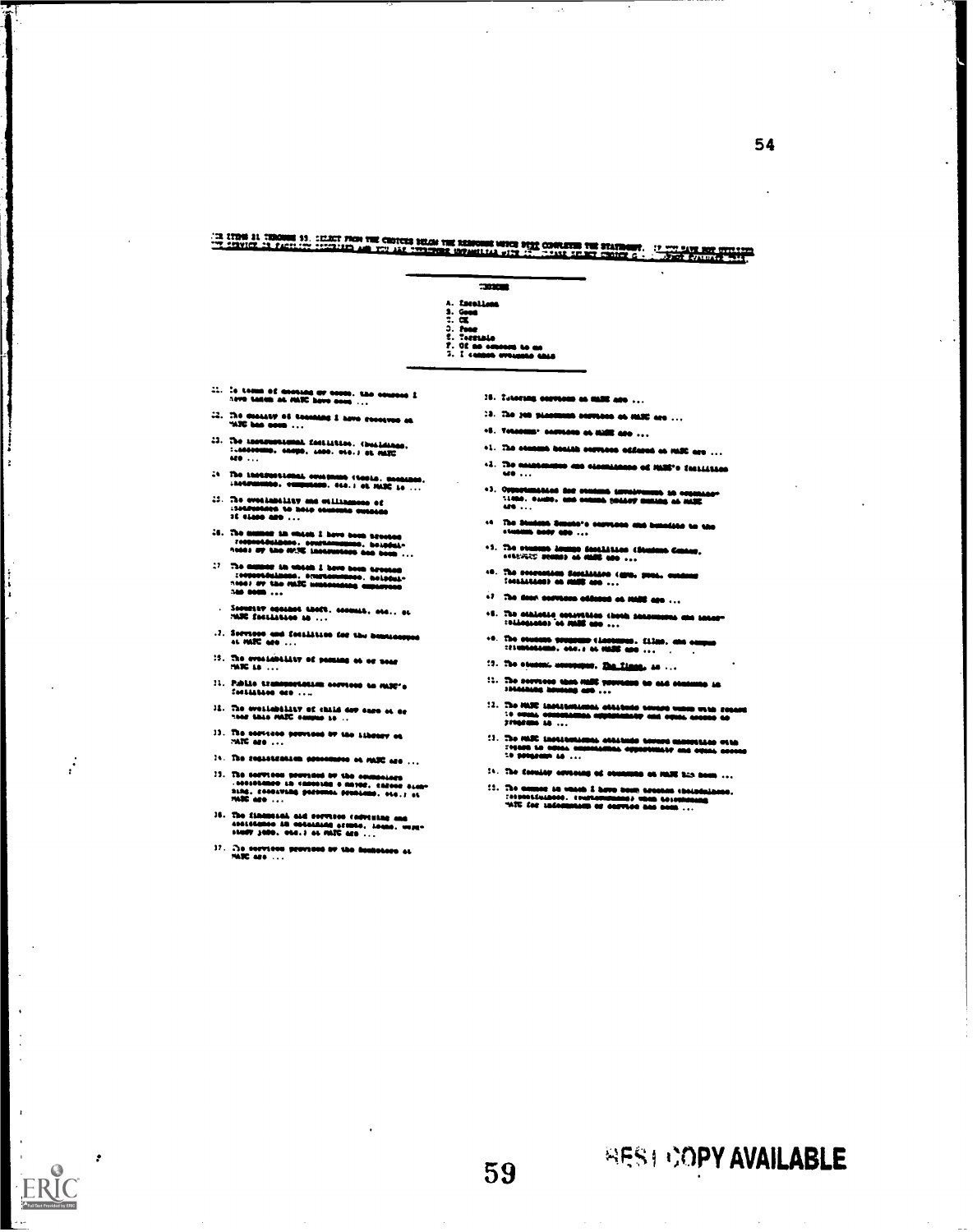(In time it thousand 19, cillet from the choices below the response with book converts the stationary. If you have not present the<br>The chavior in factory from the age you are throughts infusitive with the three spaces cont

- =XS A. Kacallana<br>S. <u>Ge</u>og 3. heer<br>5. Tornable<br>7. Of no ommom to as<br>3. I cannot overnaan this  $::..$  is tome of coouse ow owes. Mo overceed  $1$  are today is ... 15. Lotering corrects on mail are ... 12. The 3M pleasures correcte on HANC are .
- IS. The constant of teaching 1 ame constructed at  $400\%$  has seen  $\dots$
- 3. The iseeampemeal. tonittuo. Obealoaloa. 7.40104.00. WOO. 0144. sae.) II Ma=
- :4 The instructional courtess (tools, meaning, instruction, exceptions, etc.) of MARC is ...
- 4444440144. sooloitse. .0.4.1 44 MAX 44 ... ft 401444114144. 411101141.4101401 13014401014 14 4444 440101441 1444444 It lma amo
- s. The manner in Molen I hove seem speeded<br>- Toopastdulpase, aouthningans, holddule<br>- Andal ay the MAN lassenseem and hom ...
- :7 Me emlor am aoteO 1 Mee 60013 114444.00 taatoolilloWolo. 404014440401. 113034441 1464\$ at 4.114 mat rambesesees 440400004 144 0001
- $\therefore$   $50701147$  against theft, coomit, std., et matrix tells
- .1. Secretor and featilities for the semmasters  $\alpha$  MIC are  $\dots$
- :3. The evontability of passing at or near  $15.55 \pm 0.5$
- Pallta ttalloorlanallo amenosa 55 10311r 7081/3111414 010
- It. The availability of child dow ease of  $\alpha$  measurements ...
- $33.$  The services governous by the Library ea matrix are  $\dots$
- $14.$  The sequencenties presentates on MOC are  $\dots$

 $\cdot$ 

ERIC

- :I. The services pervised by the commonings<br>- (40101111020 to 4400111010 a 44102, caroor 6140-<br>1102, coostating personal problems, etc.) at<br>- MATC are ...
- 30. INNEE SAN IMESNEE HANDEL 401 043444444011144 044 40111444<br>401 1011144044 044 4010. lour. oats. as. 3010. eag. 3010. eag. 3010. eag. 3010. eag. 3010. eag. 3010. eag. 30
- 11. no ~nom georsoot VP 14, lloltoasso ea AOC ate ...
- 
- 
- .0. TeemeemP empleene moat MS ...
- ... iss commo conist corriers effects at MSC are ...
- .1. The serisamene eamoiarso II MMIS.1 1000401.046 ...
- $3.$  Ontariomation des somers improformer in appear  $\frac{11000}{11000}$ . audio. audio. oat owned politor animals of mitte
- $\frac{11}{100}$  The Sholor's Smoto's sourcess and tomolics to the
- .1. The mall" lastiaa tesaittalli 1111110 GEOM. o sat'aratg aeon, et Millt MS ...
- es. The second secondary (610, 2011, centers of the second second second second second second second second second second second second second second second second second second second second second second second second se
- $\Omega$  . The dear services addense at HMS are  $\ldots$
- $\cdot$ 5. The athietis constribute choth sensurement and measuremically constraints on  $\cdot$
- .m. The Soudene Sougenes Cleateness, Clima, and ammon.<br>:tionogeness, and, a 44 million ammo...
- 17. The steered assessme. The Lines, in ...
- !:. Tbe serwees 06013300\$11110000005.566 olall11110 IS alolsof
- 12. The HARC Institutional otalismic sounds moon with folgest<br>: M owell Advanced more approximately and digest access as<br>:Fraces: A ...
- 33. %own loompelloalratia eta 5e555e so 04444 08101111141401414144, 60001111414, elo o4004 eloaeolo at ...<br>10 desembre 10 ...
- 14. The decodar acrossing of secondo on IMMO has been ...
- :11 The armset in vinion I have been createn chologislanes.<br>:4114414140414140414. cruriamenelements was been ...<br>"ATC for informalism of carrier and been ...

59 **INPS1 COPY AVAILABLE**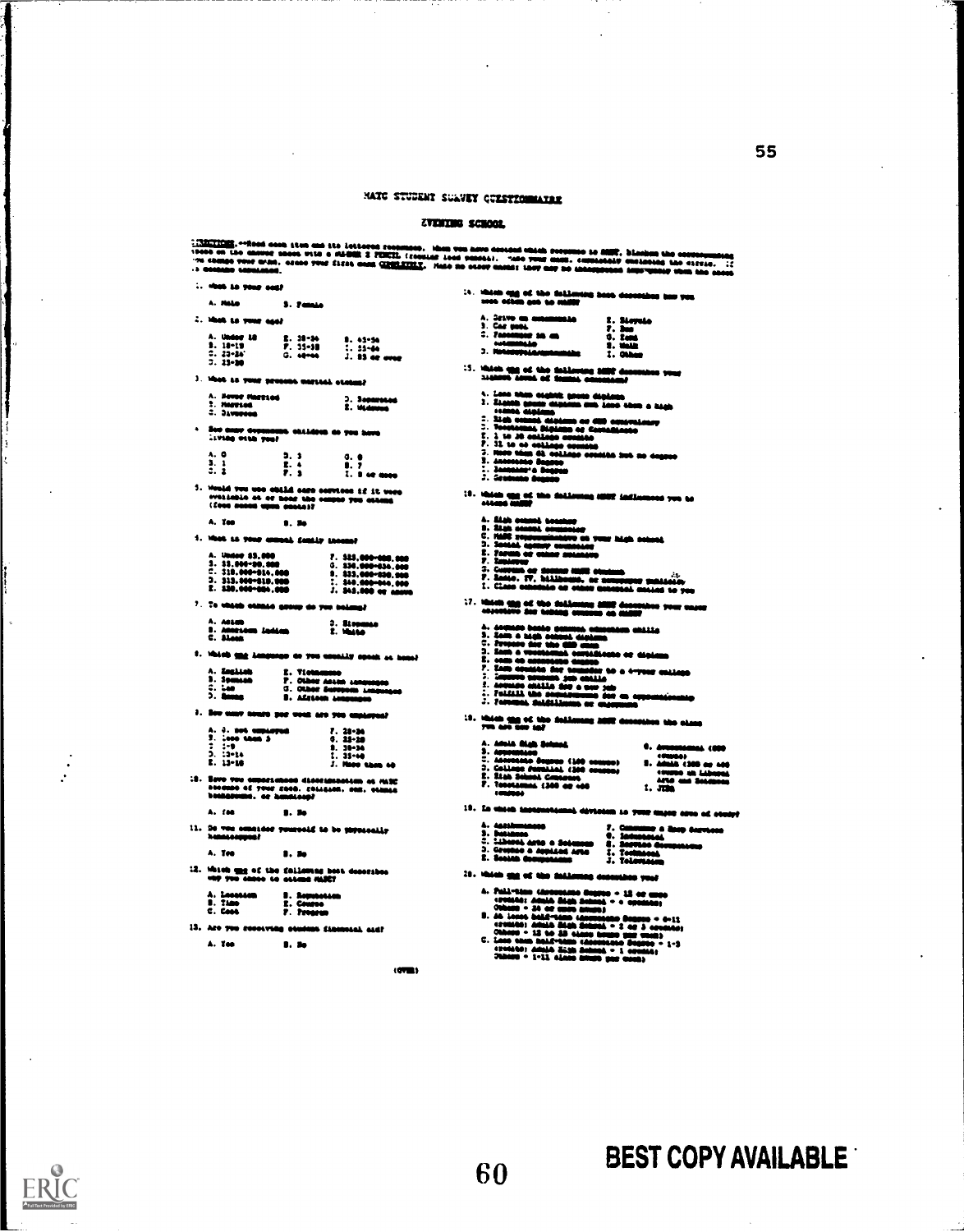is the control in the same of the same of the same of the same of the same of the control in the control in the control in the control in the control in the control in the control in the control in the control in the cont 1; 1979 – 1; 1979 – 1; 1979 – 1; 1979 – 1; 1979 – 1; 1979 – 1; 1979 – 1; 1979 – 1; 1979 – 1; 1979 – 1; 1979 – <br>15-10 – 1; 1979 – 1; 1979 – 1; 1979 – 1; 1979 – 1; 1979 – 1; 1979 – 1; 1979 – 1; 1979 – 1; 1979 – 1; 1979 – 1<br>1  $1. \quad 13-30 \qquad 1. \quad 14145 \qquad \text{age of the following EDE} \qquad \text{there is even and even and even and even and even.} \qquad \text{there is even and even and even and even and even and even and even.} \qquad \text{there is even and even and even and even and even.} \qquad \text{there is even and even and even and even.} \qquad \text{there is even and even and even.} \qquad \text{there is even and even, and even.} \qquad \text{there is even and even.} \qquad \text{there is even, and even.} \qquad \text{there is even, and even.} \qquad \text{there is even, and even.} \qquad \text{there is even, and even.} \qquad \text$ A. Here recent and  $\frac{1}{2}$ . Here recent and  $\frac{1}{2}$ . Here is a set of the set of the set of the set of the set of the set of the set of the set of the set of the set of the set of the set of the set of the set of the A,  $0$  <br>  $0$ ,  $1$ ,  $1$ ,  $0$ <br>  $2$ ,  $3$ <br>  $5$ ,  $6$ <br>  $7$ ,  $8$ <br>  $7$ ,  $9$ <br>  $7$ ,  $1$  or more<br>
5. We<br>ald our use cell dero services if it were very send to contain the cell<br>
very limited by the service contains the cell of the se ilian control and the second of the second of the second of the second of the second of the second of the second of the second of the second of the second of the second of the second of the second of the second of the seco I. Include the second that are overviews of the very second to the second that including the field and the second of the second of the second of the second of the second of the second of the second of the second of the sec is records and the company of the company of the company of the company of the company of the company of the company of the company of the company of the company of the company of the company of the company of the company II I defines beste genuen chronica millio<br>1. Sena a luga colora de la milla<br>1. Sena a vestica de la milla de la<br>1. Sena a vestica de la milla de la milla<br>1. Sena a vestica de la milla de la milla<br>2. Sena a vestica de la mi  $\begin{array}{ccc} \mathbf{A} & \mathbf{A} \\ \mathbf{B} & \mathbf{C} \end{array}$ 

- lings on you usefully opening at hemany and the fill in the contribution of completed or diplomatic and the complete or diplomatic and the complete or diplomatic and the complete or diplomatic and the complete or diplomati A. Anton Andres — D. Ricomae - C. Alexander - E. Watte<br>C. Alexandre Ledian — E. Watte<br>Watch <u>und</u> Language as you usually opens as in<br>A. English — E. Victorums — R. Chine and C. Standard - C. Chine — S. Chine designation . A. Empliton - I. Tiotamonto - I. De armies de la considérative de la considérative de la considérative de la considérative de la considérative de la considérative de la considérative de la considérative de la considérative
	-
- .<br>.c3<br>.c3>> .c3

A. fee  $\blacksquare$ . Ho

11. De vou consider you<br>honneemenf **NAME OF DO SEPERAGALLY** 

A. Tes **B. Se** 

 $12.$  Which and of the following host describes only you cannot be extended.

| A. Lessan      | <b>B. Remember 1994</b> |
|----------------|-------------------------|
| <b>B. Time</b> | 2. Caussa               |
| C. Cass        | 7. Prosess              |

13. Are you recouving otenin **BA SAMMAL ALEP** 

A. You . . . . . . 9.

 $(0)$ 

- -
- 
- 18. In this i L dévenien so your enjoy of m od ota
- 
- 
- -

- $\begin{tabular}{ll} \hline \textbf{1} & \textbf{2} & \textbf{3} & \textbf{3} & \textbf{3} & \textbf{3} & \textbf{3} & \textbf{3} & \textbf{3} & \textbf{3} & \textbf{3} & \textbf{3} & \textbf{3} & \textbf{3} & \textbf{3} & \textbf{3} & \textbf{3} & \textbf{3} & \textbf{3} & \textbf{3} & \textbf{3} & \textbf{3} & \textbf{3} & \textbf{3} & \textbf{3} & \textbf{3} & \textbf{3} & \textbf{3} & \textbf{3} & \textbf{3}$ 
	-
- 2011<br>1955 2 af 3 annson)<br>1955 2 af 3 annson)<br>1955 2 annson 1-3<br>205 1 annson 1-3<br>205 1 annson
	-

l ii ii 1 <sup>I</sup> it <sup>111</sup>

log; ii II <sup>1</sup> fh

- 
- 
- 
- 
- 
- 

- 
- 
- -
- 

- -
	-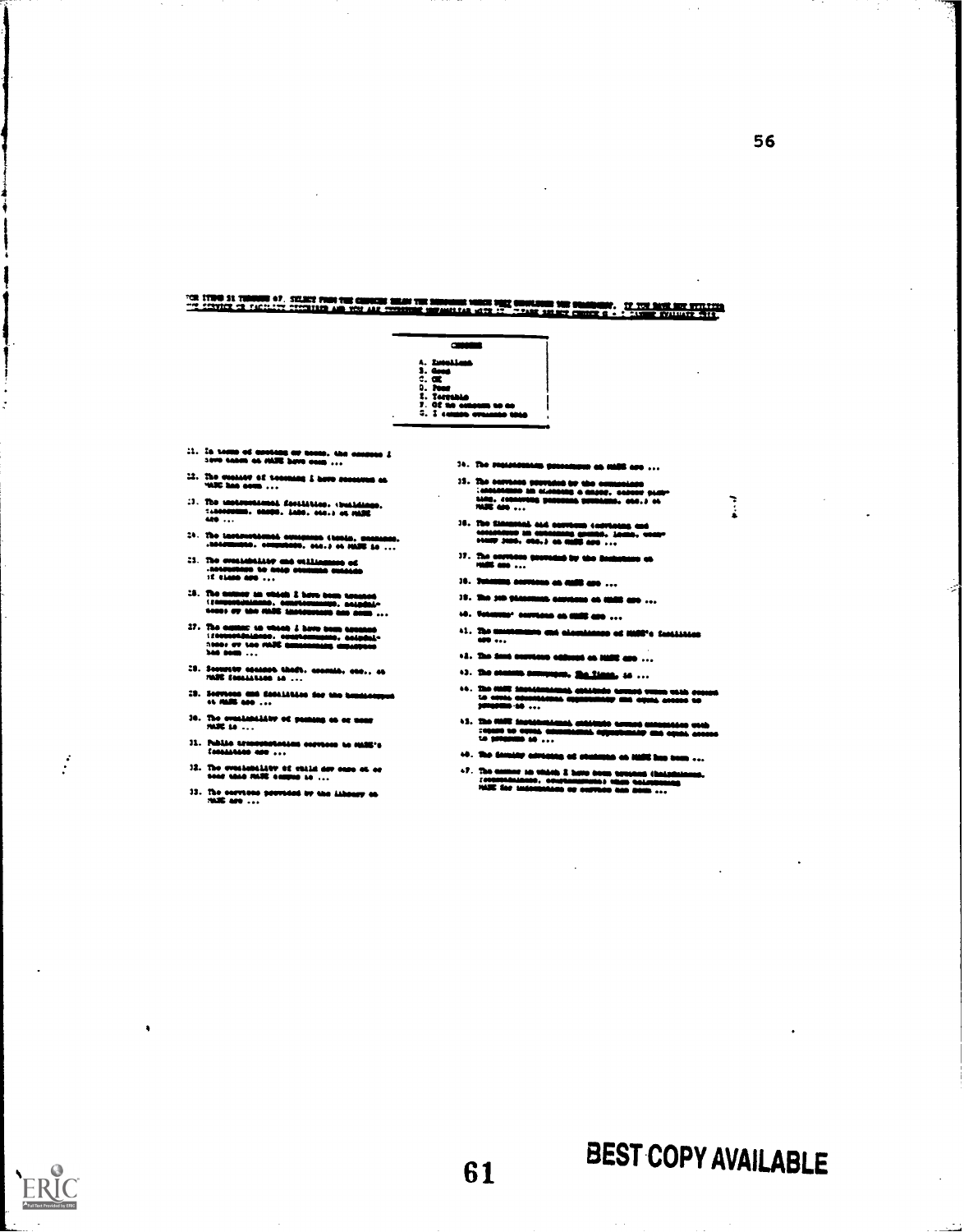11190 31 THOMAS OF SELECT FROM THE CONSENT SELECTIVE SURFACES SURFACE SURFACES ON A SELECTION CONTINUES. IT IS<br>Service or factory crossing and you and consent surface and an of the service of the service of the surfaces,

c31110111 4. Smethand 3. One 3. Pass 3. Pass 3. Pass 3.  $\frac{3.3}{2.1}$  a  $\frac{3.3}{2.1}$  a census 3. The second so set of  $\frac{3.3}{2.1}$  and  $\frac{3.3}{2.1}$  and  $\frac{3.3}{2.1}$  and  $\frac{3.3}{2.1}$  and  $\frac{3.3}{2.1}$  and  $\frac{3.3}{2.1}$  and  $\frac{$ 

- $31.$  In term of contage ar comp. the concess  $I$  is the condensation of  $\mathbf{A}$
- $12.$  The createst of technics  $1$  here sosseess as vide has som ...
- 3. The experimental fertification charitatings. The experimental fertility of the experimental control of the fit<br>Adv 3. et al. 2014. In the experimental control of the fit and in the fit and in the fit and in the fit and
- $\begin{minipage}[c]{0.45\textwidth} \centering \begin{tabular}{l} \textbf{24.} \end{tabular} \end{minipage} \begin{minipage}[c]{0.45\textwidth} \centering \begin{tabular}{l} \textbf{34.} \end{tabular} \end{minipage} \end{minipage} \begin{minipage}[c]{0.45\textwidth} \centering \begin{tabular}{l} \textbf{43.} \end{tabular} \end{minipage} \end{minipage} \begin{minipage}[c]{0.45\textwidth} \centering \begin{tabular}{l} \textbf{44.} \end{tabular} \end{minipage} \end{minipage} \begin{$
- 3. a. 441133134\* era ouusswe 011641 644440110 0~0 It 1114116 ...
- 15. The assumer his winkels & here heads (formation)<br>(formaticheates, constituumers, actorists<br>seems are the FIARE analysisment and news ...
- The eattlest se where J have been erected.<br>I formed in local tate: ev too MAIC <u>annonname</u>, dipulyses<br>had som ...
- $\begin{array}{ll} \textbf{10.34} \textbf{11.4} & \textbf{0.64} \textbf{11.4} & \textbf{0.64} \textbf{11.4} & \textbf{0.64} \textbf{11.4} & \textbf{0.64} \textbf{11.4} & \textbf{0.64} \textbf{11.4} & \textbf{0.64} \textbf{11.4} & \textbf{0.64} \textbf{11.4} & \textbf{0.64} \textbf{11.4} & \textbf{0.64} \textbf{11.4} & \textbf{0.64} \textbf{11.4} & \textbf$
- $31.$  Services and decointing for the line  $44.045$  and  $\ldots$
- 34. The eventuality of passing as or more more  $10.9\%$  to  $\ldots$
- 31. Public aresepteracies serves to Mill's features are  $...$ <br>33. The overleading of chiral dev ease of or near into AMIC compute in  $...$
- 
- 33. The earntene provided by the Athenry en 41412 are  $\dots$
- 34. Con <del>Jugaranna, pressinni</del> es NAB apo ...
	- The corrects genralist av the composition<br>Torstallene 10: classified a cappe, server player<br>1100, classified accounts constructed and player ISMS 1010610001 114041044041400104404 401.4 4041 e
- 35. Tari zinaan din dike seeraan 4 4411 (nombor).<br>400404040111100 MB astas hang gemint. Januar, waar-<br>44117 Juni, 444, J. 46 MAIS 400 ...
- $37.$  The onythese quaranteel by the finals  $1045$  and  $\ldots$ <br> $36.$  Tuberante correction on small and  $\ldots$
- 
- 11. a. selb tie
- Normur aselmme as OM ...
- $41.$  The means<br>measure end elements of  $1000\%$  feetistics
- The Sant excrease address an initia and ...
- 43. She statest compagns, <u>Ma Ciana,</u> 16 ...<br>44. She Willi institutional controls compati-
- ++. SIM views 3111144104401165 abdictions are more at the aggregate and moments and apositions are all apositions are all apositions are all apositions are all apositions are all apositions are all apositions are all aposi 014140.10
- $\sim$  SS  $\sim$  SS ISSEs is a constructed of the constant of the suitable suir constant suitable suitable suitable suitable suitable suitable suitable suitable suitable suitable suitable suitable suitable suitable suitable s sown so gaga ormassor\* uswirsear ma epra own I. 0001110 IS
- $10$ . The density advising at statents on 1025 has been ...
- o7. The annual six vision) 3 hove home agreeme (halpdainman,<br>- 200001041010010. okuphamamanist vision kolonikuusing<br>- 14301 dee andonisations op olovade han gomb ...

 $\frac{1}{2}$ 

# 61 BEST COPY AVAILABLE

Ì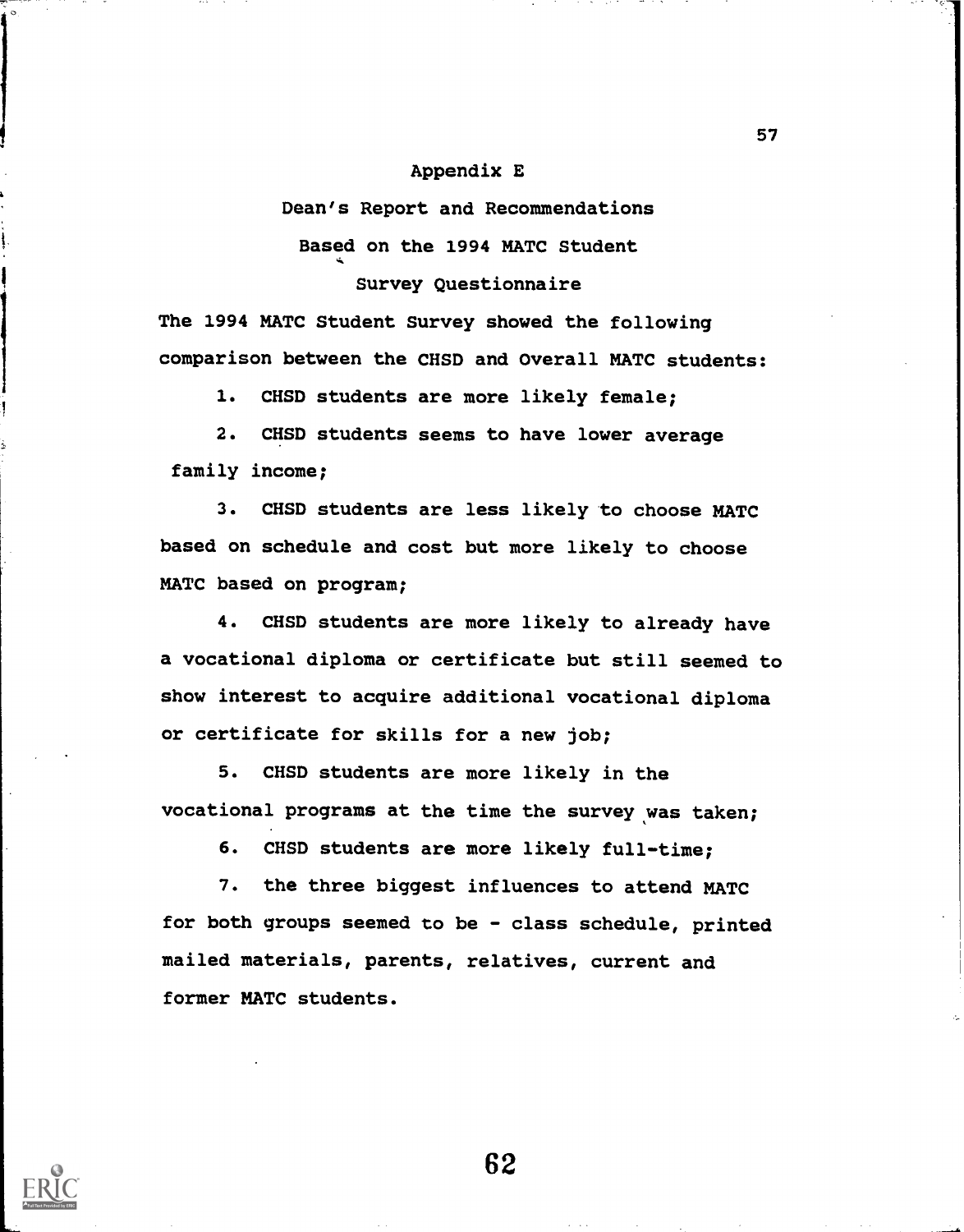## Appendix E

# Dean's Report and Recommendations Based on the 1994 MATC Student Survey Questionnaire

The 1994 MATC Student Survey showed the following comparison between the CHSD and Overall MATC students:

1. CHSD students are more likely female;

2. CHSD students seems to have lower average family income;

3. CHSD students are less likely to choose MATC based on schedule and cost but more likely to choose MATC based on program;

4. CHSD students are more likely to already have a vocational diploma or certificate but still seemed to show interest to acquire additional vocational diploma or certificate for skills for a new job;

5. CHSD students are more likely in the vocational programs at the time the survey was taken;

6. CHSD students are more likely full-time;

7. the three biggest influences to attend MATC for both groups seemed to be - class schedule, printed mailed materials, parents, relatives, current and former MATC students.

62